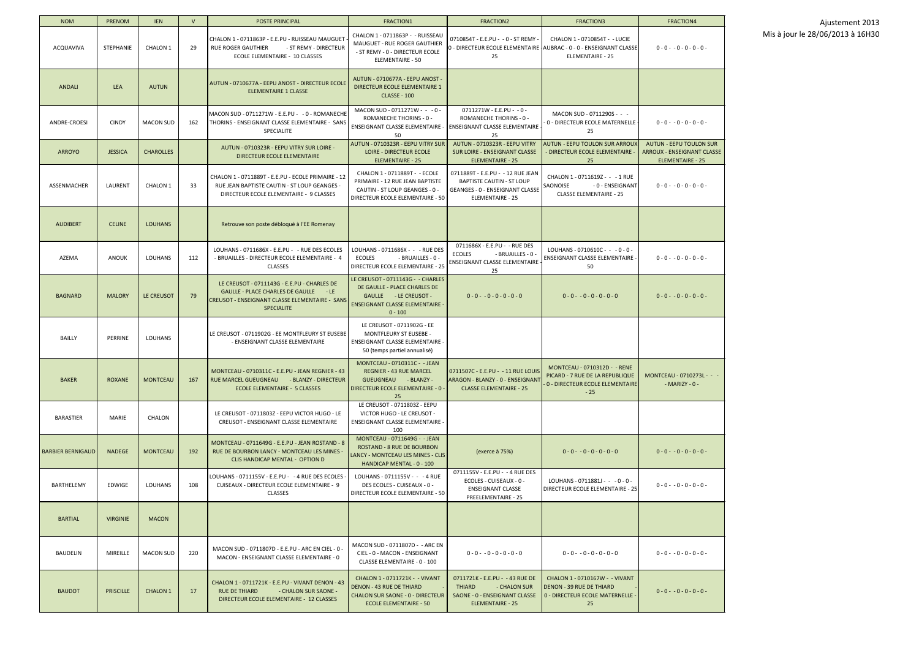| <b>NOM</b>               | <b>PRENOM</b>    | <b>IEN</b>       | $\mathsf{V}$ | <b>POSTE PRINCIPAL</b>                                                                                                                                      | <b>FRACTION1</b>                                                                                                                                  | <b>FRACTION2</b>                                                                                                                    | <b>FRACTION3</b>                                                                                                                  | <b>FRACTION4</b>                                                                        |
|--------------------------|------------------|------------------|--------------|-------------------------------------------------------------------------------------------------------------------------------------------------------------|---------------------------------------------------------------------------------------------------------------------------------------------------|-------------------------------------------------------------------------------------------------------------------------------------|-----------------------------------------------------------------------------------------------------------------------------------|-----------------------------------------------------------------------------------------|
| <b>ACQUAVIVA</b>         | <b>STEPHANIE</b> | CHALON 1         | 29           | CHALON 1 - 0711863P - E.E.PU - RUISSEAU MAUGUET<br><b>RUE ROGER GAUTHIER</b><br>- ST REMY - DIRECTEUR<br><b>ECOLE ELEMENTAIRE - 10 CLASSES</b>              | CHALON 1 - 0711863P - - RUISSEAU<br>MAUGUET - RUE ROGER GAUTHIER<br>- ST REMY - 0 - DIRECTEUR ECOLE<br>ELEMENTAIRE - 50                           | 0710854T - E.E.PU - - 0 - ST REMY<br>25                                                                                             | CHALON 1 - 0710854T - - LUCIE<br>0 - DIRECTEUR ECOLE ELEMENTAIRE   AUBRAC - 0 - 0 - ENSEIGNANT CLASSE <br><b>ELEMENTAIRE - 25</b> | $0 - 0 - 0 - 0 - 0 - 0 -$                                                               |
| <b>ANDALI</b>            | <b>LEA</b>       | <b>AUTUN</b>     |              | AUTUN - 0710677A - EEPU ANOST - DIRECTEUR ECOLE<br><b>ELEMENTAIRE 1 CLASSE</b>                                                                              | AUTUN - 0710677A - EEPU ANOST -<br>DIRECTEUR ECOLE ELEMENTAIRE 1<br><b>CLASSE - 100</b>                                                           |                                                                                                                                     |                                                                                                                                   |                                                                                         |
| ANDRE-CROESI             | <b>CINDY</b>     | <b>MACON SUD</b> | 162          | MACON SUD - 0711271W - E.E.PU - -0 - ROMANECHE<br>THORINS - ENSEIGNANT CLASSE ELEMENTAIRE - SANS<br>SPECIALITE                                              | MACON SUD - 0711271W - - - 0 -<br>ROMANECHE THORINS - 0 -<br>ENSEIGNANT CLASSE ELEMENTAIRE -<br>50                                                | $0711271W - E.E.PU - - 0 -$<br>ROMANECHE THORINS - 0 -<br>ENSEIGNANT CLASSE ELEMENTAIRE<br>25                                       | MACON SUD - 0711290S - - -<br>0 - DIRECTEUR ECOLE MATERNELLE -<br>25                                                              | $0 - 0 - 0 - 0 - 0 - 0 -$                                                               |
| <b>ARROYO</b>            | <b>JESSICA</b>   | <b>CHAROLLES</b> |              | AUTUN - 0710323R - EEPU VITRY SUR LOIRE -<br>DIRECTEUR ECOLE ELEMENTAIRE                                                                                    | AUTUN - 0710323R - EEPU VITRY SUR<br><b>LOIRE - DIRECTEUR ECOLE</b><br><b>ELEMENTAIRE - 25</b>                                                    | AUTUN - 0710323R - EEPU VITRY<br><b>SUR LOIRE - ENSEIGNANT CLASSE</b><br><b>ELEMENTAIRE - 25</b>                                    | <b>AUTUN - EEPU TOULON SUR ARROUX</b><br>- DIRECTEUR ECOLE ELEMENTAIRE<br>25                                                      | <b>AUTUN - EEPU TOULON SUR</b><br>ARROUX - ENSEIGNANT CLASSE<br><b>ELEMENTAIRE - 25</b> |
| ASSENMACHER              | LAURENT          | CHALON 1         | 33           | CHALON 1 - 0711889T - E.E.PU - ECOLE PRIMAIRE - 12<br>RUE JEAN BAPTISTE CAUTIN - ST LOUP GEANGES -<br>DIRECTEUR ECOLE ELEMENTAIRE - 9 CLASSES               | CHALON 1 - 0711889T - - ECOLE<br>PRIMAIRE - 12 RUE JEAN BAPTISTE<br>CAUTIN - ST LOUP GEANGES - 0 -<br>DIRECTEUR ECOLE ELEMENTAIRE - 50            | 0711889T - E.E.PU - - 12 RUE JEAN<br><b>BAPTISTE CAUTIN - ST LOUP</b><br>GEANGES - 0 - ENSEIGNANT CLASSE<br><b>ELEMENTAIRE - 25</b> | CHALON 1 - 0711619Z - - - 1 RUE<br>SAONOISE<br>- 0 - ENSEIGNANT<br><b>CLASSE ELEMENTAIRE - 25</b>                                 | $0 - 0 - 0 - 0 - 0 - 0 -$                                                               |
| <b>AUDIBERT</b>          | <b>CELINE</b>    | <b>LOUHANS</b>   |              | Retrouve son poste débloqué à l'EE Romenay                                                                                                                  |                                                                                                                                                   |                                                                                                                                     |                                                                                                                                   |                                                                                         |
| AZEMA                    | <b>ANOUK</b>     | <b>LOUHANS</b>   | 112          | LOUHANS - 0711686X - E.E.PU - - RUE DES ECOLES<br>- BRUAILLES - DIRECTEUR ECOLE ELEMENTAIRE - 4<br><b>CLASSES</b>                                           | LOUHANS - 0711686X - - - RUE DES<br><b>ECOLES</b><br>- BRUAILLES - 0 -<br>DIRECTEUR ECOLE ELEMENTAIRE - 25                                        | 0711686X - E.E.PU - - RUE DES<br><b>ECOLES</b><br>- BRUAILLES - 0 -<br>ENSEIGNANT CLASSE ELEMENTAIRE<br>25                          | LOUHANS - 0710610C - - - 0 - 0 -<br>ENSEIGNANT CLASSE ELEMENTAIRE<br>50                                                           | $0 - 0 - 0 - 0 - 0 - 0 -$                                                               |
| <b>BAGNARD</b>           | <b>MALORY</b>    | LE CREUSOT       | 79           | LE CREUSOT - 0711143G - E.E.PU - CHARLES DE<br>GAULLE - PLACE CHARLES DE GAULLE - LE<br>CREUSOT - ENSEIGNANT CLASSE ELEMENTAIRE - SANS<br><b>SPECIALITE</b> | LE CREUSOT - 0711143G - - CHARLES<br>DE GAULLE - PLACE CHARLES DE<br>GAULLE - LE CREUSOT -<br><b>ENSEIGNANT CLASSE ELEMENTAIRE -</b><br>$0 - 100$ | $0 - 0 - 0 - 0 - 0 - 0 - 0$                                                                                                         | $0 - 0 - 0 - 0 - 0 - 0 - 0$                                                                                                       | $0 - 0 - 0 - 0 - 0 - 0 -$                                                               |
| <b>BAILLY</b>            | PERRINE          | LOUHANS          |              | LE CREUSOT - 0711902G - EE MONTFLEURY ST EUSEBE<br>- ENSEIGNANT CLASSE ELEMENTAIRE                                                                          | LE CREUSOT - 0711902G - EE<br><b>MONTFLEURY ST EUSEBE -</b><br>ENSEIGNANT CLASSE ELEMENTAIRE -<br>50 (temps partiel annualisé)                    |                                                                                                                                     |                                                                                                                                   |                                                                                         |
| <b>BAKER</b>             | <b>ROXANE</b>    | <b>MONTCEAU</b>  | 167          | MONTCEAU - 0710311C - E.E.PU - JEAN REGNIER - 43<br>RUE MARCEL GUEUGNEAU - BLANZY - DIRECTEUR<br>ECOLE ELEMENTAIRE - 5 CLASSES                              | MONTCEAU - 0710311C - - JEAN<br><b>REGNIER - 43 RUE MARCEL</b><br>GUEUGNEAU - BLANZY -<br>DIRECTEUR ECOLE ELEMENTAIRE - 0 -<br>25                 | 0711507C - E.E.PU - - 11 RUE LOUIS<br>ARAGON - BLANZY - 0 - ENSEIGNANT<br><b>CLASSE ELEMENTAIRE - 25</b>                            | MONTCEAU - 0710312D - - RENE<br>PICARD - 7 RUE DE LA REPUBLIQUE<br>0 - DIRECTEUR ECOLE ELEMENTAIRE<br>$-25$                       | MONTCEAU - 0710273L - - -<br>$-MARIZY - 0 -$                                            |
| BARASTIER                | MARIE            | CHALON           |              | LE CREUSOT - 0711803Z - EEPU VICTOR HUGO - LE<br>CREUSOT - ENSEIGNANT CLASSE ELEMENTAIRE                                                                    | LE CREUSOT - 0711803Z - EEPU<br>VICTOR HUGO - LE CREUSOT -<br>ENSEIGNANT CLASSE ELEMENTAIRE -<br>100                                              |                                                                                                                                     |                                                                                                                                   |                                                                                         |
| <b>BARBIER BERNIGAUD</b> | <b>NADEGE</b>    | <b>MONTCEAU</b>  | 192          | MONTCEAU - 0711649G - E.E.PU - JEAN ROSTAND - 8<br>RUE DE BOURBON LANCY - MONTCEAU LES MINES -<br><b>CLIS HANDICAP MENTAL - OPTION D</b>                    | MONTCEAU - 0711649G - - JEAN<br><b>ROSTAND - 8 RUE DE BOURBON</b><br>LANCY - MONTCEAU LES MINES - CLIS<br>HANDICAP MENTAL - 0 - 100               | (exerce à 75%)                                                                                                                      | $0 - 0 - 0 - 0 - 0 - 0 - 0$                                                                                                       | $0 - 0 - 0 - 0 - 0 - 0 -$                                                               |
| BARTHELEMY               | EDWIGE           | <b>LOUHANS</b>   | 108          | LOUHANS - 0711155V - E.E.PU - - 4 RUE DES ECOLES -<br>CUISEAUX - DIRECTEUR ECOLE ELEMENTAIRE - 9<br><b>CLASSES</b>                                          | LOUHANS - 0711155V - - - 4 RUE<br>DES ECOLES - CUISEAUX - 0 -<br>DIRECTEUR ECOLE ELEMENTAIRE - 50                                                 | 0711155V - E.E.PU - -4 RUE DES<br>ECOLES - CUISEAUX - 0 -<br><b>ENSEIGNANT CLASSE</b><br><b>PREELEMENTAIRE - 25</b>                 | LOUHANS - 0711881J - - - 0 - 0 -<br>DIRECTEUR ECOLE ELEMENTAIRE - 25                                                              | $0 - 0 - 0 - 0 - 0 - 0 -$                                                               |
| <b>BARTIAL</b>           | <b>VIRGINIE</b>  | <b>MACON</b>     |              |                                                                                                                                                             |                                                                                                                                                   |                                                                                                                                     |                                                                                                                                   |                                                                                         |
| <b>BAUDELIN</b>          | MIREILLE         | <b>MACON SUD</b> | 220          | MACON SUD - 0711807D - E.E.PU - ARC EN CIEL - 0 -<br>MACON - ENSEIGNANT CLASSE ELEMENTAIRE - 0                                                              | MACON SUD - 0711807D - - ARC EN<br>CIEL - 0 - MACON - ENSEIGNANT<br>CLASSE ELEMENTAIRE - 0 - 100                                                  | $0 - 0 - 0 - 0 - 0 - 0 - 0$                                                                                                         | $0 - 0 - 0 - 0 - 0 - 0 - 0$                                                                                                       | $0 - 0 - 0 - 0 - 0 - 0 -$                                                               |
| <b>BAUDOT</b>            | <b>PRISCILLE</b> | <b>CHALON 1</b>  | 17           | CHALON 1 - 0711721K - E.E.PU - VIVANT DENON - 43<br><b>RUE DE THIARD</b><br>- CHALON SUR SAONE -<br>DIRECTEUR ECOLE ELEMENTAIRE - 12 CLASSES                | CHALON 1 - 0711721K - - VIVANT<br><b>DENON - 43 RUE DE THIARD</b><br><b>CHALON SUR SAONE - 0 - DIRECTEUR</b><br><b>ECOLE ELEMENTAIRE - 50</b>     | 0711721K - E.E.PU - -43 RUE DE<br><b>THIARD</b><br>- CHALON SUR<br>SAONE - 0 - ENSEIGNANT CLASSE<br><b>ELEMENTAIRE - 25</b>         | CHALON 1 - 0710167W - - VIVANT<br><b>DENON - 39 RUE DE THIARD</b><br>0 - DIRECTEUR ECOLE MATERNELLE -<br>25                       | $0 - 0 - 0 - 0 - 0 - 0 -$                                                               |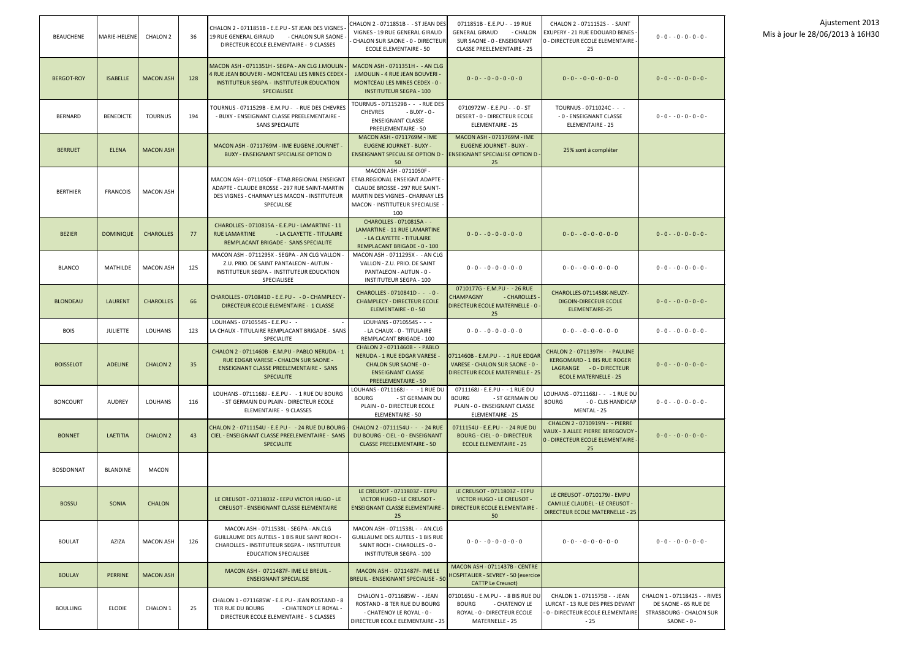| <b>BEAUCHENE</b>  | MARIE-HELENE     | <b>CHALON 2</b>  | 36  | CHALON 2 - 0711851B - E.E.PU - ST JEAN DES VIGNES<br>19 RUE GENERAL GIRAUD<br>- CHALON SUR SAONE<br>DIRECTEUR ECOLE ELEMENTAIRE - 9 CLASSES                                  | CHALON 2 - 0711851B - - ST JEAN DES<br>VIGNES - 19 RUE GENERAL GIRAUD<br>CHALON SUR SAONE - 0 - DIRECTEUR<br><b>ECOLE ELEMENTAIRE - 50</b>                              | 0711851B - E.E.PU - -19 RUE<br><b>GENERAL GIRAUD</b><br>- CHALON<br>SUR SAONE - 0 - ENSEIGNANT<br><b>CLASSE PREELEMENTAIRE - 25</b> | CHALON 2 - 0711152S - - SAINT<br>EXUPERY - 21 RUE EDOUARD BENES<br>0 - DIRECTEUR ECOLE ELEMENTAIRE<br>25                   | $0 - 0 - 0 - 0 - 0 - 0 -$                                                                       |
|-------------------|------------------|------------------|-----|------------------------------------------------------------------------------------------------------------------------------------------------------------------------------|-------------------------------------------------------------------------------------------------------------------------------------------------------------------------|-------------------------------------------------------------------------------------------------------------------------------------|----------------------------------------------------------------------------------------------------------------------------|-------------------------------------------------------------------------------------------------|
| <b>BERGOT-ROY</b> | <b>ISABELLE</b>  | <b>MACON ASH</b> | 128 | MACON ASH - 0711351H - SEGPA - AN CLG J.MOULIN<br>4 RUE JEAN BOUVERI - MONTCEAU LES MINES CEDEX<br>INSTITUTEUR SEGPA - INSTITUTEUR EDUCATION<br><b>SPECIALISEE</b>           | MACON ASH - 0711351H - - AN CLG<br>J.MOULIN - 4 RUE JEAN BOUVERI -<br><b>MONTCEAU LES MINES CEDEX - 0 -</b><br><b>INSTITUTEUR SEGPA - 100</b>                           | $0 - 0 - 0 - 0 - 0 - 0 - 0$                                                                                                         | $0 - 0 - 0 - 0 - 0 - 0 - 0$                                                                                                | $0 - 0 - 0 - 0 - 0 - 0 -$                                                                       |
| <b>BERNARD</b>    | <b>BENEDICTE</b> | <b>TOURNUS</b>   | 194 | TOURNUS - 0711529B - E.M.PU - - RUE DES CHEVRES<br>- BUXY - ENSEIGNANT CLASSE PREELEMENTAIRE -<br><b>SANS SPECIALITE</b>                                                     | TOURNUS - 0711529B - - - RUE DES<br><b>CHEVRES</b><br>- BUXY - 0 -<br><b>ENSEIGNANT CLASSE</b><br>PREELEMENTAIRE - 50                                                   | 0710972W - E.E.PU - - 0 - ST<br>DESERT - 0 - DIRECTEUR ECOLE<br><b>ELEMENTAIRE - 25</b>                                             | TOURNUS - 0711024C - - -<br>- 0 - ENSEIGNANT CLASSE<br>ELEMENTAIRE - 25                                                    | $0 - 0 - 0 - 0 - 0 - 0 -$                                                                       |
| <b>BERRUET</b>    | <b>ELENA</b>     | <b>MACON ASH</b> |     | MACON ASH - 0711769M - IME EUGENE JOURNET -<br><b>BUXY - ENSEIGNANT SPECIALISE OPTION D</b>                                                                                  | MACON ASH - 0711769M - IME<br><b>EUGENE JOURNET - BUXY -</b><br><b>ENSEIGNANT SPECIALISE OPTION D</b><br>50                                                             | MACON ASH - 0711769M - IME<br><b>EUGENE JOURNET - BUXY -</b><br><b>ENSEIGNANT SPECIALISE OPTION D-</b><br>25                        | 25% sont à compléter                                                                                                       |                                                                                                 |
| <b>BERTHIER</b>   | <b>FRANCOIS</b>  | <b>MACON ASH</b> |     | MACON ASH - 0711050F - ETAB.REGIONAL ENSEIGNT<br>ADAPTE - CLAUDE BROSSE - 297 RUE SAINT-MARTIN<br>DES VIGNES - CHARNAY LES MACON - INSTITUTEUR<br>SPECIALISE                 | MACON ASH - 0711050F -<br>ETAB.REGIONAL ENSEIGNT ADAPTE -<br>CLAUDE BROSSE - 297 RUE SAINT-<br>MARTIN DES VIGNES - CHARNAY LES<br>MACON - INSTITUTEUR SPECIALISE<br>100 |                                                                                                                                     |                                                                                                                            |                                                                                                 |
| <b>BEZIER</b>     | <b>DOMINIQUE</b> | <b>CHAROLLES</b> | 77  | CHAROLLES - 0710815A - E.E.PU - LAMARTINE - 11<br><b>RUE LAMARTINE</b><br>- LA CLAYETTE - TITULAIRE<br>REMPLACANT BRIGADE - SANS SPECIALITE                                  | CHAROLLES - 0710815A - -<br>LAMARTINE - 11 RUE LAMARTINE<br>- LA CLAYETTE - TITULAIRE<br>REMPLACANT BRIGADE - 0 - 100                                                   | $0 - 0 - 0 - 0 - 0 - 0 - 0$                                                                                                         | $0 - 0 - 0 - 0 - 0 - 0 - 0$                                                                                                | $0 - 0 - 0 - 0 - 0 - 0 -$                                                                       |
| <b>BLANCO</b>     | <b>MATHILDE</b>  | <b>MACON ASH</b> | 125 | MACON ASH - 0711295X - SEGPA - AN CLG VALLON<br>Z.U. PRIO. DE SAINT PANTALEON - AUTUN -<br>INSTITUTEUR SEGPA - INSTITUTEUR EDUCATION<br>SPECIALISEE                          | MACON ASH - 0711295X - - AN CLG<br>VALLON - Z.U. PRIO. DE SAINT<br>PANTALEON - AUTUN - 0 -<br><b>INSTITUTEUR SEGPA - 100</b>                                            | $0 - 0 - 0 - 0 - 0 - 0 - 0$                                                                                                         | $0 - 0 - 0 - 0 - 0 - 0 - 0$                                                                                                | $0 - 0 - 0 - 0 - 0 - 0 -$                                                                       |
| <b>BLONDEAU</b>   | <b>LAURENT</b>   | <b>CHAROLLES</b> | 66  | CHAROLLES - 0710841D - E.E.PU - - 0 - CHAMPLECY<br>DIRECTEUR ECOLE ELEMENTAIRE - 1 CLASSE                                                                                    | CHAROLLES - 0710841D - - - 0 -<br><b>CHAMPLECY - DIRECTEUR ECOLE</b><br>ELEMENTAIRE - 0 - 50                                                                            | 0710177G - E.M.PU - - 26 RUE<br><b>CHAMPAGNY</b><br>- CHAROLLES<br><b>DIRECTEUR ECOLE MATERNELLE - 0 -</b><br>25                    | CHAROLLES-0711458K-NEUZY-<br><b>DIGOIN-DIRECEUR ECOLE</b><br>ELEMENTAIRE-25                                                | $0 - 0 - 0 - 0 - 0 - 0 -$                                                                       |
| <b>BOIS</b>       | <b>JULIETTE</b>  | LOUHANS          | 123 | LOUHANS - 0710554S - E.E.PU - -<br>LA CHAUX - TITULAIRE REMPLACANT BRIGADE - SANS<br><b>SPECIALITE</b>                                                                       | LOUHANS - 0710554S - - -<br>- LA CHAUX - 0 - TITULAIRE<br>REMPLACANT BRIGADE - 100                                                                                      | $0 - 0 - 0 - 0 - 0 - 0 - 0$                                                                                                         | $0 - 0 - 0 - 0 - 0 - 0 - 0$                                                                                                | $0 - 0 - 0 - 0 - 0 - 0 -$                                                                       |
| <b>BOISSELOT</b>  | <b>ADELINE</b>   | <b>CHALON 2</b>  | 35  | CHALON 2 - 0711460B - E.M.PU - PABLO NERUDA - 1<br>RUE EDGAR VARESE - CHALON SUR SAONE -<br><b>ENSEIGNANT CLASSE PREELEMENTAIRE - SANS</b><br><b>SPECIALITE</b>              | CHALON 2 - 0711460B - - PABLO<br>NERUDA - 1 RUE EDGAR VARESE -<br><b>CHALON SUR SAONE - 0 -</b><br><b>ENSEIGNANT CLASSE</b><br><b>PREELEMENTAIRE - 50</b>               | 0711460B - E.M.PU - - 1 RUE EDGAR<br>VARESE - CHALON SUR SAONE - 0 -<br><b>DIRECTEUR ECOLE MATERNELLE - 25</b>                      | CHALON 2 - 0711397H - - PAULINE<br>KERGOMARD - 1 BIS RUE ROGER<br>LAGRANGE - 0 - DIRECTEUR<br><b>ECOLE MATERNELLE - 25</b> | $0 - 0 - 0 - 0 - 0 - 0 -$                                                                       |
| <b>BONCOURT</b>   | <b>AUDREY</b>    | <b>LOUHANS</b>   | 116 | LOUHANS - 0711168J - E.E.PU - - 1 RUE DU BOURG<br>- ST GERMAIN DU PLAIN - DIRECTEUR ECOLE<br>ELEMENTAIRE - 9 CLASSES                                                         | LOUHANS - 0711168J - - - 1 RUE DU<br>- ST GERMAIN DU<br><b>BOURG</b><br>PLAIN - 0 - DIRECTEUR ECOLE<br><b>ELEMENTAIRE - 50</b>                                          | 0711168J - E.E.PU - -1 RUE DU<br><b>BOURG</b><br>- ST GERMAIN DU<br>PLAIN - 0 - ENSEIGNANT CLASSE<br>ELEMENTAIRE - 25               | LOUHANS - 0711168J - - -1 RUE DU<br><b>BOURG</b><br>- 0 - CLIS HANDICAP<br>MENTAL - 25                                     | $0 - 0 - 0 - 0 - 0 - 0 -$                                                                       |
| <b>BONNET</b>     | <b>LAETITIA</b>  | <b>CHALON 2</b>  | 43  | CHALON 2 - 0711154U - E.E.PU - - 24 RUE DU BOURG<br>CIEL - ENSEIGNANT CLASSE PREELEMENTAIRE - SANS<br><b>SPECIALITE</b>                                                      | CHALON 2 - 0711154U - - - 24 RUE<br>DU BOURG - CIEL - 0 - ENSEIGNANT<br><b>CLASSE PREELEMENTAIRE - 50</b>                                                               | 0711154U - E.E.PU - - 24 RUE DU<br><b>BOURG - CIEL - 0 - DIRECTEUR</b><br><b>ECOLE ELEMENTAIRE - 25</b>                             | CHALON 2 - 0710919N - - PIERRE<br>VAUX - 3 ALLEE PIERRE BEREGOVOY<br>0 - DIRECTEUR ECOLE ELEMENTAIRE -<br>25               | $0 - 0 - 0 - 0 - 0 - 0 -$                                                                       |
| <b>BOSDONNAT</b>  | <b>BLANDINE</b>  | <b>MACON</b>     |     |                                                                                                                                                                              |                                                                                                                                                                         |                                                                                                                                     |                                                                                                                            |                                                                                                 |
| <b>BOSSU</b>      | <b>SONIA</b>     | <b>CHALON</b>    |     | LE CREUSOT - 0711803Z - EEPU VICTOR HUGO - LE<br><b>CREUSOT - ENSEIGNANT CLASSE ELEMENTAIRE</b>                                                                              | LE CREUSOT - 0711803Z - EEPU<br>VICTOR HUGO - LE CREUSOT -<br><b>ENSEIGNANT CLASSE ELEMENTAIRE</b><br>25                                                                | LE CREUSOT - 0711803Z - EEPU<br>VICTOR HUGO - LE CREUSOT -<br>DIRECTEUR ECOLE ELEMENTAIRE -<br>50                                   | LE CREUSOT - 0710179J - EMPU<br><b>CAMILLE CLAUDEL - LE CREUSOT -</b><br><b>DIRECTEUR ECOLE MATERNELLE - 25</b>            |                                                                                                 |
| <b>BOULAT</b>     | AZIZA            | <b>MACON ASH</b> | 126 | MACON ASH - 0711538L - SEGPA - AN.CLG<br><b>GUILLAUME DES AUTELS - 1 BIS RUE SAINT ROCH -</b><br>CHAROLLES - INSTITUTEUR SEGPA - INSTITUTEUR<br><b>EDUCATION SPECIALISEE</b> | MACON ASH - 0711538L - - AN.CLG<br><b>GUILLAUME DES AUTELS - 1 BIS RUE</b><br>SAINT ROCH - CHAROLLES - 0 -<br>INSTITUTEUR SEGPA - 100                                   | $0 - 0 - 0 - 0 - 0 - 0 - 0$                                                                                                         | $0 - 0 - 0 - 0 - 0 - 0 - 0$                                                                                                | $0 - 0 - 0 - 0 - 0 - 0 -$                                                                       |
| <b>BOULAY</b>     | <b>PERRINE</b>   | <b>MACON ASH</b> |     | MACON ASH - 0711487F-IME LE BREUIL -<br><b>ENSEIGNANT SPECIALISE</b>                                                                                                         | MACON ASH - 0711487F- IME LE<br><b>BREUIL - ENSEIGNANT SPECIALISE - 50</b>                                                                                              | MACON ASH - 0711437B - CENTRE<br>HOSPITALIER - SEVREY - 50 (exercice<br><b>CATTP Le Creusot</b> )                                   |                                                                                                                            |                                                                                                 |
| <b>BOULLING</b>   | <b>ELODIE</b>    | <b>CHALON 1</b>  | 25  | CHALON 1 - 0711685W - E.E.PU - JEAN ROSTAND - 8<br>- CHATENOY LE ROYAL -<br>TER RUE DU BOURG<br>DIRECTEUR ECOLE ELEMENTAIRE - 5 CLASSES                                      | CHALON 1 - 0711685W - - JEAN<br>ROSTAND - 8 TER RUE DU BOURG<br>- CHATENOY LE ROYAL - 0 -<br>DIRECTEUR ECOLE ELEMENTAIRE - 25                                           | 0710165U - E.M.PU - - 8 BIS RUE DU<br>- CHATENOY LE<br><b>BOURG</b><br>ROYAL - 0 - DIRECTEUR ECOLE<br>MATERNELLE - 25               | CHALON 1 - 0711575B - - JEAN<br>LURCAT - 13 RUE DES PRES DEVANT<br>0 - DIRECTEUR ECOLE ELEMENTAIRE<br>- 25                 | CHALON 1 - 0711842S - - RIVES<br>DE SAONE - 65 RUE DE<br>STRASBOURG - CHALON SUR<br>SAONE - 0 - |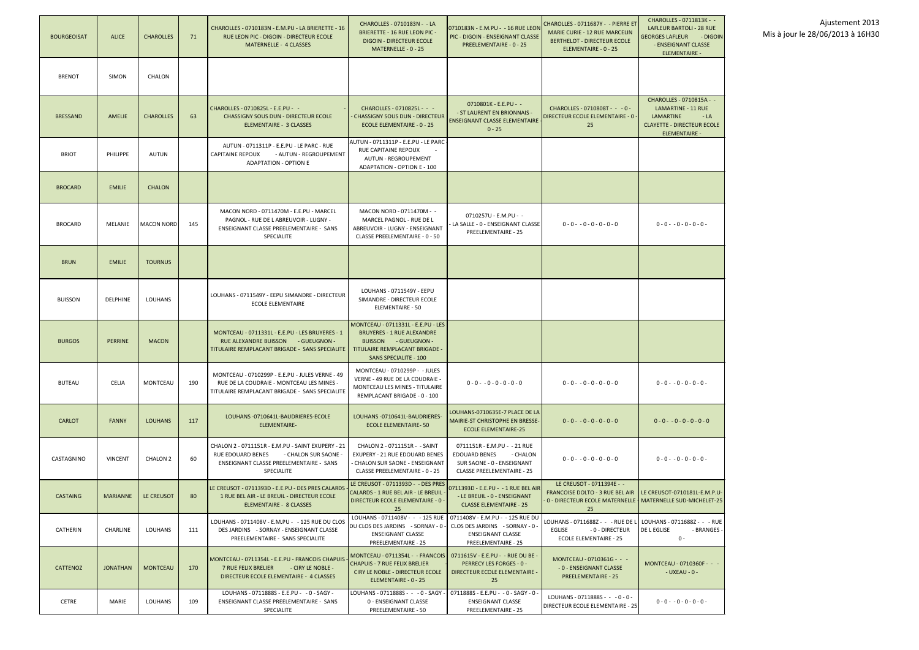| <b>BOURGEOISAT</b> | <b>ALICE</b>    | <b>CHAROLLES</b>  | 71  | CHAROLLES - 0710183N - E.M.PU - LA BRIERETTE - 16<br>RUE LEON PIC - DIGOIN - DIRECTEUR ECOLE<br><b>MATERNELLE - 4 CLASSES</b>                           | CHAROLLES - 0710183N - - LA<br><b>BRIERETTE - 16 RUE LEON PIC -</b><br><b>DIGOIN - DIRECTEUR ECOLE</b><br>MATERNELLE - 0 - 25                                           | 0710183N - E.M.PU - - 16 RUE LEON<br>PIC - DIGOIN - ENSEIGNANT CLASSE<br>PREELEMENTAIRE - 0 - 25                                    | CHAROLLES - 0711687Y - - PIERRE ET<br><b>MARIE CURIE - 12 RUE MARCELIN</b><br><b>BERTHELOT - DIRECTEUR ECOLE</b><br>ELEMENTAIRE - 0 - 25                              | CHAROLLES - 0711813K - -<br><b>LAFLEUR BARTOLI - 28 RUE</b><br><b>GEORGES LAFLEUR - DIGOIN</b><br>- ENSEIGNANT CLASSE<br><b>ELEMENTAIRE -</b> |
|--------------------|-----------------|-------------------|-----|---------------------------------------------------------------------------------------------------------------------------------------------------------|-------------------------------------------------------------------------------------------------------------------------------------------------------------------------|-------------------------------------------------------------------------------------------------------------------------------------|-----------------------------------------------------------------------------------------------------------------------------------------------------------------------|-----------------------------------------------------------------------------------------------------------------------------------------------|
| <b>BRENOT</b>      | <b>SIMON</b>    | <b>CHALON</b>     |     |                                                                                                                                                         |                                                                                                                                                                         |                                                                                                                                     |                                                                                                                                                                       |                                                                                                                                               |
| <b>BRESSAND</b>    | AMELIE          | <b>CHAROLLES</b>  | 63  | CHAROLLES - 0710825L - E.E.PU - -<br><b>CHASSIGNY SOUS DUN - DIRECTEUR ECOLE</b><br>ELEMENTAIRE - 3 CLASSES                                             | CHAROLLES - 0710825L - - -<br><b>CHASSIGNY SOUS DUN - DIRECTEUR</b><br><b>ECOLE ELEMENTAIRE - 0 - 25</b>                                                                | 0710801K - E.E.PU - -<br>- ST LAURENT EN BRIONNAIS -<br><b>ENSEIGNANT CLASSE ELEMENTAIRE</b><br>$0 - 25$                            | CHAROLLES - 0710808T - - - 0 -<br>DIRECTEUR ECOLE ELEMENTAIRE - 0 -<br>25                                                                                             | CHAROLLES - 0710815A - -<br>LAMARTINE - 11 RUE<br>LAMARTINE<br>$-LA$<br><b>CLAYETTE - DIRECTEUR ECOLE</b><br><b>ELEMENTAIRE -</b>             |
| <b>BRIOT</b>       | PHILIPPE        | AUTUN             |     | AUTUN - 0711311P - E.E.PU - LE PARC - RUE<br><b>CAPITAINE REPOUX</b><br>- AUTUN - REGROUPEMENT<br><b>ADAPTATION - OPTION E</b>                          | AUTUN - 0711311P - E.E.PU - LE PARC<br>RUE CAPITAINE REPOUX<br><b>AUTUN - REGROUPEMENT</b><br>ADAPTATION - OPTION E - 100                                               |                                                                                                                                     |                                                                                                                                                                       |                                                                                                                                               |
| <b>BROCARD</b>     | <b>EMILIE</b>   | <b>CHALON</b>     |     |                                                                                                                                                         |                                                                                                                                                                         |                                                                                                                                     |                                                                                                                                                                       |                                                                                                                                               |
| <b>BROCARD</b>     | MELANIE         | <b>MACON NORD</b> | 145 | MACON NORD - 0711470M - E.E.PU - MARCEL<br>PAGNOL - RUE DE LABREUVOIR - LUGNY -<br>ENSEIGNANT CLASSE PREELEMENTAIRE - SANS<br>SPECIALITE                | MACON NORD - 0711470M - -<br>MARCEL PAGNOL - RUE DE L<br>ABREUVOIR - LUGNY - ENSEIGNANT<br>CLASSE PREELEMENTAIRE - 0 - 50                                               | 0710257U - E.M.PU - -<br>LA SALLE - 0 - ENSEIGNANT CLASSE<br><b>PREELEMENTAIRE - 25</b>                                             | $0 - 0 - 0 - 0 - 0 - 0 - 0$                                                                                                                                           | $0 - 0 - 0 - 0 - 0 - 0 -$                                                                                                                     |
| <b>BRUN</b>        | <b>EMILIE</b>   | <b>TOURNUS</b>    |     |                                                                                                                                                         |                                                                                                                                                                         |                                                                                                                                     |                                                                                                                                                                       |                                                                                                                                               |
| <b>BUISSON</b>     | <b>DELPHINE</b> | <b>LOUHANS</b>    |     | LOUHANS - 0711549Y - EEPU SIMANDRE - DIRECTEUR<br><b>ECOLE ELEMENTAIRE</b>                                                                              | LOUHANS - 0711549Y - EEPU<br>SIMANDRE - DIRECTEUR ECOLE<br><b>ELEMENTAIRE - 50</b>                                                                                      |                                                                                                                                     |                                                                                                                                                                       |                                                                                                                                               |
| <b>BURGOS</b>      | <b>PERRINE</b>  | <b>MACON</b>      |     | MONTCEAU - 0711331L - E.E.PU - LES BRUYERES - 1<br>RUE ALEXANDRE BUISSON<br>- GUEUGNON -<br>TITULAIRE REMPLACANT BRIGADE - SANS SPECIALITE              | MONTCEAU - 0711331L - E.E.PU - LES<br><b>BRUYERES - 1 RUE ALEXANDRE</b><br>BUISSON - GUEUGNON -<br>TITULAIRE REMPLACANT BRIGADE -<br><b>SANS SPECIALITE - 100</b>       |                                                                                                                                     |                                                                                                                                                                       |                                                                                                                                               |
| <b>BUTEAU</b>      | <b>CELIA</b>    | MONTCEAU          | 190 | MONTCEAU - 0710299P - E.E.PU - JULES VERNE - 49<br>RUE DE LA COUDRAIE - MONTCEAU LES MINES -<br>TITULAIRE REMPLACANT BRIGADE - SANS SPECIALITE          | MONTCEAU - 0710299P - - JULES<br>VERNE - 49 RUE DE LA COUDRAIE -<br>MONTCEAU LES MINES - TITULAIRE<br>REMPLACANT BRIGADE - 0 - 100                                      | $0 - 0 - 0 - 0 - 0 - 0 - 0$                                                                                                         | $0 - 0 - 0 - 0 - 0 - 0 - 0$                                                                                                                                           | $0 - 0 - 0 - 0 - 0 - 0 -$                                                                                                                     |
| <b>CARLOT</b>      | <b>FANNY</b>    | <b>LOUHANS</b>    | 117 | LOUHANS -0710641L-BAUDRIERES-ECOLE<br><b>ELEMENTAIRE-</b>                                                                                               | LOUHANS -0710641L-BAUDRIERES-<br>ECOLE ELEMENTAIRE-50                                                                                                                   | LOUHANS-0710635E-7 PLACE DE LA<br>MAIRIE-ST CHRISTOPHE EN BRESSE-<br><b>ECOLE ELEMENTAIRE-25</b>                                    | $0 - 0 - 0 - 0 - 0 - 0 - 0$                                                                                                                                           | $0 - 0 - 0 - 0 - 0 - 0 - 0$                                                                                                                   |
| CASTAGNINO         | <b>VINCENT</b>  | CHALON 2          | 60  | CHALON 2 - 0711151R - E.M.PU - SAINT EXUPERY - 21<br>RUE EDOUARD BENES<br>- CHALON SUR SAONE -<br>ENSEIGNANT CLASSE PREELEMENTAIRE - SANS<br>SPECIALITE | CHALON 2 - 0711151R - - SAINT<br>EXUPERY - 21 RUE EDOUARD BENES<br>- CHALON SUR SAONE - ENSEIGNANT<br>CLASSE PREELEMENTAIRE - 0 - 25                                    | 0711151R - E.M.PU - - 21 RUE<br><b>EDOUARD BENES</b><br>- CHALON<br>SUR SAONE - 0 - ENSEIGNANT<br><b>CLASSE PREELEMENTAIRE - 25</b> | $0 - 0 - 0 - 0 - 0 - 0 - 0$                                                                                                                                           | $0 - 0 - 0 - 0 - 0 - 0 -$                                                                                                                     |
| <b>CASTAING</b>    | <b>MARIANNE</b> | LE CREUSOT        | 80  | LE CREUSOT - 0711393D - E.E.PU - DES PRES CALARDS<br>1 RUE BEL AIR - LE BREUIL - DIRECTEUR ECOLE<br>ELEMENTAIRE - 8 CLASSES                             | LE CREUSOT - 0711393D - - DES PRES<br><b>CALARDS - 1 RUE BEL AIR - LE BREUIL -</b><br>DIRECTEUR ECOLE ELEMENTAIRE - 0 -<br>25                                           | 0711393D - E.E.PU -  - 1 RUE BEL AIR<br>- LE BREUIL - 0 - ENSEIGNANT<br><b>CLASSE ELEMENTAIRE - 25</b>                              | LE CREUSOT - 0711394E - -<br><b>FRANCOISE DOLTO - 3 RUE BEL AIR LE CREUSOT-0710181L-E.M.P.U-</b><br>0 - DIRECTEUR ECOLE MATERNELLE   MATERNELLE SUD-MICHELET-25<br>25 |                                                                                                                                               |
| CATHERIN           | <b>CHARLINE</b> | <b>LOUHANS</b>    | 111 | LOUHANS - 0711408V - E.M.PU - - 125 RUE DU CLOS<br>DES JARDINS - SORNAY - ENSEIGNANT CLASSE<br>PREELEMENTAIRE - SANS SPECIALITE                         | LOUHANS - 0711408V - - - 125 RUE<br>DU CLOS DES JARDINS - SORNAY - 0 -<br><b>ENSEIGNANT CLASSE</b><br><b>PREELEMENTAIRE - 25</b>                                        | 0711408V - E.M.PU - - 125 RUE DU<br>CLOS DES JARDINS - SORNAY - 0 -<br><b>ENSEIGNANT CLASSE</b><br>PREELEMENTAIRE - 25              | LOUHANS - 0711688Z - - - RUE DE L¶LOUHANS - 0711688Z - - - RUE<br>EGLISE<br>- 0 - DIRECTEUR<br><b>ECOLE ELEMENTAIRE - 25</b>                                          | <b>DE L EGLISE</b><br>- BRANGES -<br>$0 -$                                                                                                    |
| <b>CATTENOZ</b>    | <b>JONATHAN</b> | <b>MONTCEAU</b>   | 170 | MONTCEAU - 0711354L - E.E.PU - FRANCOIS CHAPUIS<br><b>7 RUE FELIX BRELIER</b><br>- CIRY LE NOBLE -<br>DIRECTEUR ECOLE ELEMENTAIRE - 4 CLASSES           | MONTCEAU - 0711354L - - FRANCOIS   0711615V - E.E.PU - - RUE DU BE -<br><b>CHAPUIS - 7 RUE FELIX BRELIER</b><br>CIRY LE NOBLE - DIRECTEUR ECOLE<br>ELEMENTAIRE - 0 - 25 | <b>PERRECY LES FORGES - 0 -</b><br><b>DIRECTEUR ECOLE ELEMENTAIRE -</b><br>25                                                       | MONTCEAU - 0710361G - - -<br>- 0 - ENSEIGNANT CLASSE<br><b>PREELEMENTAIRE - 25</b>                                                                                    | MONTCEAU - 0710360F - - -<br>$-$ UXEAU - 0 -                                                                                                  |
| <b>CETRE</b>       | MARIE           | <b>LOUHANS</b>    | 109 | LOUHANS - 0711888S - E.E.PU - - 0 - SAGY -<br>ENSEIGNANT CLASSE PREELEMENTAIRE - SANS<br>SPECIALITE                                                     | LOUHANS - 0711888S - - - 0 - SAGY -<br>0 - ENSEIGNANT CLASSE<br>PREELEMENTAIRE - 50                                                                                     | 0711888S - E.E.PU - - 0 - SAGY - 0 -<br><b>ENSEIGNANT CLASSE</b><br>PREELEMENTAIRE - 25                                             | LOUHANS - $0711888S - - -0 -0 -$<br>DIRECTEUR ECOLE ELEMENTAIRE - 25                                                                                                  | $0 - 0 - 0 - 0 - 0 - 0 -$                                                                                                                     |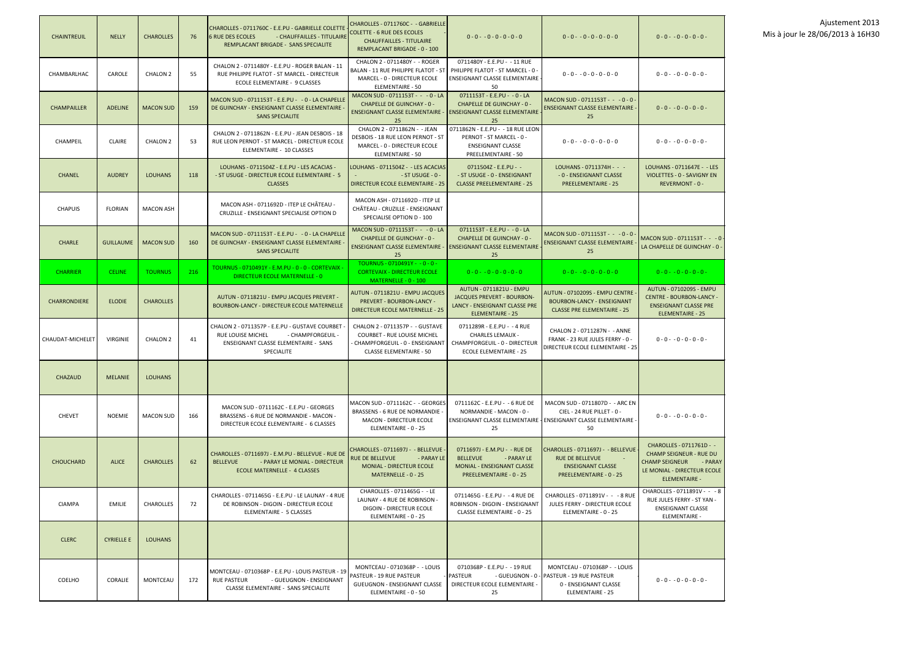| <b>CHAINTREUIL</b>  | <b>NELLY</b>      | <b>CHAROLLES</b> | 76  | CHAROLLES - 0711760C - E.E.PU - GABRIELLE COLETTE<br><b>6 RUE DES ECOLES</b><br>- CHAUFFAILLES - TITULAIRE<br>REMPLACANT BRIGADE - SANS SPECIALITE | CHAROLLES - 0711760C - - GABRIELLE<br><b>COLETTE - 6 RUE DES ECOLES</b><br><b>CHAUFFAILLES - TITULAIRE</b><br>REMPLACANT BRIGADE - 0 - 100 | $0 - 0 - 0 - 0 - 0 - 0 - 0$                                                                                             | $0 - 0 - 0 - 0 - 0 - 0 - 0$                                                                                                                 | $0 - 0 - 0 - 0 - 0 - 0 -$                                                                                                                             |
|---------------------|-------------------|------------------|-----|----------------------------------------------------------------------------------------------------------------------------------------------------|--------------------------------------------------------------------------------------------------------------------------------------------|-------------------------------------------------------------------------------------------------------------------------|---------------------------------------------------------------------------------------------------------------------------------------------|-------------------------------------------------------------------------------------------------------------------------------------------------------|
| CHAMBARLHAC         | CAROLE            | CHALON 2         | 55  | CHALON 2 - 0711480Y - E.E.PU - ROGER BALAN - 11<br>RUE PHILIPPE FLATOT - ST MARCEL - DIRECTEUR<br>ECOLE ELEMENTAIRE - 9 CLASSES                    | CHALON 2 - 0711480Y - - ROGER<br><b>BALAN - 11 RUE PHILIPPE FLATOT - ST</b><br>MARCEL - 0 - DIRECTEUR ECOLE<br><b>ELEMENTAIRE - 50</b>     | 0711480Y - E.E.PU - - 11 RUE<br>PHILIPPE FLATOT - ST MARCEL - 0<br>ENSEIGNANT CLASSE ELEMENTAIRE<br>50                  | $0 - 0 - 0 - 0 - 0 - 0 - 0$                                                                                                                 | $0 - 0 - 0 - 0 - 0 - 0 -$                                                                                                                             |
| <b>CHAMPAILLER</b>  | <b>ADELINE</b>    | <b>MACON SUD</b> | 159 | MACON SUD - 0711153T - E.E.PU - - 0 - LA CHAPELLE<br>DE GUINCHAY - ENSEIGNANT CLASSE ELEMENTAIRE<br><b>SANS SPECIALITE</b>                         | MACON SUD - 0711153T - - - 0 - LA<br><b>CHAPELLE DE GUINCHAY - 0 -</b><br><b>ENSEIGNANT CLASSE ELEMENTAIRE -</b><br>25                     | 0711153T - E.E.PU - - 0 - LA<br><b>CHAPELLE DE GUINCHAY - 0 -</b><br><b>ENSEIGNANT CLASSE ELEMENTAIRE</b><br>25         | MACON SUD - 0711153T - - - 0 - 0 -<br><b>ENSEIGNANT CLASSE ELEMENTAIRE</b><br>25                                                            | $0 - 0 - 0 - 0 - 0 - 0 -$                                                                                                                             |
| CHAMPEIL            | <b>CLAIRE</b>     | <b>CHALON 2</b>  | 53  | CHALON 2 - 0711862N - E.E.PU - JEAN DESBOIS - 18<br>RUE LEON PERNOT - ST MARCEL - DIRECTEUR ECOLE<br>ELEMENTAIRE - 10 CLASSES                      | CHALON 2 - 0711862N - - JEAN<br>DESBOIS - 18 RUE LEON PERNOT - ST<br>MARCEL - 0 - DIRECTEUR ECOLE<br><b>ELEMENTAIRE - 50</b>               | 0711862N - E.E.PU - - 18 RUE LEON<br>PERNOT - ST MARCEL - 0 -<br><b>ENSEIGNANT CLASSE</b><br>PREELEMENTAIRE - 50        | $0 - 0 - 0 - 0 - 0 - 0 - 0$                                                                                                                 | $0 - 0 - 0 - 0 - 0 - 0 -$                                                                                                                             |
| <b>CHANEL</b>       | <b>AUDREY</b>     | <b>LOUHANS</b>   | 118 | LOUHANS - 0711504Z - E.E.PU - LES ACACIAS -<br>- ST USUGE - DIRECTEUR ECOLE ELEMENTAIRE - 5<br><b>CLASSES</b>                                      | LOUHANS - 0711504Z - - LES ACACIAS<br>- ST USUGE - 0 -<br><b>DIRECTEUR ECOLE ELEMENTAIRE - 25</b>                                          | 0711504Z - E.E.PU - -<br>- ST USUGE - 0 - ENSEIGNANT<br><b>CLASSE PREELEMENTAIRE - 25</b>                               | LOUHANS - 0711374H - - -<br>- 0 - ENSEIGNANT CLASSE<br><b>PREELEMENTAIRE - 25</b>                                                           | LOUHANS - 0711647E - - LES<br>VIOLETTES - 0 - SAVIGNY EN<br>REVERMONT - 0 -                                                                           |
| <b>CHAPUIS</b>      | <b>FLORIAN</b>    | <b>MACON ASH</b> |     | MACON ASH - 0711692D - ITEP LE CHÂTEAU -<br>CRUZILLE - ENSEIGNANT SPECIALISE OPTION D                                                              | MACON ASH - 0711692D - ITEP LE<br>CHÂTEAU - CRUZILLE - ENSEIGNANT<br>SPECIALISE OPTION D - 100                                             |                                                                                                                         |                                                                                                                                             |                                                                                                                                                       |
| <b>CHARLE</b>       | <b>GUILLAUME</b>  | <b>MACON SUD</b> | 160 | MACON SUD - 0711153T - E.E.PU - - 0 - LA CHAPELLE<br>DE GUINCHAY - ENSEIGNANT CLASSE ELEMENTAIRE<br><b>SANS SPECIALITE</b>                         | MACON SUD - 0711153T - - - 0 - LA<br><b>CHAPELLE DE GUINCHAY - 0 -</b><br><b>ENSEIGNANT CLASSE ELEMENTAIRE -</b><br>25                     | 0711153T - E.E.PU - - 0 - LA<br><b>CHAPELLE DE GUINCHAY - 0 -</b><br><b>ENSEIGNANT CLASSE ELEMENTAIRE</b><br>25         | MACON SUD - 0711153T - - - 0 - 0<br><b>ENSEIGNANT CLASSE ELEMENTAIRE</b><br>25                                                              | /MACON SUD - 0711153T -   -   - 0<br>LA CHAPELLE DE GUINCHAY - 0 -                                                                                    |
| <b>CHARRIER</b>     | <b>CELINE</b>     | <b>TOURNUS</b>   | 216 | TOURNUS - 0710491Y - E.M.PU - 0 - 0 - CORTEVAIX -<br>DIRECTEUR ECOLE MATERNELLE - 0                                                                | TOURNUS - 0710491Y - - 0 - 0 -<br><b>CORTEVAIX - DIRECTEUR ECOLE</b><br>MATERNELLE - 0 - 100                                               | $0 - 0 - 0 - 0 - 0 - 0 - 0$                                                                                             | $0 - 0 - 0 - 0 - 0 - 0 - 0$                                                                                                                 | $0 - 0 - 0 - 0 - 0 - 0 -$                                                                                                                             |
| <b>CHARRONDIERE</b> | <b>ELODIE</b>     | <b>CHAROLLES</b> |     | AUTUN - 0711821U - EMPU JACQUES PREVERT -<br><b>BOURBON-LANCY - DIRECTEUR ECOLE MATERNELLE</b>                                                     | AUTUN - 0711821U - EMPU JACQUES<br>PREVERT - BOURBON-LANCY -<br><b>DIRECTEUR ECOLE MATERNELLE - 25</b>                                     | AUTUN - 0711821U - EMPU<br>JACQUES PREVERT - BOURBON-<br>LANCY - ENSEIGNANT CLASSE PRE<br><b>ELEMENTAIRE - 25</b>       | AUTUN - 0710209S - EMPU CENTRE<br><b>BOURBON-LANCY - ENSEIGNANT</b><br><b>CLASSE PRE ELEMENTAIRE - 25</b>                                   | AUTUN - 0710209S - EMPU<br><b>CENTRE - BOURBON-LANCY -</b><br><b>ENSEIGNANT CLASSE PRE</b><br><b>ELEMENTAIRE - 25</b>                                 |
| CHAUDAT-MICHELET    | <b>VIRGINIE</b>   | CHALON 2         | 41  | CHALON 2 - 0711357P - E.E.PU - GUSTAVE COURBET<br>RUE LOUISE MICHEL<br>- CHAMPFORGEUIL -<br>ENSEIGNANT CLASSE ELEMENTAIRE - SANS<br>SPECIALITE     | CHALON 2 - 0711357P - - GUSTAVE<br><b>COURBET - RUE LOUISE MICHEL</b><br>CHAMPFORGEUIL - 0 - ENSEIGNANT<br><b>CLASSE ELEMENTAIRE - 50</b>  | 0711289R - E.E.PU - -4 RUE<br><b>CHARLES LEMAUX -</b><br>CHAMPFORGEUIL - 0 - DIRECTEUR<br><b>ECOLE ELEMENTAIRE - 25</b> | CHALON 2 - 0711287N - - ANNE<br>FRANK - 23 RUE JULES FERRY - 0 -<br>DIRECTEUR ECOLE ELEMENTAIRE - 25                                        | $0 - 0 - 0 - 0 - 0 - 0 -$                                                                                                                             |
| <b>CHAZAUD</b>      | <b>MELANIE</b>    | <b>LOUHANS</b>   |     |                                                                                                                                                    |                                                                                                                                            |                                                                                                                         |                                                                                                                                             |                                                                                                                                                       |
| <b>CHEVET</b>       | <b>NOEMIE</b>     | <b>MACON SUD</b> | 166 | MACON SUD - 0711162C - E.E.PU - GEORGES<br>BRASSENS - 6 RUE DE NORMANDIE - MACON -<br>DIRECTEUR ECOLE ELEMENTAIRE - 6 CLASSES                      | MACON SUD - 0711162C - - GEORGES<br>BRASSENS - 6 RUE DE NORMANDIE -<br><b>MACON - DIRECTEUR ECOLE</b><br>ELEMENTAIRE - 0 - 25              | 0711162C - E.E.PU - - 6 RUE DE<br>NORMANDIE - MACON - 0 -<br>25                                                         | MACON SUD - 0711807D - - ARC EN<br>CIEL - 24 RUE PILLET - 0 -<br><b>ENSEIGNANT CLASSE ELEMENTAIRE   ENSEIGNANT CLASSE ELEMENTAIRE</b><br>50 | $0 - 0 - 0 - 0 - 0 - 0 -$                                                                                                                             |
| <b>CHOUCHARD</b>    | <b>ALICE</b>      | <b>CHAROLLES</b> | 62  | CHAROLLES - 0711697J - E.M.PU - BELLEVUE - RUE DE<br><b>BELLEVUE</b><br>- PARAY LE MONIAL - DIRECTEUR<br><b>ECOLE MATERNELLE - 4 CLASSES</b>       | CHAROLLES - 0711697J - - BELLEVUE -<br><b>RUE DE BELLEVUE</b><br>- PARAY LE<br><b>MONIAL - DIRECTEUR ECOLE</b><br>MATERNELLE - 0 - 25      | 0711697J - E.M.PU - - RUE DE<br><b>BELLEVUE</b><br>- PARAY LE<br>MONIAL - ENSEIGNANT CLASSE<br>PREELEMENTAIRE - 0 - 25  | CHAROLLES - 0711697J - - BELLEVUE<br><b>RUE DE BELLEVUE</b><br><b>ENSEIGNANT CLASSE</b><br>PREELEMENTAIRE - 0 - 25                          | CHAROLLES - 0711761D - -<br><b>CHAMP SEIGNEUR - RUE DU</b><br><b>CHAMP SEIGNEUR</b><br>- PARAY<br>LE MONIAL - DIRECTEUR ECOLE<br><b>ELEMENTAIRE -</b> |
| <b>CIAMPA</b>       | <b>EMILIE</b>     | <b>CHAROLLES</b> | 72  | CHAROLLES - 0711465G - E.E.PU - LE LAUNAY - 4 RUE<br>DE ROBINSON - DIGOIN - DIRECTEUR ECOLE<br>ELEMENTAIRE - 5 CLASSES                             | CHAROLLES - 0711465G - - LE<br>LAUNAY - 4 RUE DE ROBINSON -<br><b>DIGOIN - DIRECTEUR ECOLE</b><br>ELEMENTAIRE - 0 - 25                     | 0711465G - E.E.PU - -4 RUE DE<br>ROBINSON - DIGOIN - ENSEIGNANT<br>CLASSE ELEMENTAIRE - 0 - 25                          | CHAROLLES - 0711891V - - - 8 RUE<br>JULES FERRY - DIRECTEUR ECOLE<br>ELEMENTAIRE - 0 - 25                                                   | CHAROLLES - 0711891V - - - 8<br>RUE JULES FERRY - ST YAN -<br><b>ENSEIGNANT CLASSE</b><br><b>ELEMENTAIRE -</b>                                        |
| <b>CLERC</b>        | <b>CYRIELLE E</b> | <b>LOUHANS</b>   |     |                                                                                                                                                    |                                                                                                                                            |                                                                                                                         |                                                                                                                                             |                                                                                                                                                       |
| COELHO              | CORALIE           | <b>MONTCEAU</b>  | 172 | MONTCEAU - 0710368P - E.E.PU - LOUIS PASTEUR - 19<br>RUE PASTEUR<br>- GUEUGNON - ENSEIGNANT<br>CLASSE ELEMENTAIRE - SANS SPECIALITE                | MONTCEAU - 0710368P - - LOUIS<br>PASTEUR - 19 RUE PASTEUR<br><b>GUEUGNON - ENSEIGNANT CLASSE</b><br>ELEMENTAIRE - 0 - 50                   | 0710368P - E.E.PU - -19 RUE<br>PASTEUR<br>- GUEUGNON - 0<br>DIRECTEUR ECOLE ELEMENTAIRE -<br>25                         | MONTCEAU - 0710368P - - LOUIS<br>- PASTEUR - 19 RUE PASTEUR<br>0 - ENSEIGNANT CLASSE<br>ELEMENTAIRE - 25                                    | $0 - 0 - 0 - 0 - 0 - 0 -$                                                                                                                             |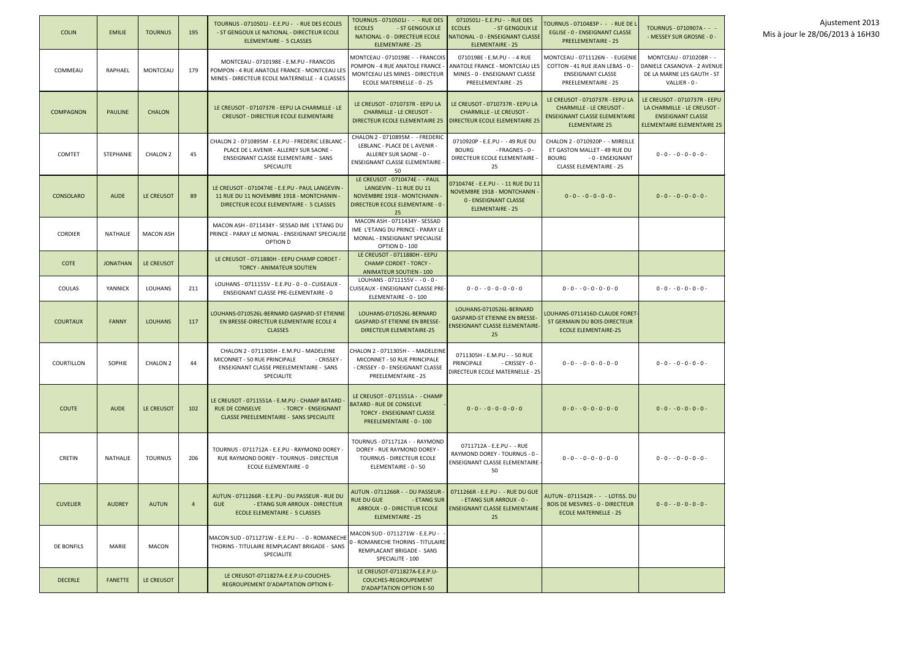| <b>COLIN</b>     | <b>EMILIE</b>    | <b>TOURNUS</b>   | 195            | TOURNUS - 0710501J - E.E.PU - - RUE DES ECOLES<br>- ST GENGOUX LE NATIONAL - DIRECTEUR ECOLE<br><b>ELEMENTAIRE - 5 CLASSES</b>                          | TOURNUS - 0710501J - - - RUE DES<br><b>ECOLES</b><br>- ST GENGOUX LE<br>NATIONAL - 0 - DIRECTEUR ECOLE<br><b>ELEMENTAIRE - 25</b>     | 0710501J - E.E.PU - - RUE DES<br><b>ECOLES</b><br>- ST GENGOUX LE<br>NATIONAL - 0 - ENSEIGNANT CLASSE<br><b>ELEMENTAIRE - 25</b> | TOURNUS - 0710483P - - - RUE DE I<br><b>EGLISE - 0 - ENSEIGNANT CLASSE</b><br><b>PREELEMENTAIRE - 25</b>                               | TOURNUS - 0710907A - - -<br>- MESSEY SUR GROSNE - 0 -                                                                        |
|------------------|------------------|------------------|----------------|---------------------------------------------------------------------------------------------------------------------------------------------------------|---------------------------------------------------------------------------------------------------------------------------------------|----------------------------------------------------------------------------------------------------------------------------------|----------------------------------------------------------------------------------------------------------------------------------------|------------------------------------------------------------------------------------------------------------------------------|
| COMMEAU          | RAPHAEL          | MONTCEAU         | 179            | MONTCEAU - 0710198E - E.M.PU - FRANCOIS<br>POMPON - 4 RUE ANATOLE FRANCE - MONTCEAU LES<br>MINES - DIRECTEUR ECOLE MATERNELLE - 4 CLASSES               | MONTCEAU - 0710198E - - FRANCOIS<br>POMPON - 4 RUE ANATOLE FRANCE -<br>MONTCEAU LES MINES - DIRECTEUR<br>ECOLE MATERNELLE - 0 - 25    | 0710198E - E.M.PU - -4 RUE<br><b>ANATOLE FRANCE - MONTCEAU LES</b><br>MINES - 0 - ENSEIGNANT CLASSE<br>PREELEMENTAIRE - 25       | MONTCEAU - 0711126N - - EUGENIE<br>COTTON - 41 RUE JEAN LEBAS - 0 -<br><b>ENSEIGNANT CLASSE</b><br><b>PREELEMENTAIRE - 25</b>          | MONTCEAU - 0710208R - -<br>DANIELE CASANOVA - 2 AVENUE<br>DE LA MARNE LES GAUTH - ST<br>VALLIER - 0 -                        |
| COMPAGNON        | <b>PAULINE</b>   | <b>CHALON</b>    |                | LE CREUSOT - 0710737R - EEPU LA CHARMILLE - LE<br><b>CREUSOT - DIRECTEUR ECOLE ELEMENTAIRE</b>                                                          | LE CREUSOT - 0710737R - EEPU LA<br><b>CHARMILLE - LE CREUSOT -</b><br>DIRECTEUR ECOLE ELEMENTAIRE 25   DIRECTEUR ECOLE ELEMENTAIRE 25 | LE CREUSOT - 0710737R - EEPU LA<br><b>CHARMILLE - LE CREUSOT -</b>                                                               | LE CREUSOT - 0710737R - EEPU LA<br><b>CHARMILLE - LE CREUSOT -</b><br><b>ENSEIGNANT CLASSE ELEMENTAIRE</b><br><b>ELEMENTAIRE 25</b>    | LE CREUSOT - 0710737R - EEPU<br>LA CHARMILLE - LE CREUSOT -<br><b>ENSEIGNANT CLASSE</b><br><b>ELEMENTAIRE ELEMENTAIRE 25</b> |
| <b>COMTET</b>    | <b>STEPHANIE</b> | CHALON 2         | 45             | CHALON 2 - 0710895M - E.E.PU - FREDERIC LEBLANC<br>PLACE DE L AVENIR - ALLEREY SUR SAONE -<br>ENSEIGNANT CLASSE ELEMENTAIRE - SANS<br>SPECIALITE        | CHALON 2 - 0710895M - - FREDERIC<br>LEBLANC - PLACE DE L AVENIR -<br>ALLEREY SUR SAONE - 0 -<br>ENSEIGNANT CLASSE ELEMENTAIRE -<br>50 | 0710920P - E.E.PU - -49 RUE DU<br><b>BOURG</b><br>- FRAGNES - 0 -<br>DIRECTEUR ECOLE ELEMENTAIRE -<br>25                         | CHALON 2 - 0710920P - - MIREILLE<br>ET GASTON MALLET - 49 RUE DU<br><b>BOURG</b><br>- 0 - ENSEIGNANT<br><b>CLASSE ELEMENTAIRE - 25</b> | $0 - 0 - 0 - 0 - 0 - 0 -$                                                                                                    |
| <b>CONSOLARO</b> | <b>AUDE</b>      | LE CREUSOT       | 89             | LE CREUSOT - 0710474E - E.E.PU - PAUL LANGEVIN -<br>11 RUE DU 11 NOVEMBRE 1918 - MONTCHANIN -<br>DIRECTEUR ECOLE ELEMENTAIRE - 5 CLASSES                | LE CREUSOT - 0710474E - - PAUL<br>LANGEVIN - 11 RUE DU 11<br>NOVEMBRE 1918 - MONTCHANIN -<br>DIRECTEUR ECOLE ELEMENTAIRE - 0 -<br>25  | 0710474E - E.E.PU - - 11 RUE DU 11<br>NOVEMBRE 1918 - MONTCHANIN<br>0 - ENSEIGNANT CLASSE<br><b>ELEMENTAIRE - 25</b>             | $0 - 0 - 0 - 0 - 0 - 0 -$                                                                                                              | $0 - 0 - 0 - 0 - 0 - 0 -$                                                                                                    |
| <b>CORDIER</b>   | <b>NATHALIE</b>  | <b>MACON ASH</b> |                | MACON ASH - 0711434Y - SESSAD IME L'ETANG DU<br>PRINCE - PARAY LE MONIAL - ENSEIGNANT SPECIALISE<br>OPTION D                                            | MACON ASH - 0711434Y - SESSAD<br>IME L'ETANG DU PRINCE - PARAY LE<br>MONIAL - ENSEIGNANT SPECIALISE<br>OPTION D - 100                 |                                                                                                                                  |                                                                                                                                        |                                                                                                                              |
| <b>COTE</b>      | <b>JONATHAN</b>  | LE CREUSOT       |                | LE CREUSOT - 0711880H - EEPU CHAMP CORDET -<br><b>TORCY - ANIMATEUR SOUTIEN</b>                                                                         | LE CREUSOT - 0711880H - EEPU<br><b>CHAMP CORDET - TORCY -</b><br><b>ANIMATEUR SOUTIEN - 100</b>                                       |                                                                                                                                  |                                                                                                                                        |                                                                                                                              |
| COULAS           | YANNICK          | <b>LOUHANS</b>   | 211            | LOUHANS - 0711155V - E.E.PU - 0 - 0 - CUISEAUX -<br>ENSEIGNANT CLASSE PRE-ELEMENTAIRE - 0                                                               | LOUHANS - 0711155V - - 0 - 0 -<br>CUISEAUX - ENSEIGNANT CLASSE PRE-<br>ELEMENTAIRE - 0 - 100                                          | $0 - 0 - 0 - 0 - 0 - 0 - 0$                                                                                                      | $0 - 0 - 0 - 0 - 0 - 0 - 0$                                                                                                            | $0 - 0 - 0 - 0 - 0 - 0 -$                                                                                                    |
| <b>COURTAUX</b>  | <b>FANNY</b>     | <b>LOUHANS</b>   | 117            | LOUHANS-0710526L-BERNARD GASPARD-ST ETIENNE<br>EN BRESSE-DIRECTEUR ELEMENTAIRE ECOLE 4<br><b>CLASSES</b>                                                | LOUHANS-0710526L-BERNARD<br><b>GASPARD-ST ETIENNE EN BRESSE-</b><br><b>DIRECTEUR ELEMENTAIRE-25</b>                                   | LOUHANS-0710526L-BERNARD<br>GASPARD-ST ETIENNE EN BRESSE-<br><b>ENSEIGNANT CLASSE ELEMENTAIRE</b><br>25                          | LOUHANS-0711416D-CLAUDE FORET-<br>ST GERMAIN DU BOIS-DIRECTEUR<br><b>ECOLE ELEMENTAIRE-25</b>                                          |                                                                                                                              |
| COURTILLON       | <b>SOPHIE</b>    | CHALON 2         | 44             | CHALON 2 - 0711305H - E.M.PU - MADELEINE<br>MICONNET - 50 RUE PRINCIPALE<br>- CRISSEY -<br><b>ENSEIGNANT CLASSE PREELEMENTAIRE - SANS</b><br>SPECIALITE | CHALON 2 - 0711305H - - MADELEINE<br>MICONNET - 50 RUE PRINCIPALE<br>- CRISSEY - 0 - ENSEIGNANT CLASSE<br><b>PREELEMENTAIRE - 25</b>  | 0711305H - E.M.PU - - 50 RUE<br>PRINCIPALE<br>- CRISSEY - 0 -<br>DIRECTEUR ECOLE MATERNELLE - 25                                 | $0 - 0 - 0 - 0 - 0 - 0 - 0$                                                                                                            | $0 - 0 - 0 - 0 - 0 - 0 -$                                                                                                    |
| <b>COUTE</b>     | AUDE             | LE CREUSOT       | 102            | LE CREUSOT - 0711551A - E.M.PU - CHAMP BATARD<br>RUE DE CONSELVE<br>- TORCY - ENSEIGNANT<br><b>CLASSE PREELEMENTAIRE - SANS SPECIALITE</b>              | LE CREUSOT - 0711551A - - CHAMP<br><b>BATARD - RUE DE CONSELVE</b><br><b>TORCY - ENSEIGNANT CLASSE</b><br>PREELEMENTAIRE - 0 - 100    | $0 - 0 - 0 - 0 - 0 - 0 - 0$                                                                                                      | $0 - 0 - 0 - 0 - 0 - 0 - 0$                                                                                                            | $0 - 0 - 0 - 0 - 0 - 0 -$                                                                                                    |
| <b>CRETIN</b>    | NATHALIE         | <b>TOURNUS</b>   | 206            | TOURNUS - 0711712A - E.E.PU - RAYMOND DOREY -<br>RUE RAYMOND DOREY - TOURNUS - DIRECTEUR<br>ECOLE ELEMENTAIRE - 0                                       | TOURNUS - 0711712A - - RAYMOND<br>DOREY - RUE RAYMOND DOREY -<br>TOURNUS - DIRECTEUR ECOLE<br>ELEMENTAIRE - 0 - 50                    | 0711712A - E.E.PU - - RUE<br>RAYMOND DOREY - TOURNUS - 0 -<br>ENSEIGNANT CLASSE ELEMENTAIRE<br>50                                | $0 - 0 - 0 - 0 - 0 - 0 - 0$                                                                                                            | $0 - 0 - 0 - 0 - 0 - 0 -$                                                                                                    |
| <b>CUVELIER</b>  | <b>AUDREY</b>    | <b>AUTUN</b>     | $\overline{4}$ | AUTUN - 0711266R - E.E.PU - DU PASSEUR - RUE DU<br>- ETANG SUR ARROUX - DIRECTEUR<br><b>GUE</b><br>ECOLE ELEMENTAIRE - 5 CLASSES                        | AUTUN - 0711266R - - DU PASSEUR -<br><b>RUE DU GUE</b><br>- ETANG SUR<br>ARROUX - 0 - DIRECTEUR ECOLE<br><b>ELEMENTAIRE - 25</b>      | 0711266R - E.E.PU - - RUE DU GUE<br>- ETANG SUR ARROUX - 0 -<br><b>ENSEIGNANT CLASSE ELEMENTAIRE</b><br>25                       | AUTUN - 0711542R -   -   - LOTISS. DU<br><b>BOIS DE MESVRES - 0 - DIRECTEUR</b><br><b>ECOLE MATERNELLE - 25</b>                        | $0 - 0 - 0 - 0 - 0 - 0 -$                                                                                                    |
| DE BONFILS       | MARIE            | <b>MACON</b>     |                | MACON SUD - 0711271W - E.E.PU - - 0 - ROMANECHE<br>THORINS - TITULAIRE REMPLACANT BRIGADE - SANS<br>SPECIALITE                                          | MACON SUD - 0711271W - E.E.PU -<br>0 - ROMANECHE THORINS - TITULAIRE<br>REMPLACANT BRIGADE - SANS<br>SPECIALITE - 100                 |                                                                                                                                  |                                                                                                                                        |                                                                                                                              |
| <b>DECERLE</b>   | <b>FANETTE</b>   | LE CREUSOT       |                | LE CREUSOT-0711827A-E.E.P.U-COUCHES-<br><b>REGROUPEMENT D'ADAPTATION OPTION E-</b>                                                                      | LE CREUSOT-0711827A-E.E.P.U-<br><b>COUCHES-REGROUPEMENT</b><br><b>D'ADAPTATION OPTION E-50</b>                                        |                                                                                                                                  |                                                                                                                                        |                                                                                                                              |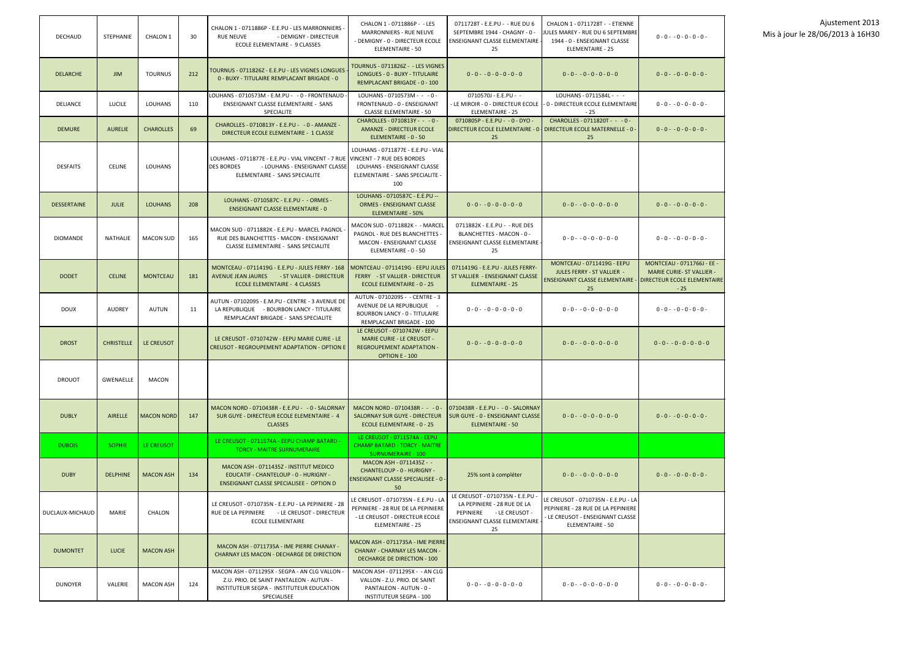| <b>DECHAUD</b>     | <b>STEPHANIE</b>  | <b>CHALON 1</b>   | 30  | CHALON 1 - 0711886P - E.E.PU - LES MARRONNIERS -<br><b>RUE NEUVE</b><br>- DEMIGNY - DIRECTEUR<br>ECOLE ELEMENTAIRE - 9 CLASSES                                       | CHALON 1 - 0711886P - - LES<br><b>MARRONNIERS - RUE NEUVE</b><br>- DEMIGNY - 0 - DIRECTEUR ECOLE<br>ELEMENTAIRE - 50                   | 0711728T - E.E.PU - - RUE DU 6<br>SEPTEMBRE 1944 - CHAGNY - 0 -<br>ENSEIGNANT CLASSE ELEMENTAIRE<br>25                             | CHALON 1 - 0711728T - - ETIENNE<br>JULES MAREY - RUE DU 6 SEPTEMBRE<br>1944 - 0 - ENSEIGNANT CLASSE<br><b>ELEMENTAIRE - 25</b>    | $0 - 0 - 0 - 0 - 0 - 0 -$                                                                                     |
|--------------------|-------------------|-------------------|-----|----------------------------------------------------------------------------------------------------------------------------------------------------------------------|----------------------------------------------------------------------------------------------------------------------------------------|------------------------------------------------------------------------------------------------------------------------------------|-----------------------------------------------------------------------------------------------------------------------------------|---------------------------------------------------------------------------------------------------------------|
| <b>DELARCHE</b>    | <b>JIM</b>        | <b>TOURNUS</b>    | 212 | TOURNUS - 0711826Z - E.E.PU - LES VIGNES LONGUES<br>0 - BUXY - TITULAIRE REMPLACANT BRIGADE - 0                                                                      | <b>TOURNUS - 0711826Z - - LES VIGNES</b><br>LONGUES - 0 - BUXY - TITULAIRE<br>REMPLACANT BRIGADE - 0 - 100                             | $0 - 0 - 0 - 0 - 0 - 0 - 0$                                                                                                        | $0 - 0 - 0 - 0 - 0 - 0 - 0$                                                                                                       | $0 - 0 - 0 - 0 - 0 - 0 -$                                                                                     |
| <b>DELIANCE</b>    | <b>LUCILE</b>     | <b>LOUHANS</b>    | 110 | LOUHANS - 0710573M - E.M.PU - - 0 - FRONTENAUD<br>ENSEIGNANT CLASSE ELEMENTAIRE - SANS<br>SPECIALITE                                                                 | LOUHANS - 0710573M - - - 0 -<br>FRONTENAUD - 0 - ENSEIGNANT<br><b>CLASSE ELEMENTAIRE - 50</b>                                          | 0710570J - E.E.PU - -<br>- LE MIROIR - 0 - DIRECTEUR ECOLE<br><b>ELEMENTAIRE - 25</b>                                              | LOUHANS - 0711584L - - -<br>- 0 - DIRECTEUR ECOLE ELEMENTAIRE<br>$-25$                                                            | $0 - 0 - 0 - 0 - 0 - 0 -$                                                                                     |
| <b>DEMURE</b>      | <b>AURELIE</b>    | <b>CHAROLLES</b>  | 69  | CHAROLLES - 0710813Y - E.E.PU - - 0 - AMANZE -<br>DIRECTEUR ECOLE ELEMENTAIRE - 1 CLASSE                                                                             | CHAROLLES - 0710813Y - - - 0 -<br><b>AMANZE - DIRECTEUR ECOLE</b><br>ELEMENTAIRE - 0 - 50                                              | 0710805P - E.E.PU - - 0 - DYO -<br>DIRECTEUR ECOLE ELEMENTAIRE - 0<br>25                                                           | CHAROLLES - 0711820T - - - 0 -<br>  DIRECTEUR ECOLE MATERNELLE - 0 -<br>25                                                        | $0 - 0 - 0 - 0 - 0 - 0 -$                                                                                     |
| <b>DESFAITS</b>    | <b>CELINE</b>     | <b>LOUHANS</b>    |     | LOUHANS - 0711877E - E.E.PU - VIAL VINCENT - 7 RUE VINCENT - 7 RUE DES BORDES<br><b>DES BORDES</b><br>- LOUHANS - ENSEIGNANT CLASSE<br>ELEMENTAIRE - SANS SPECIALITE | LOUHANS - 0711877E - E.E.PU - VIAL<br>LOUHANS - ENSEIGNANT CLASSE<br>ELEMENTAIRE - SANS SPECIALITE -<br>100                            |                                                                                                                                    |                                                                                                                                   |                                                                                                               |
| <b>DESSERTAINE</b> | <b>JULIE</b>      | <b>LOUHANS</b>    | 208 | LOUHANS - 0710587C - E.E.PU - - ORMES -<br><b>ENSEIGNANT CLASSE ELEMENTAIRE - 0</b>                                                                                  | LOUHANS - 0710587C - E.E.PU --<br><b>ORMES - ENSEIGNANT CLASSE</b><br><b>ELEMENTAIRE - 50%</b>                                         | $0 - 0 - 0 - 0 - 0 - 0 - 0$                                                                                                        | $0 - 0 - 0 - 0 - 0 - 0 - 0$                                                                                                       | $0 - 0 - 0 - 0 - 0 - 0 -$                                                                                     |
| <b>DIOMANDE</b>    | <b>NATHALIE</b>   | <b>MACON SUD</b>  | 165 | MACON SUD - 0711882K - E.E.PU - MARCEL PAGNOL<br>RUE DES BLANCHETTES - MACON - ENSEIGNANT<br>CLASSE ELEMENTAIRE - SANS SPECIALITE                                    | MACON SUD - 0711882K - - MARCEL<br>PAGNOL - RUE DES BLANCHETTES -<br>MACON - ENSEIGNANT CLASSE<br>ELEMENTAIRE - 0 - 50                 | 0711882K - E.E.PU - - RUE DES<br>BLANCHETTES - MACON - 0 -<br><b>ENSEIGNANT CLASSE ELEMENTAIRE</b><br>25                           | $0 - 0 - 0 - 0 - 0 - 0 - 0$                                                                                                       | $0 - 0 - 0 - 0 - 0 - 0 -$                                                                                     |
| <b>DODET</b>       | <b>CELINE</b>     | <b>MONTCEAU</b>   | 181 | MONTCEAU - 0711419G - E.E.PU - JULES FERRY - 168<br>AVENUE JEAN JAURES<br>- ST VALLIER - DIRECTEUR<br><b>ECOLE ELEMENTAIRE - 4 CLASSES</b>                           | MONTCEAU - 0711419G - EEPU JULES<br>FERRY - ST VALLIER - DIRECTEUR<br><b>ECOLE ELEMENTAIRE - 0 - 25</b>                                | 0711419G - E.E.PU - JULES FERRY-<br>ST VALLIER - ENSEIGNANT CLASSE<br><b>ELEMENTAIRE - 25</b>                                      | <b>MONTCEAU - 0711419G - EEPU</b><br>JULES FERRY - ST VALLIER -<br><b>ENSEIGNANT CLASSE ELEMENTAIRE -</b><br>25                   | MONTCEAU - 0711766J - EE -<br><b>MARIE CURIE- ST VALLIER -</b><br><b>DIRECTEUR ECOLE ELEMENTAIRE</b><br>$-25$ |
| <b>DOUX</b>        | <b>AUDREY</b>     | <b>AUTUN</b>      | 11  | AUTUN - 0710209S - E.M.PU - CENTRE - 3 AVENUE DE<br>LA REPUBLIQUE - BOURBON LANCY - TITULAIRE<br>REMPLACANT BRIGADE - SANS SPECIALITE                                | AUTUN - 0710209S - - CENTRE - 3<br>AVENUE DE LA REPUBLIQUE -<br><b>BOURBON LANCY - 0 - TITULAIRE</b><br>REMPLACANT BRIGADE - 100       | $0 - 0 - 0 - 0 - 0 - 0 - 0$                                                                                                        | $0 - 0 - 0 - 0 - 0 - 0 - 0$                                                                                                       | $0 - 0 - 0 - 0 - 0 - 0 -$                                                                                     |
| <b>DROST</b>       | <b>CHRISTELLE</b> | LE CREUSOT        |     | LE CREUSOT - 0710742W - EEPU MARIE CURIE - LE<br><b>CREUSOT - REGROUPEMENT ADAPTATION - OPTION E</b>                                                                 | LE CREUSOT - 0710742W - EEPU<br><b>MARIE CURIE - LE CREUSOT -</b><br><b>REGROUPEMENT ADAPTATION -</b><br><b>OPTION E - 100</b>         | $0 - 0 - 0 - 0 - 0 - 0 - 0$                                                                                                        | $0 - 0 - 0 - 0 - 0 - 0 - 0$                                                                                                       | $0 - 0 - 0 - 0 - 0 - 0 - 0$                                                                                   |
| <b>DROUOT</b>      | <b>GWENAELLE</b>  | <b>MACON</b>      |     |                                                                                                                                                                      |                                                                                                                                        |                                                                                                                                    |                                                                                                                                   |                                                                                                               |
| <b>DUBLY</b>       | <b>AIRELLE</b>    | <b>MACON NORD</b> | 147 | MACON NORD - 0710438R - E.E.PU - - 0 - SALORNAY<br>SUR GUYE - DIRECTEUR ECOLE ELEMENTAIRE - 4<br><b>CLASSES</b>                                                      | MACON NORD - 0710438R - - - 0 -<br>SALORNAY SUR GUYE - DIRECTEUR<br><b>ECOLE ELEMENTAIRE - 0 - 25</b>                                  | 0710438R - E.E.PU - - 0 - SALORNAY<br>SUR GUYE - 0 - ENSEIGNANT CLASSE<br><b>ELEMENTAIRE - 50</b>                                  | $0 - 0 - 0 - 0 - 0 - 0 - 0$                                                                                                       | $0 - 0 - 0 - 0 - 0 - 0 -$                                                                                     |
| <b>DUBOIS</b>      | <b>SOPHIE</b>     | LE CREUSOT        |     | LE CREUSOT - 0711574A - EEPU CHAMP BATARD -<br><b>TORCY - MAITRE SURNUMERAIRE</b>                                                                                    | LE CREUSOT - 0711574A - EEPU<br><b>CHAMP BATARD - TORCY - MAITRE</b><br><b>SURNUMERAIRE - 100</b>                                      |                                                                                                                                    |                                                                                                                                   |                                                                                                               |
| <b>DUBY</b>        | <b>DELPHINE</b>   | <b>MACON ASH</b>  | 134 | MACON ASH - 0711435Z - INSTITUT MEDICO<br>EDUCATIF - CHANTELOUP - 0 - HURIGNY -<br><b>ENSEIGNANT CLASSE SPECIALISEE - OPTION D</b>                                   | MACON ASH - 0711435Z - -<br><b>CHANTELOUP - 0 - HURIGNY -</b><br><b>ENSEIGNANT CLASSE SPECIALISEE - 0 -</b><br>50                      | 25% sont à compléter                                                                                                               | $0 - 0 - 0 - 0 - 0 - 0 - 0$                                                                                                       | $0 - 0 - 0 - 0 - 0 - 0 -$                                                                                     |
| DUCLAUX-MICHAUD    | MARIE             | CHALON            |     | LE CREUSOT - 0710735N - E.E.PU - LA PEPINIERE - 28<br>RUE DE LA PEPINIERE<br>- LE CREUSOT - DIRECTEUR<br><b>ECOLE ELEMENTAIRE</b>                                    | LE CREUSOT - 0710735N - E.E.PU - LA<br>PEPINIERE - 28 RUE DE LA PEPINIERE<br>- LE CREUSOT - DIRECTEUR ECOLE<br><b>ELEMENTAIRE - 25</b> | LE CREUSOT - 0710735N - E.E.PU -<br>LA PEPINIERE - 28 RUE DE LA<br>PEPINIERE - LE CREUSOT -<br>ENSEIGNANT CLASSE ELEMENTAIRE<br>25 | LE CREUSOT - 0710735N - E.E.PU - LA<br>PEPINIERE - 28 RUE DE LA PEPINIERE<br>- LE CREUSOT - ENSEIGNANT CLASSE<br>ELEMENTAIRE - 50 |                                                                                                               |
| <b>DUMONTET</b>    | <b>LUCIE</b>      | <b>MACON ASH</b>  |     | MACON ASH - 0711735A - IME PIERRE CHANAY -<br>CHARNAY LES MACON - DECHARGE DE DIRECTION                                                                              | MACON ASH - 0711735A - IME PIERRE<br><b>CHANAY - CHARNAY LES MACON -</b><br><b>DECHARGE DE DIRECTION - 100</b>                         |                                                                                                                                    |                                                                                                                                   |                                                                                                               |
| <b>DUNOYER</b>     | VALERIE           | <b>MACON ASH</b>  | 124 | MACON ASH - 0711295X - SEGPA - AN CLG VALLON -<br>Z.U. PRIO. DE SAINT PANTALEON - AUTUN -<br>INSTITUTEUR SEGPA - INSTITUTEUR EDUCATION<br>SPECIALISEE                | MACON ASH - 0711295X - - AN CLG<br>VALLON - Z.U. PRIO. DE SAINT<br>PANTALEON - AUTUN - 0 -<br><b>INSTITUTEUR SEGPA - 100</b>           | $0 - 0 - 0 - 0 - 0 - 0 - 0$                                                                                                        | $0 - 0 - 0 - 0 - 0 - 0 - 0$                                                                                                       | $0 - 0 - 0 - 0 - 0 - 0 -$                                                                                     |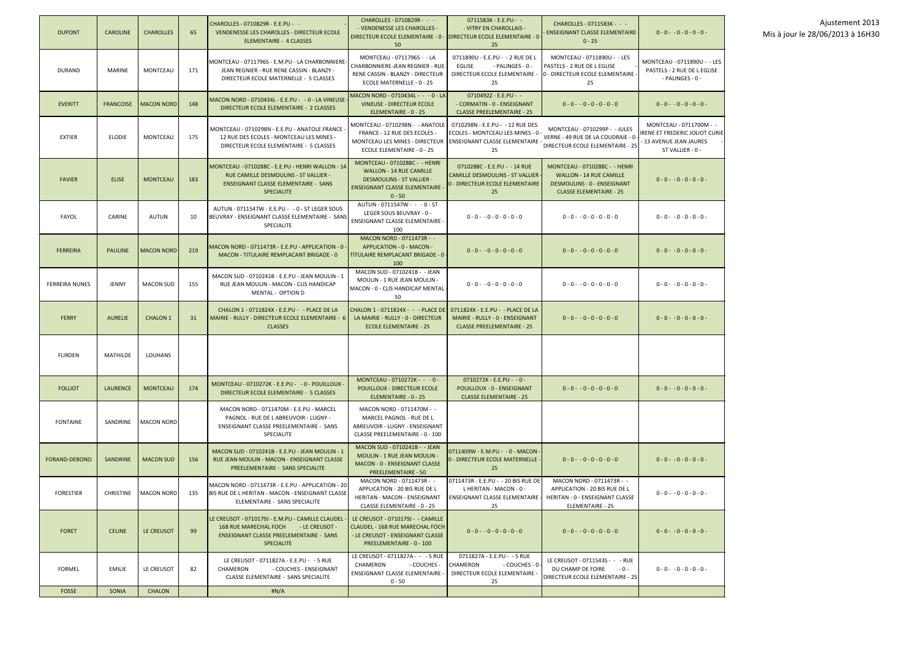|                                  | Ajustement 2013 |  |
|----------------------------------|-----------------|--|
| Mis à jour le 28/06/2013 à 16H30 |                 |  |

| <b>DUPONT</b>         | <b>CAROLINE</b>  | <b>CHAROLLES</b>  | 65  | CHAROLLES - 0710829R - E.E.PU - -<br>VENDENESSE LES CHAROLLES - DIRECTEUR ECOLE<br>ELEMENTAIRE - 4 CLASSES                                                      | CHAROLLES - 0710829R - - -<br>- VENDENESSE LES CHAROLLES -<br>DIRECTEUR ECOLE ELEMENTAIRE - 0 - DIRECTEUR ECOLE ELEMENTAIRE - 0<br>50                   | 0711583K - E.E.PU - -<br>- VITRY EN CHAROLLAIS -<br>- 25                                                             | CHAROLLES - 0711583K - - -<br><b>ENSEIGNANT CLASSE ELEMENTAIRE</b><br>$0 - 25$                                                                    | $0 - 0 - 0 - 0 - 0 - 0 -$                                                                             | Ajustement 2013<br>Mis à jour le 28/06/2013 à 16H30 |
|-----------------------|------------------|-------------------|-----|-----------------------------------------------------------------------------------------------------------------------------------------------------------------|---------------------------------------------------------------------------------------------------------------------------------------------------------|----------------------------------------------------------------------------------------------------------------------|---------------------------------------------------------------------------------------------------------------------------------------------------|-------------------------------------------------------------------------------------------------------|-----------------------------------------------------|
| <b>DURAND</b>         | MARINE           | MONTCEAU          | 171 | MONTCEAU - 0711796S - E.M.PU - LA CHARBONNIERE<br>JEAN REGNIER - RUE RENE CASSIN - BLANZY -<br>DIRECTEUR ECOLE MATERNELLE - 5 CLASSES                           | MONTCEAU - 0711796S - - LA<br>CHARBONNIERE-JEAN REGNIER - RUE<br>RENE CASSIN - BLANZY - DIRECTEUR<br>ECOLE MATERNELLE - 0 - 25                          | 0711890U - E.E.PU - - 2 RUE DE L<br>- PALINGES - 0 -<br>EGLISE<br>DIRECTEUR ECOLE ELEMENTAIRE<br>25                  | MONTCEAU - 0711890U - - LES<br>PASTELS - 2 RUE DE L EGLISE<br>0 - DIRECTEUR ECOLE ELEMENTAIRE<br>25                                               | MONTCEAU - 0711890U - - LES<br>PASTELS - 2 RUE DE L EGLISE<br>- PALINGES - 0 -                        |                                                     |
| <b>EVERITT</b>        | <b>FRANCOISE</b> | <b>MACON NORD</b> | 148 | MACON NORD - 0710434L - E.E.PU - - 0 - LA VINEUSE<br>DIRECTEUR ECOLE ELEMENTAIRE - 2 CLASSES                                                                    | MACON NORD - 0710434L - - - 0 - LA<br><b>VINEUSE - DIRECTEUR ECOLE</b><br>ELEMENTAIRE - 0 - 25                                                          | 0710492Z - E.E.PU - -<br>- CORMATIN - 0 - ENSEIGNANT<br><b>CLASSE PREELEMENTAIRE - 25</b>                            | $0 - 0 - 0 - 0 - 0 - 0 - 0$                                                                                                                       | $0 - 0 - 0 - 0 - 0 - 0 -$                                                                             |                                                     |
| <b>EXTIER</b>         | <b>ELODIE</b>    | MONTCEAU          | 175 | MONTCEAU - 0710298N - E.E.PU - ANATOLE FRANCE<br>12 RUE DES ECOLES - MONTCEAU LES MINES -<br>DIRECTEUR ECOLE ELEMENTAIRE - 5 CLASSES                            | MONTCEAU - 0710298N -  - ANATOLE<br>FRANCE - 12 RUE DES ECOLES<br>MONTCEAU LES MINES - DIRECTEUR<br>ECOLE ELEMENTAIRE - 0 - 25                          | 0710298N - E.E.PU - -12 RUE DES<br>ECOLES - MONTCEAU LES MINES - 0 -<br><b>ENSEIGNANT CLASSE ELEMENTAIRE -</b><br>25 | MONTCEAU - 0710299P - - JULES<br>VERNE - 49 RUE DE LA COUDRAIE - 0<br>DIRECTEUR ECOLE ELEMENTAIRE - 25                                            | MONTCEAU - 0711700M - -<br>RENE ET FREDERIC JOLIOT CURIE<br>13 AVENUE JEAN JAURES<br>ST VALLIER - 0 - |                                                     |
| <b>FAVIER</b>         | <b>ELISE</b>     | <b>MONTCEAU</b>   | 183 | MONTCEAU - 0710288C - E.E.PU - HENRI WALLON - 14<br>RUE CAMILLE DESMOULINS - ST VALLIER -<br><b>ENSEIGNANT CLASSE ELEMENTAIRE - SANS</b><br>SPECIALITE          | MONTCEAU - 0710288C - - HENRI<br><b>WALLON - 14 RUE CAMILLE</b><br><b>DESMOULINS - ST VALLIER -</b><br><b>ENSEIGNANT CLASSE ELEMENTAIRE</b><br>$0 - 50$ | 0710288C - E.E.PU - -14 RUE<br>CAMILLE DESMOULINS - ST VALLIER -<br>- DIRECTEUR ECOLE ELEMENTAIRE<br>25              | <b>MONTCEAU - 0710288C - - HENRI</b><br><b>WALLON - 14 RUE CAMILLE</b><br><b>DESMOULINS - 0 - ENSEIGNANT</b><br><b>CLASSE ELEMENTAIRE - 25</b>    | $0 - 0 - 0 - 0 - 0 - 0 -$                                                                             |                                                     |
| FAYOL                 | CARINE           | <b>AUTUN</b>      | 10  | AUTUN - 0711547W - E.E.PU - - 0 - ST LEGER SOUS<br>BEUVRAY - ENSEIGNANT CLASSE ELEMENTAIRE - SANS<br>SPECIALITE                                                 | AUTUN - 0711547W - - - 0 - ST<br>LEGER SOUS BEUVRAY - 0 -<br><b>ENSEIGNANT CLASSE ELEMENTAIRE</b><br>100                                                | $0 - 0 - 0 - 0 - 0 - 0 - 0$                                                                                          | $0 - 0 - 0 - 0 - 0 - 0 - 0$                                                                                                                       | $0 - 0 - - 0 - 0 - 0 - 0 -$                                                                           |                                                     |
| <b>FERREIRA</b>       | <b>PAULINE</b>   | <b>MACON NORD</b> | 219 | MACON NORD - 0711473R - E.E.PU - APPLICATION - 0 -<br>MACON - TITULAIRE REMPLACANT BRIGADE - 0                                                                  | MACON NORD - 0711473R - -<br>APPLICATION - 0 - MACON -<br>TITULAIRE REMPLACANT BRIGADE - 0 ·<br>100                                                     | $0 - 0 - 0 - 0 - 0 - 0 - 0$                                                                                          | $0 - 0 - 0 - 0 - 0 - 0 - 0$                                                                                                                       | $0 - 0 - - 0 - 0 - 0 - 0 -$                                                                           |                                                     |
| <b>FERREIRA NUNES</b> | JENNY            | <b>MACON SUD</b>  | 155 | MACON SUD - 0710241B - E.E.PU - JEAN MOULIN - 1<br>RUE JEAN MOULIN - MACON - CLIS HANDICAP<br>MENTAL - OPTION D                                                 | MACON SUD - 0710241B - - JEAN<br>MOULIN - 1 RUE JEAN MOULIN -<br>MACON - 0 - CLIS HANDICAP MENTAL<br>50                                                 | $0 - 0 - 0 - 0 - 0 - 0 - 0$                                                                                          | $0 - 0 - 0 - 0 - 0 - 0 - 0$                                                                                                                       | $0 - 0 - - 0 - 0 - 0 - 0 -$                                                                           |                                                     |
| <b>FERRY</b>          | <b>AURELIE</b>   | <b>CHALON 1</b>   | 31  | CHALON 1 - 0711824X - E.E.PU - - PLACE DE LA<br>MAIRIE - RULLY - DIRECTEUR ECOLE ELEMENTAIRE - 6<br><b>CLASSES</b>                                              | CHALON 1 - 0711824X - - - PLACE DE<br>LA MAIRIE - RULLY - 0 - DIRECTEUR<br><b>ECOLE ELEMENTAIRE - 25</b>                                                | 0711824X - E.E.PU - - PLACE DE LA<br>MAIRIE - RULLY - 0 - ENSEIGNANT<br><b>CLASSE PREELEMENTAIRE - 25</b>            | $0 - 0 - 0 - 0 - 0 - 0 - 0$                                                                                                                       | $0 - 0 - -0 - 0 - 0 - 0 -$                                                                            |                                                     |
| <b>FLIRDEN</b>        | MATHILDE         | LOUHANS           |     |                                                                                                                                                                 |                                                                                                                                                         |                                                                                                                      |                                                                                                                                                   |                                                                                                       |                                                     |
| <b>FOLLIOT</b>        | <b>LAURENCE</b>  | <b>MONTCEAU</b>   | 174 | MONTCEAU - 0710272K - E.E.PU - - 0 - POUILLOUX -<br>DIRECTEUR ECOLE ELEMENTAIRE - 5 CLASSES                                                                     | MONTCEAU - 0710272K - - - 0 -<br>POUILLOUX - DIRECTEUR ECOLE<br>ELEMENTAIRE - 0 - 25                                                                    | $0710272K - E.E.PU - -0 -$<br>POUILLOUX - 0 - ENSEIGNANT<br><b>CLASSE ELEMENTAIRE - 25</b>                           | $0 - 0 - 0 - 0 - 0 - 0 - 0$                                                                                                                       | $0 - 0 - - 0 - 0 - 0 - 0 -$                                                                           |                                                     |
| <b>FONTAINE</b>       | SANDRINE         | MACON NORD        |     | MACON NORD - 0711470M - E.E.PU - MARCEL<br>PAGNOL - RUE DE LABREUVOIR - LUGNY -<br><b>ENSEIGNANT CLASSE PREELEMENTAIRE - SANS</b><br>SPECIALITE                 | MACON NORD - 0711470M - -<br>MARCEL PAGNOL - RUE DE L<br>ABREUVOIR - LUGNY - ENSEIGNANT<br>CLASSE PREELEMENTAIRE - 0 - 100                              |                                                                                                                      |                                                                                                                                                   |                                                                                                       |                                                     |
| <b>FORAND-DEBONO</b>  | SANDRINE         | <b>MACON SUD</b>  | 156 | MACON SUD - 0710241B - E.E.PU - JEAN MOULIN - 1<br>RUE JEAN MOULIN - MACON - ENSEIGNANT CLASSE<br>PREELEMENTAIRE - SANS SPECIALITE                              | MACON SUD - 0710241B - - JEAN<br>MOULIN - 1 RUE JEAN MOULIN -<br>MACON - 0 - ENSEIGNANT CLASSE<br><b>PREELEMENTAIRE - 50</b>                            | 0711409W - E.M.PU - - 0 - MACON -<br>- DIRECTEUR ECOLE MATERNELLE -<br>25                                            | $0 - 0 - 0 - 0 - 0 - 0 - 0$                                                                                                                       | $0 - 0 - - 0 - 0 - 0 - 0 -$                                                                           |                                                     |
| <b>FORESTIER</b>      | <b>CHRISTINE</b> | <b>MACON NORD</b> | 135 | MACON NORD - 0711473R - E.E.PU - APPLICATION - 20<br>BIS RUE DE L HERITAN - MACON - ENSEIGNANT CLASSE<br>ELEMENTAIRE - SANS SPECIALITE                          | MACON NORD - 0711473R - -<br>APPLICATION - 20 BIS RUE DE L<br>HERITAN - MACON - ENSEIGNANT<br>CLASSE ELEMENTAIRE - 0 - 25                               | 0711473R - E.E.PU - - 20 BIS RUE DE<br>L HERITAN - MACON - 0 -<br>25                                                 | MACON NORD - 0711473R - -<br>APPLICATION - 20 BIS RUE DE L<br>ENSEIGNANT CLASSE ELEMENTAIRE   HERITAN - 0 - ENSEIGNANT CLASSE<br>ELEMENTAIRE - 25 | $0 - 0 - - 0 - 0 - 0 - 0 -$                                                                           |                                                     |
| <b>FORET</b>          | <b>CELINE</b>    | LE CREUSOT        | 99  | LE CREUSOT - 0710179J - E.M.PU - CAMILLE CLAUDEL<br>168 RUE MARECHAL FOCH - LE CREUSOT -<br><b>ENSEIGNANT CLASSE PREELEMENTAIRE - SANS</b><br><b>SPECIALITE</b> | LE CREUSOT - 0710179J - - CAMILLE<br><b>CLAUDEL - 168 RUE MARECHAL FOCH</b><br>- LE CREUSOT - ENSEIGNANT CLASSE<br>PREELEMENTAIRE - 0 - 100             | $0 - 0 - 0 - 0 - 0 - 0 - 0$                                                                                          | $0 - 0 - 0 - 0 - 0 - 0 - 0$                                                                                                                       | $0 - 0 - - 0 - 0 - 0 - 0 -$                                                                           |                                                     |
| <b>FORMEL</b>         | <b>EMILIE</b>    | LE CREUSOT        | 82  | LE CREUSOT - 0711827A - E.E.PU - - 5 RUE<br>CHAMERON<br>- COUCHES - ENSEIGNANT<br>CLASSE ELEMENTAIRE - SANS SPECIALITE                                          | LE CREUSOT - 0711827A - - - 5 RUE<br>CHAMERON<br>- COUCHES -<br>ENSEIGNANT CLASSE ELEMENTAIRE<br>$0 - 50$                                               | 0711827A - E.E.PU - - 5 RUE<br>CHAMERON<br>- COUCHES - 0<br>DIRECTEUR ECOLE ELEMENTAIRE<br>25                        | LE CREUSOT - 0711543S - - - RUE<br>DU CHAMP DE FOIRE - 0 -<br>DIRECTEUR ECOLE ELEMENTAIRE - 25                                                    | $0 - 0 - - 0 - 0 - 0 - 0 -$                                                                           |                                                     |
| <b>FOSSE</b>          | SONIA            | <b>CHALON</b>     |     | #N/A                                                                                                                                                            |                                                                                                                                                         |                                                                                                                      |                                                                                                                                                   |                                                                                                       |                                                     |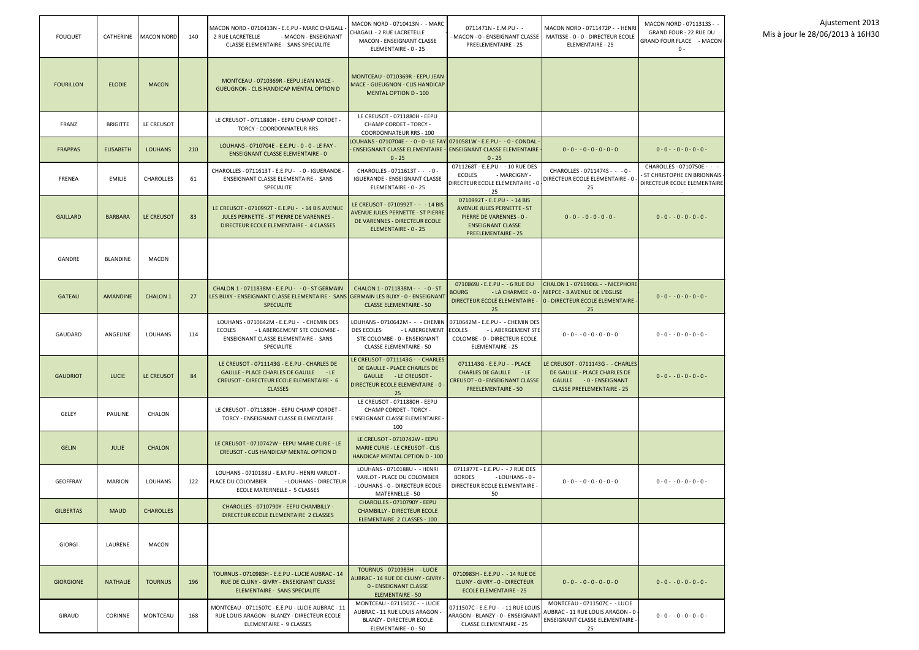| <b>FOUQUET</b>   | CATHERINE        | <b>MACON NORD</b> | 140 | MACON NORD - 0710413N - E.E.PU - MARC CHAGALL<br>2 RUE LACRETELLE<br>- MACON - ENSEIGNANT<br><b>CLASSE ELEMENTAIRE - SANS SPECIALITE</b>                   | MACON NORD - 0710413N - - MARC<br>CHAGALL - 2 RUE LACRETELLE<br>MACON - ENSEIGNANT CLASSE<br>ELEMENTAIRE - 0 - 25                                                                 | 0711471N - E.M.PU - -<br>- MACON - 0 - ENSEIGNANT CLASSE<br>PREELEMENTAIRE - 25                                                                        | MACON NORD - 0711472P - - HENRI<br>MATISSE - 0 - 0 - DIRECTEUR ECOLE<br><b>ELEMENTAIRE - 25</b>                                           | MACON NORD - 0711313S - -<br><b>GRAND FOUR - 22 RUE DU</b><br>GRAND FOUR FLACE - MACON<br>$0 -$ |
|------------------|------------------|-------------------|-----|------------------------------------------------------------------------------------------------------------------------------------------------------------|-----------------------------------------------------------------------------------------------------------------------------------------------------------------------------------|--------------------------------------------------------------------------------------------------------------------------------------------------------|-------------------------------------------------------------------------------------------------------------------------------------------|-------------------------------------------------------------------------------------------------|
| <b>FOURILLON</b> | <b>ELODIE</b>    | <b>MACON</b>      |     | MONTCEAU - 0710369R - EEPU JEAN MACE -<br><b>GUEUGNON - CLIS HANDICAP MENTAL OPTION D</b>                                                                  | MONTCEAU - 0710369R - EEPU JEAN<br><b>MACE - GUEUGNON - CLIS HANDICAP</b><br><b>MENTAL OPTION D - 100</b>                                                                         |                                                                                                                                                        |                                                                                                                                           |                                                                                                 |
| FRANZ            | <b>BRIGITTE</b>  | LE CREUSOT        |     | LE CREUSOT - 0711880H - EEPU CHAMP CORDET -<br><b>TORCY - COORDONNATEUR RRS</b>                                                                            | LE CREUSOT - 0711880H - EEPU<br><b>CHAMP CORDET - TORCY -</b><br><b>COORDONNATEUR RRS - 100</b>                                                                                   |                                                                                                                                                        |                                                                                                                                           |                                                                                                 |
| <b>FRAPPAS</b>   | <b>ELISABETH</b> | <b>LOUHANS</b>    | 210 | LOUHANS - 0710704E - E.E.PU - 0 - 0 - LE FAY -<br><b>ENSEIGNANT CLASSE ELEMENTAIRE - 0</b>                                                                 | LOUHANS - 0710704E - - 0 - 0 - LE FAY 0710581W - E.E.PU - - 0 - CONDAL<br>$0 - 25$                                                                                                | $0 - 25$                                                                                                                                               | $0 - 0 - 0 - 0 - 0 - 0 - 0$                                                                                                               | $0 - 0 - 0 - 0 - 0 - 0 -$                                                                       |
| <b>FRENEA</b>    | <b>EMILIE</b>    | <b>CHAROLLES</b>  | 61  | CHAROLLES - 0711613T - E.E.PU - - 0 - IGUERANDE -<br><b>ENSEIGNANT CLASSE ELEMENTAIRE - SANS</b><br>SPECIALITE                                             | CHAROLLES - 0711613T - - - 0 -<br><b>IGUERANDE - ENSEIGNANT CLASSE</b><br>ELEMENTAIRE - 0 - 25                                                                                    | 0711268T - E.E.PU - - 10 RUE DES<br><b>ECOLES</b><br>- MARCIGNY -<br>DIRECTEUR ECOLE ELEMENTAIRE - 0<br>25                                             | CHAROLLES - 0711474S - - - 0 -<br>DIRECTEUR ECOLE ELEMENTAIRE - 0<br>25                                                                   | CHAROLLES - 0710750E - - -<br><b>ST CHRISTOPHE EN BRIONNAIS</b><br>DIRECTEUR ECOLE ELEMENTAIRE  |
| <b>GAILLARD</b>  | <b>BARBARA</b>   | LE CREUSOT        | 83  | LE CREUSOT - 0710992T - E.E.PU - - 14 BIS AVENUE<br><b>JULES PERNETTE - ST PIERRE DE VARENNES -</b><br>DIRECTEUR ECOLE ELEMENTAIRE - 4 CLASSES             | LE CREUSOT - 0710992T - - - 14 BIS<br><b>AVENUE JULES PERNETTE - ST PIERRE</b><br>DE VARENNES - DIRECTEUR ECOLE<br>ELEMENTAIRE - 0 - 25                                           | 0710992T - E.E.PU - -14 BIS<br><b>AVENUE JULES PERNETTE - ST</b><br>PIERRE DE VARENNES - 0 -<br><b>ENSEIGNANT CLASSE</b><br><b>PREELEMENTAIRE - 25</b> | $0 - 0 - 0 - 0 - 0 - 0 -$                                                                                                                 | $0 - 0 - 0 - 0 - 0 - 0 -$                                                                       |
| GANDRE           | <b>BLANDINE</b>  | <b>MACON</b>      |     |                                                                                                                                                            |                                                                                                                                                                                   |                                                                                                                                                        |                                                                                                                                           |                                                                                                 |
| <b>GATEAU</b>    | <b>AMANDINE</b>  | <b>CHALON 1</b>   | 27  | CHALON 1 - 0711838M - E.E.PU - - 0 - ST GERMAIN<br>LES BUXY - ENSEIGNANT CLASSE ELEMENTAIRE - SANS GERMAIN LES BUXY - 0 - ENSEIGNANT<br><b>SPECIALITE</b>  | CHALON 1 - 0711838M - - - 0 - ST<br><b>CLASSE ELEMENTAIRE - 50</b>                                                                                                                | 0710869J - E.E.PU - - 6 RUE DU<br>BOURG<br>- LA CHARMEE - 0<br>25                                                                                      | CHALON 1 - 0711906L - - NICEPHORE<br>NIEPCE - 3 AVENUE DE L'EGLISE<br>DIRECTEUR ECOLE ELEMENTAIRE - 0 - DIRECTEUR ECOLE ELEMENTAIRE<br>25 | $0 - 0 - 0 - 0 - 0 - 0 -$                                                                       |
| GAUDARD          | ANGELINE         | <b>LOUHANS</b>    | 114 | LOUHANS - 0710642M - E.E.PU - - CHEMIN DES<br><b>ECOLES</b><br>- L ABERGEMENT STE COLOMBE -<br>ENSEIGNANT CLASSE ELEMENTAIRE - SANS<br>SPECIALITE          | LOUHANS - 0710642M - - - CHEMIN   0710642M - E.E.PU - - CHEMIN DES<br><b>DES ECOLES</b><br>- LABERGEMENT ECOLES<br>STE COLOMBE - 0 - ENSEIGNANT<br><b>CLASSE ELEMENTAIRE - 50</b> | - LABERGEMENT STE<br>COLOMBE - 0 - DIRECTEUR ECOLE<br><b>ELEMENTAIRE - 25</b>                                                                          | $0 - 0 - 0 - 0 - 0 - 0 - 0$                                                                                                               | $0 - 0 - 0 - 0 - 0 - 0 -$                                                                       |
| <b>GAUDRIOT</b>  | <b>LUCIE</b>     | LE CREUSOT        | 84  | LE CREUSOT - 0711143G - E.E.PU - CHARLES DE<br>GAULLE - PLACE CHARLES DE GAULLE - LE<br><b>CREUSOT - DIRECTEUR ECOLE ELEMENTAIRE - 6</b><br><b>CLASSES</b> | LE CREUSOT - 0711143G - - CHARLES<br>DE GAULLE - PLACE CHARLES DE<br>GAULLE - LE CREUSOT -<br><b>DIRECTEUR ECOLE ELEMENTAIRE - 0</b><br>25                                        | 0711143G - E.E.PU - - PLACE<br><b>CHARLES DE GAULLE - LE</b><br>CREUSOT - 0 - ENSEIGNANT CLASSE<br><b>PREELEMENTAIRE - 50</b>                          | LE CREUSOT - 0711143G - - CHARLES<br>DE GAULLE - PLACE CHARLES DE<br>GAULLE - 0 - ENSEIGNANT<br><b>CLASSE PREELEMENTAIRE - 25</b>         | $0 - 0 - 0 - 0 - 0 - 0 -$                                                                       |
| GELEY            | PAULINE          | <b>CHALON</b>     |     | LE CREUSOT - 0711880H - EEPU CHAMP CORDET -<br>TORCY - ENSEIGNANT CLASSE ELEMENTAIRE                                                                       | LE CREUSOT - 0711880H - EEPU<br><b>CHAMP CORDET - TORCY -</b><br><b>ENSEIGNANT CLASSE ELEMENTAIRE -</b><br>100                                                                    |                                                                                                                                                        |                                                                                                                                           |                                                                                                 |
| <b>GELIN</b>     | <b>JULIE</b>     | <b>CHALON</b>     |     | LE CREUSOT - 0710742W - EEPU MARIE CURIE - LE<br>CREUSOT - CLIS HANDICAP MENTAL OPTION D                                                                   | LE CREUSOT - 0710742W - EEPU<br><b>MARIE CURIE - LE CREUSOT - CLIS</b><br>HANDICAP MENTAL OPTION D - 100                                                                          |                                                                                                                                                        |                                                                                                                                           |                                                                                                 |
| <b>GEOFFRAY</b>  | <b>MARION</b>    | LOUHANS           | 122 | LOUHANS - 0710188U - E.M.PU - HENRI VARLOT -<br>PLACE DU COLOMBIER<br>- LOUHANS - DIRECTEUR<br>ECOLE MATERNELLE - 5 CLASSES                                | LOUHANS - 0710188U - - HENRI<br>VARLOT - PLACE DU COLOMBIER<br>- LOUHANS - 0 - DIRECTEUR ECOLE<br>MATERNELLE - 50                                                                 | 0711877E - E.E.PU - - 7 RUE DES<br><b>BORDES</b><br>- LOUHANS - 0 -<br>DIRECTEUR ECOLE ELEMENTAIRE -<br>50                                             | $0 - 0 - 0 - 0 - 0 - 0 - 0$                                                                                                               | $0 - 0 - 0 - 0 - 0 - 0 -$                                                                       |
| <b>GILBERTAS</b> | <b>MAUD</b>      | <b>CHAROLLES</b>  |     | CHAROLLES - 0710790Y - EEPU CHAMBILLY -<br>DIRECTEUR ECOLE ELEMENTAIRE 2 CLASSES                                                                           | CHAROLLES - 0710790Y - EEPU<br><b>CHAMBILLY - DIRECTEUR ECOLE</b><br>ELEMENTAIRE 2 CLASSES - 100                                                                                  |                                                                                                                                                        |                                                                                                                                           |                                                                                                 |
| <b>GIORGI</b>    | LAURENE          | <b>MACON</b>      |     |                                                                                                                                                            |                                                                                                                                                                                   |                                                                                                                                                        |                                                                                                                                           |                                                                                                 |
| <b>GIORGIONE</b> | <b>NATHALIE</b>  | <b>TOURNUS</b>    | 196 | TOURNUS - 0710983H - E.E.PU - LUCIE AUBRAC - 14<br>RUE DE CLUNY - GIVRY - ENSEIGNANT CLASSE<br>ELEMENTAIRE - SANS SPECIALITE                               | TOURNUS - 0710983H - - LUCIE<br>AUBRAC - 14 RUE DE CLUNY - GIVRY<br>0 - ENSEIGNANT CLASSE<br>ELEMENTAIRE - 50                                                                     | 0710983H - E.E.PU - -14 RUE DE<br>CLUNY - GIVRY - 0 - DIRECTEUR<br><b>ECOLE ELEMENTAIRE - 25</b>                                                       | $0 - 0 - 0 - 0 - 0 - 0 - 0$                                                                                                               | $0 - 0 - 0 - 0 - 0 - 0 -$                                                                       |
| GIRAUD           | <b>CORINNE</b>   | MONTCEAU          | 168 | MONTCEAU - 0711507C - E.E.PU - LUCIE AUBRAC - 11<br>RUE LOUIS ARAGON - BLANZY - DIRECTEUR ECOLE<br>ELEMENTAIRE - 9 CLASSES                                 | MONTCEAU - 0711507C - - LUCIE<br>AUBRAC - 11 RUE LOUIS ARAGON -<br><b>BLANZY - DIRECTEUR ECOLE</b><br>ELEMENTAIRE - 0 - 50                                                        | 0711507C - E.E.PU - - 11 RUE LOUIS<br>ARAGON - BLANZY - 0 - ENSEIGNANT<br><b>CLASSE ELEMENTAIRE - 25</b>                                               | MONTCEAU - 0711507C - - LUCIE<br>AUBRAC - 11 RUE LOUIS ARAGON - 0<br><b>ENSEIGNANT CLASSE ELEMENTAIRE</b><br>25                           | $0 - 0 - 0 - 0 - 0 - 0 -$                                                                       |

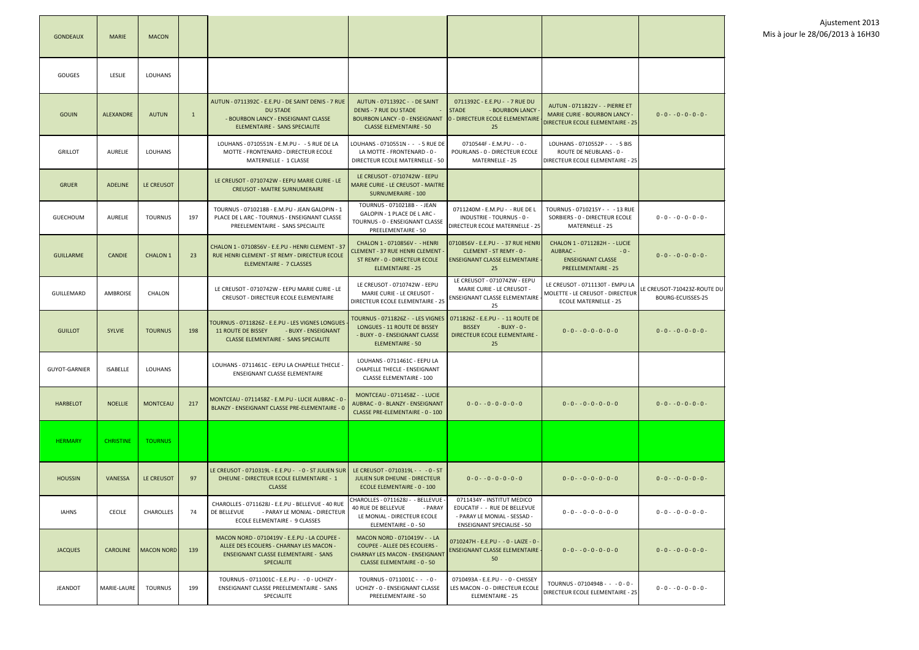

| <b>GONDEAUX</b>      | <b>MARIE</b>     | <b>MACON</b>    |              |                                                                                                                                                              |                                                                                                                                                     |                                                                                                                                 |                                                                                                              |                                             |
|----------------------|------------------|-----------------|--------------|--------------------------------------------------------------------------------------------------------------------------------------------------------------|-----------------------------------------------------------------------------------------------------------------------------------------------------|---------------------------------------------------------------------------------------------------------------------------------|--------------------------------------------------------------------------------------------------------------|---------------------------------------------|
| <b>GOUGES</b>        | LESLIE           | LOUHANS         |              |                                                                                                                                                              |                                                                                                                                                     |                                                                                                                                 |                                                                                                              |                                             |
| <b>GOUIN</b>         | <b>ALEXANDRE</b> | <b>AUTUN</b>    | $\mathbf{1}$ | AUTUN - 0711392C - E.E.PU - DE SAINT DENIS - 7 RUE<br><b>DU STADE</b><br>- BOURBON LANCY - ENSEIGNANT CLASSE<br><b>ELEMENTAIRE - SANS SPECIALITE</b>         | AUTUN - 0711392C - - DE SAINT<br><b>DENIS - 7 RUE DU STADE</b><br><b>BOURBON LANCY - 0 - ENSEIGNANT</b><br><b>CLASSE ELEMENTAIRE - 50</b>           | 0711392C - E.E.PU - -7 RUE DU<br><b>STADE</b><br>- BOURBON LANCY<br>0 - DIRECTEUR ECOLE ELEMENTAIRE<br>25                       | AUTUN - 0711822V - - PIERRE ET<br><b>MARIE CURIE - BOURBON LANCY -</b><br>DIRECTEUR ECOLE ELEMENTAIRE - 25   | $0 - 0 - 0 - 0 - 0 - 0 -$                   |
| <b>GRILLOT</b>       | <b>AURELIE</b>   | <b>LOUHANS</b>  |              | LOUHANS - 0710551N - E.M.PU - - 5 RUE DE LA<br>MOTTE - FRONTENARD - DIRECTEUR ECOLE<br>MATERNELLE - 1 CLASSE                                                 | LOUHANS - 0710551N - - - 5 RUE DE<br>LA MOTTE - FRONTENARD - 0 -<br>DIRECTEUR ECOLE MATERNELLE - 50                                                 | 0710544F - E.M.PU - - 0 -<br>POURLANS - 0 - DIRECTEUR ECOLE<br>MATERNELLE - 25                                                  | LOUHANS - 0710552P - - - 5 BIS<br>ROUTE DE NEUBLANS - 0 -<br>DIRECTEUR ECOLE ELEMENTAIRE - 25                |                                             |
| <b>GRUER</b>         | <b>ADELINE</b>   | LE CREUSOT      |              | LE CREUSOT - 0710742W - EEPU MARIE CURIE - LE<br><b>CREUSOT - MAITRE SURNUMERAIRE</b>                                                                        | LE CREUSOT - 0710742W - EEPU<br><b>MARIE CURIE - LE CREUSOT - MAITRE</b><br><b>SURNUMERAIRE - 100</b>                                               |                                                                                                                                 |                                                                                                              |                                             |
| <b>GUECHOUM</b>      | <b>AURELIE</b>   | <b>TOURNUS</b>  | 197          | TOURNUS - 0710218B - E.M.PU - JEAN GALOPIN - 1<br>PLACE DE L ARC - TOURNUS - ENSEIGNANT CLASSE<br>PREELEMENTAIRE - SANS SPECIALITE                           | TOURNUS - 0710218B - - JEAN<br>GALOPIN - 1 PLACE DE L ARC -<br>TOURNUS - 0 - ENSEIGNANT CLASSE<br>PREELEMENTAIRE - 50                               | 0711240M - E.M.PU - - RUE DE L<br>INDUSTRIE - TOURNUS - 0 -<br>DIRECTEUR ECOLE MATERNELLE - 25                                  | TOURNUS - 0710215Y - - - 13 RUE<br>SORBIERS - 0 - DIRECTEUR ECOLE<br>MATERNELLE - 25                         | $0 - 0 - 0 - 0 - 0 - 0 -$                   |
| <b>GUILLARME</b>     | <b>CANDIE</b>    | <b>CHALON 1</b> | 23           | CHALON 1 - 0710856V - E.E.PU - HENRI CLEMENT - 37<br>RUE HENRI CLEMENT - ST REMY - DIRECTEUR ECOLE<br><b>ELEMENTAIRE - 7 CLASSES</b>                         | CHALON 1 - 0710856V - - HENRI<br><b>CLEMENT - 37 RUE HENRI CLEMENT -</b><br>ST REMY - 0 - DIRECTEUR ECOLE<br>ELEMENTAIRE - 25                       | 0710856V - E.E.PU - - 37 RUE HENRI<br>CLEMENT - ST REMY - 0 -<br><b>ENSEIGNANT CLASSE ELEMENTAIRE -</b><br>25                   | CHALON 1 - 0711282H - - LUCIE<br>AUBRAC -<br>$-0-$<br><b>ENSEIGNANT CLASSE</b><br><b>PREELEMENTAIRE - 25</b> | $0 - 0 - 0 - 0 - 0 - 0 -$                   |
| GUILLEMARD           | AMBROISE         | CHALON          |              | LE CREUSOT - 0710742W - EEPU MARIE CURIE - LE<br>CREUSOT - DIRECTEUR ECOLE ELEMENTAIRE                                                                       | LE CREUSOT - 0710742W - EEPU<br>MARIE CURIE - LE CREUSOT -<br>DIRECTEUR ECOLE ELEMENTAIRE - 25                                                      | LE CREUSOT - 0710742W - EEPU<br>MARIE CURIE - LE CREUSOT -<br>ENSEIGNANT CLASSE ELEMENTAIRE<br>25                               | LE CREUSOT - 0711130T - EMPU LA<br>MOLETTE - LE CREUSOT - DIRECTEUR<br><b>ECOLE MATERNELLE - 25</b>          | LE CREUSOT-710423Z-ROU<br>BOURG-ECUISSES-25 |
| <b>GUILLOT</b>       | <b>SYLVIE</b>    | <b>TOURNUS</b>  | 198          | TOURNUS - 0711826Z - E.E.PU - LES VIGNES LONGUES<br><b>11 ROUTE DE BISSEY</b><br>- BUXY - ENSEIGNANT<br><b>CLASSE ELEMENTAIRE - SANS SPECIALITE</b>          | TOURNUS - 0711826Z - - LES VIGNES<br>LONGUES - 11 ROUTE DE BISSEY<br>- BUXY - 0 - ENSEIGNANT CLASSE<br>ELEMENTAIRE - 50                             | 0711826Z - E.E.PU - -11 ROUTE DE<br><b>BISSEY</b><br>- BUXY - 0 -<br>DIRECTEUR ECOLE ELEMENTAIRE -<br>25                        | $0 - 0 - 0 - 0 - 0 - 0 - 0$                                                                                  | $0 - 0 - 0 - 0 - 0 - 0 -$                   |
| <b>GUYOT-GARNIER</b> | <b>ISABELLE</b>  | <b>LOUHANS</b>  |              | LOUHANS - 0711461C - EEPU LA CHAPELLE THECLE -<br><b>ENSEIGNANT CLASSE ELEMENTAIRE</b>                                                                       | LOUHANS - 0711461C - EEPU LA<br><b>CHAPELLE THECLE - ENSEIGNANT</b><br><b>CLASSE ELEMENTAIRE - 100</b>                                              |                                                                                                                                 |                                                                                                              |                                             |
| <b>HARBELOT</b>      | <b>NOELLIE</b>   | <b>MONTCEAU</b> | 217          | MONTCEAU - 0711458Z - E.M.PU - LUCIE AUBRAC - 0<br>BLANZY - ENSEIGNANT CLASSE PRE-ELEMENTAIRE - 0                                                            | MONTCEAU - 0711458Z - - LUCIE<br>AUBRAC - 0 - BLANZY - ENSEIGNANT<br>CLASSE PRE-ELEMENTAIRE - 0 - 100                                               | $0 - 0 - 0 - 0 - 0 - 0 - 0$                                                                                                     | $0 - 0 - 0 - 0 - 0 - 0 - 0$                                                                                  | $0 - 0 - 0 - 0 - 0 - 0 -$                   |
| <b>HERMARY</b>       | <b>CHRISTINE</b> | <b>TOURNUS</b>  |              |                                                                                                                                                              |                                                                                                                                                     |                                                                                                                                 |                                                                                                              |                                             |
| <b>HOUSSIN</b>       | <b>VANESSA</b>   | LE CREUSOT      | 97           | LE CREUSOT - 0710319L - E.E.PU - - 0 - ST JULIEN SUR<br>DHEUNE - DIRECTEUR ECOLE ELEMENTAIRE - 1<br><b>CLASSE</b>                                            | LE CREUSOT - 0710319L - - - 0 - ST<br><b>JULIEN SUR DHEUNE - DIRECTEUR</b><br>ECOLE ELEMENTAIRE - 0 - 100                                           | $0 - 0 - 0 - 0 - 0 - 0 - 0$                                                                                                     | $0 - 0 - 0 - 0 - 0 - 0 - 0$                                                                                  | $0 - 0 - 0 - 0 - 0 - 0 -$                   |
| <b>IAHNS</b>         | <b>CECILE</b>    | CHAROLLES       | 74           | CHAROLLES - 0711628J - E.E.PU - BELLEVUE - 40 RUE<br>DE BELLEVUE<br>- PARAY LE MONIAL - DIRECTEUR<br>ECOLE ELEMENTAIRE - 9 CLASSES                           | CHAROLLES - 0711628J - - BELLEVUE<br>40 RUE DE BELLEVUE<br>- PARAY<br>LE MONIAL - DIRECTEUR ECOLE<br>ELEMENTAIRE - 0 - 50                           | 0711434Y - INSTITUT MEDICO<br>EDUCATIF - - RUE DE BELLEVUE<br>- PARAY LE MONIAL - SESSAD -<br><b>ENSEIGNANT SPECIALISE - 50</b> | $0 - 0 - 0 - 0 - 0 - 0 - 0$                                                                                  | $0 - 0 - 0 - 0 - 0 - 0 -$                   |
| <b>JACQUES</b>       | <b>CAROLINE</b>  | MACON NORD      | 139          | MACON NORD - 0710419V - E.E.PU - LA COUPEE -<br>ALLEE DES ECOLIERS - CHARNAY LES MACON -<br><b>ENSEIGNANT CLASSE ELEMENTAIRE - SANS</b><br><b>SPECIALITE</b> | MACON NORD - 0710419V - - LA<br><b>COUPEE - ALLEE DES ECOLIERS -</b><br><b>CHARNAY LES MACON - ENSEIGNANT</b><br><b>CLASSE ELEMENTAIRE - 0 - 50</b> | 0710247H - E.E.PU - - 0 - LAIZE - 0 -<br><b>ENSEIGNANT CLASSE ELEMENTAIRE</b><br>50                                             | $0 - 0 - 0 - 0 - 0 - 0 - 0$                                                                                  | $0 - 0 - 0 - 0 - 0 - 0 -$                   |
| <b>JEANDOT</b>       | MARIE-LAURE      | <b>TOURNUS</b>  | 199          | TOURNUS - 0711001C - E.E.PU - - 0 - UCHIZY -<br>ENSEIGNANT CLASSE PREELEMENTAIRE - SANS<br>SPECIALITE                                                        | TOURNUS - 0711001C - - - 0 -<br>UCHIZY - 0 - ENSEIGNANT CLASSE<br>PREELEMENTAIRE - 50                                                               | 0710493A - E.E.PU - - 0 - CHISSEY<br>LES MACON - 0 - DIRECTEUR ECOLE<br><b>ELEMENTAIRE - 25</b>                                 | TOURNUS - 0710494B - - - 0 - 0 -<br>DIRECTEUR ECOLE ELEMENTAIRE - 25                                         | $0 - 0 - 0 - 0 - 0 - 0 -$                   |

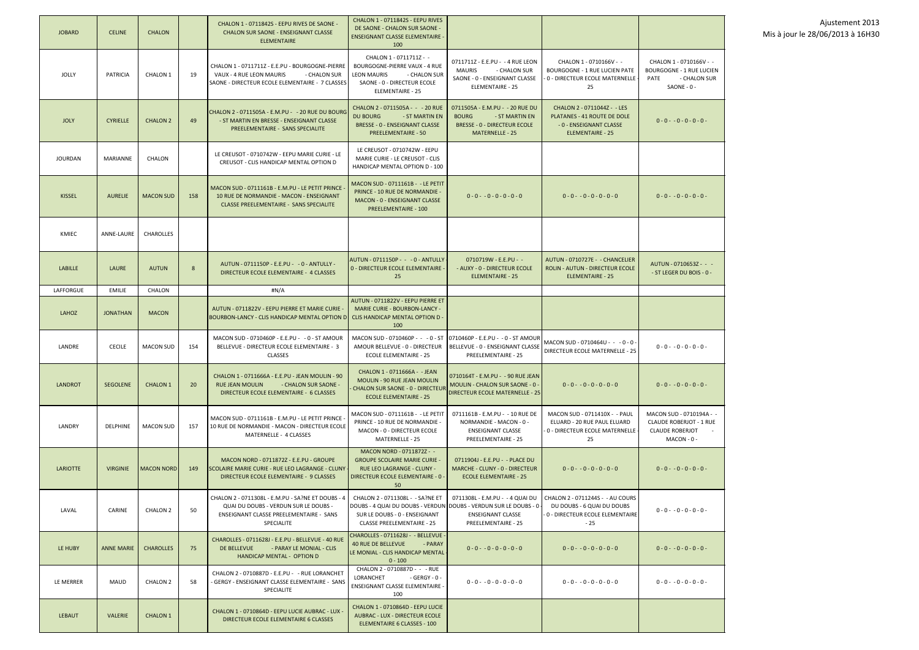| <b>JOBARD</b>   | <b>CELINE</b>     | <b>CHALON</b>       |     | CHALON 1 - 0711842S - EEPU RIVES DE SAONE -<br><b>CHALON SUR SAONE - ENSEIGNANT CLASSE</b><br><b>ELEMENTAIRE</b>                                           | CHALON 1 - 0711842S - EEPU RIVES<br>DE SAONE - CHALON SUR SAONE -<br><b>ENSEIGNANT CLASSE ELEMENTAIRE -</b><br>100                                                         |                                                                                                                                    |                                                                                                            |                                                                                                          |
|-----------------|-------------------|---------------------|-----|------------------------------------------------------------------------------------------------------------------------------------------------------------|----------------------------------------------------------------------------------------------------------------------------------------------------------------------------|------------------------------------------------------------------------------------------------------------------------------------|------------------------------------------------------------------------------------------------------------|----------------------------------------------------------------------------------------------------------|
| <b>JOLLY</b>    | <b>PATRICIA</b>   | CHALON <sub>1</sub> | 19  | CHALON 1 - 0711711Z - E.E.PU - BOURGOGNE-PIERRE<br>VAUX - 4 RUE LEON MAURIS<br>- CHALON SUR<br>SAONE - DIRECTEUR ECOLE ELEMENTAIRE - 7 CLASSES             | CHALON 1 - 0711711Z - -<br>BOURGOGNE-PIERRE VAUX - 4 RUE<br><b>LEON MAURIS</b><br>- CHALON SUR<br>SAONE - 0 - DIRECTEUR ECOLE<br>ELEMENTAIRE - 25                          | 0711711Z - E.E.PU - - 4 RUE LEON<br><b>MAURIS</b><br>- CHALON SUR<br>SAONE - 0 - ENSEIGNANT CLASSE<br><b>ELEMENTAIRE - 25</b>      | CHALON 1 - 0710166V - -<br><b>BOURGOGNE - 1 RUE LUCIEN PATE</b><br>0 - DIRECTEUR ECOLE MATERNELLE<br>25    | CHALON 1 - 0710166V - -<br><b>BOURGOGNE - 1 RUE LUCIEN</b><br><b>PATE</b><br>- CHALON SUR<br>SAONE - 0 - |
| <b>JOLY</b>     | <b>CYRIELLE</b>   | <b>CHALON 2</b>     | 49  | CHALON 2 - 0711505A - E.M.PU - - 20 RUE DU BOURG<br>- ST MARTIN EN BRESSE - ENSEIGNANT CLASSE<br>PREELEMENTAIRE - SANS SPECIALITE                          | CHALON 2 - 0711505A - - - 20 RUE<br><b>DU BOURG</b><br>- ST MARTIN EN<br><b>BRESSE - 0 - ENSEIGNANT CLASSE</b><br><b>PREELEMENTAIRE - 50</b>                               | 0711505A - E.M.PU - - 20 RUE DU<br><b>BOURG</b><br>- ST MARTIN EN<br><b>BRESSE - 0 - DIRECTEUR ECOLE</b><br><b>MATERNELLE - 25</b> | CHALON 2 - 0711044Z - - LES<br>PLATANES - 41 ROUTE DE DOLE<br>- 0 - ENSEIGNANT CLASSE<br>ELEMENTAIRE - 25  | $0 - 0 - 0 - 0 - 0 - 0 -$                                                                                |
| <b>JOURDAN</b>  | <b>MARIANNE</b>   | CHALON              |     | LE CREUSOT - 0710742W - EEPU MARIE CURIE - LE<br>CREUSOT - CLIS HANDICAP MENTAL OPTION D                                                                   | LE CREUSOT - 0710742W - EEPU<br>MARIE CURIE - LE CREUSOT - CLIS<br>HANDICAP MENTAL OPTION D - 100                                                                          |                                                                                                                                    |                                                                                                            |                                                                                                          |
| <b>KISSEL</b>   | <b>AURELIE</b>    | <b>MACON SUD</b>    | 158 | MACON SUD - 0711161B - E.M.PU - LE PETIT PRINCE<br>10 RUE DE NORMANDIE - MACON - ENSEIGNANT<br><b>CLASSE PREELEMENTAIRE - SANS SPECIALITE</b>              | MACON SUD - 0711161B - - LE PETIT<br>PRINCE - 10 RUE DE NORMANDIE -<br>MACON - 0 - ENSEIGNANT CLASSE<br><b>PREELEMENTAIRE - 100</b>                                        | $0 - 0 - 0 - 0 - 0 - 0 - 0$                                                                                                        | $0 - 0 - 0 - 0 - 0 - 0 - 0$                                                                                | $0 - 0 - 0 - 0 - 0 - 0 -$                                                                                |
| KMIEC           | ANNE-LAURE        | <b>CHAROLLES</b>    |     |                                                                                                                                                            |                                                                                                                                                                            |                                                                                                                                    |                                                                                                            |                                                                                                          |
| <b>LABILLE</b>  | LAURE             | <b>AUTUN</b>        | 8   | AUTUN - 0711150P - E.E.PU - - 0 - ANTULLY -<br>DIRECTEUR ECOLE ELEMENTAIRE - 4 CLASSES                                                                     | AUTUN - 0711150P - - - 0 - ANTULLY<br>0 - DIRECTEUR ECOLE ELEMENTAIRE -<br>25                                                                                              | 0710719W - E.E.PU - -<br>- AUXY - 0 - DIRECTEUR ECOLE<br><b>ELEMENTAIRE - 25</b>                                                   | AUTUN - 0710727E - - CHANCELIER<br>ROLIN - AUTUN - DIRECTEUR ECOLE<br>ELEMENTAIRE - 25                     | AUTUN - 0710653Z - - -<br>- ST LEGER DU BOIS - 0 -                                                       |
| LAFFORGUE       | <b>EMILIE</b>     | CHALON              |     | #N/A                                                                                                                                                       |                                                                                                                                                                            |                                                                                                                                    |                                                                                                            |                                                                                                          |
| LAHOZ           | <b>JONATHAN</b>   | <b>MACON</b>        |     | AUTUN - 0711822V - EEPU PIERRE ET MARIE CURIE -<br>BOURBON-LANCY - CLIS HANDICAP MENTAL OPTION D                                                           | AUTUN - 0711822V - EEPU PIERRE ET<br><b>MARIE CURIE - BOURBON-LANCY -</b><br>CLIS HANDICAP MENTAL OPTION D -<br>100                                                        |                                                                                                                                    |                                                                                                            |                                                                                                          |
| LANDRE          | <b>CECILE</b>     | <b>MACON SUD</b>    | 154 | MACON SUD - 0710460P - E.E.PU - - 0 - ST AMOUR<br>BELLEVUE - DIRECTEUR ECOLE ELEMENTAIRE - 3<br><b>CLASSES</b>                                             | MACON SUD - 0710460P - - - 0 - ST<br>AMOUR BELLEVUE - 0 - DIRECTEUR<br><b>ECOLE ELEMENTAIRE - 25</b>                                                                       | 0710460P - E.E.PU - - 0 - ST AMOUR<br>BELLEVUE - 0 - ENSEIGNANT CLASSE<br><b>PREELEMENTAIRE - 25</b>                               | MACON SUD - 0710464U - - - 0 - 0 -<br>DIRECTEUR ECOLE MATERNELLE - 25                                      | $0 - 0 - 0 - 0 - 0 - 0 -$                                                                                |
| <b>LANDROT</b>  | <b>SEGOLENE</b>   | <b>CHALON 1</b>     | 20  | CHALON 1 - 0711666A - E.E.PU - JEAN MOULIN - 90<br>- CHALON SUR SAONE -<br><b>RUE JEAN MOULIN</b><br>DIRECTEUR ECOLE ELEMENTAIRE - 6 CLASSES               | CHALON 1 - 0711666A - - JEAN<br><b>MOULIN - 90 RUE JEAN MOULIN</b><br>· CHALON SUR SAONE - 0 - DIRECTEUF<br><b>ECOLE ELEMENTAIRE - 25</b>                                  | 0710164T - E.M.PU - - 90 RUE JEAN<br>MOULIN - CHALON SUR SAONE - 0 -<br><b>DIRECTEUR ECOLE MATERNELLE - 25</b>                     | $0 - 0 - 0 - 0 - 0 - 0 - 0$                                                                                | $0 - 0 - 0 - 0 - 0 - 0 -$                                                                                |
| LANDRY          | <b>DELPHINE</b>   | <b>MACON SUD</b>    | 157 | MACON SUD - 0711161B - E.M.PU - LE PETIT PRINCE<br>10 RUE DE NORMANDIE - MACON - DIRECTEUR ECOLE<br>MATERNELLE - 4 CLASSES                                 | MACON SUD - 0711161B - - LE PETIT<br>PRINCE - 10 RUE DE NORMANDIE -<br>MACON - 0 - DIRECTEUR ECOLE<br>MATERNELLE - 25                                                      | 0711161B - E.M.PU - -10 RUE DE<br>NORMANDIE - MACON - 0 -<br><b>ENSEIGNANT CLASSE</b><br>PREELEMENTAIRE - 25                       | MACON SUD - 0711410X - - PAUL<br>ELUARD - 20 RUE PAUL ELUARD<br>0 - DIRECTEUR ECOLE MATERNELLE<br>25       | MACON SUD - 0710194A - -<br><b>CLAUDE ROBERJOT - 1 RUE</b><br><b>CLAUDE ROBERJOT</b><br>MACON - 0 -      |
| <b>LARIOTTE</b> | <b>VIRGINIE</b>   | <b>MACON NORD</b>   | 149 | MACON NORD - 0711872Z - E.E.PU - GROUPE<br>SCOLAIRE MARIE CURIE - RUE LEO LAGRANGE - CLUNY -<br>DIRECTEUR ECOLE ELEMENTAIRE - 9 CLASSES                    | MACON NORD - 0711872Z - -<br><b>GROUPE SCOLAIRE MARIE CURIE -</b><br><b>RUE LEO LAGRANGE - CLUNY -</b><br><b>DIRECTEUR ECOLE ELEMENTAIRE - 0 -</b><br>50                   | 0711904J - E.E.PU - - PLACE DU<br>MARCHE - CLUNY - 0 - DIRECTEUR<br><b>ECOLE ELEMENTAIRE - 25</b>                                  | $0 - 0 - 0 - 0 - 0 - 0 - 0$                                                                                | $0 - 0 - 0 - 0 - 0 - 0 -$                                                                                |
| LAVAL           | <b>CARINE</b>     | <b>CHALON 2</b>     | 50  | CHALON 2 - 0711308L - E.M.PU - SA?NE ET DOUBS - 4<br>QUAI DU DOUBS - VERDUN SUR LE DOUBS -<br>ENSEIGNANT CLASSE PREELEMENTAIRE - SANS<br><b>SPECIALITE</b> | CHALON 2 - 0711308L - - SA?NE ET<br>DOUBS - 4 QUAI DU DOUBS - VERDUN DOUBS - VERDUN SUR LE DOUBS - 0<br>SUR LE DOUBS - 0 - ENSEIGNANT<br><b>CLASSE PREELEMENTAIRE - 25</b> | 0711308L - E.M.PU - -4 QUAI DU<br><b>ENSEIGNANT CLASSE</b><br>PREELEMENTAIRE - 25                                                  | CHALON 2 - 0711244S - - AU COURS<br>DU DOUBS - 6 QUAI DU DOUBS<br>0 - DIRECTEUR ECOLE ELEMENTAIRE<br>$-25$ | $0 - 0 - 0 - 0 - 0 - 0 -$                                                                                |
| LE HUBY         | <b>ANNE MARIE</b> | <b>CHAROLLES</b>    | 75  | CHAROLLES - 0711628J - E.E.PU - BELLEVUE - 40 RUE<br>DE BELLEVUE<br>- PARAY LE MONIAL - CLIS<br>HANDICAP MENTAL - OPTION D                                 | CHAROLLES - 0711628J - - BELLEVUE -<br>40 RUE DE BELLEVUE<br>- PARAY<br>LE MONIAL - CLIS HANDICAP MENTAL<br>$0 - 100$                                                      | $0 - 0 - 0 - 0 - 0 - 0 - 0$                                                                                                        | $0 - 0 - 0 - 0 - 0 - 0 - 0$                                                                                | $0 - 0 - 0 - 0 - 0 - 0 -$                                                                                |
| LE MERRER       | <b>MAUD</b>       | <b>CHALON 2</b>     | 58  | CHALON 2 - 0710887D - E.E.PU - - RUE LORANCHET<br>- GERGY - ENSEIGNANT CLASSE ELEMENTAIRE - SANS<br><b>SPECIALITE</b>                                      | CHALON 2 - 0710887D - - - RUE<br>LORANCHET<br>- GERGY - 0 -<br>ENSEIGNANT CLASSE ELEMENTAIRE -<br>100                                                                      | $0 - 0 - 0 - 0 - 0 - 0 - 0$                                                                                                        | $0 - 0 - 0 - 0 - 0 - 0 - 0$                                                                                | $0 - 0 - 0 - 0 - 0 - 0 -$                                                                                |
| <b>LEBAUT</b>   | <b>VALERIE</b>    | <b>CHALON 1</b>     |     | CHALON 1 - 0710864D - EEPU LUCIE AUBRAC - LUX -<br>DIRECTEUR ECOLE ELEMENTAIRE 6 CLASSES                                                                   | CHALON 1 - 0710864D - EEPU LUCIE<br><b>AUBRAC - LUX - DIRECTEUR ECOLE</b><br>ELEMENTAIRE 6 CLASSES - 100                                                                   |                                                                                                                                    |                                                                                                            |                                                                                                          |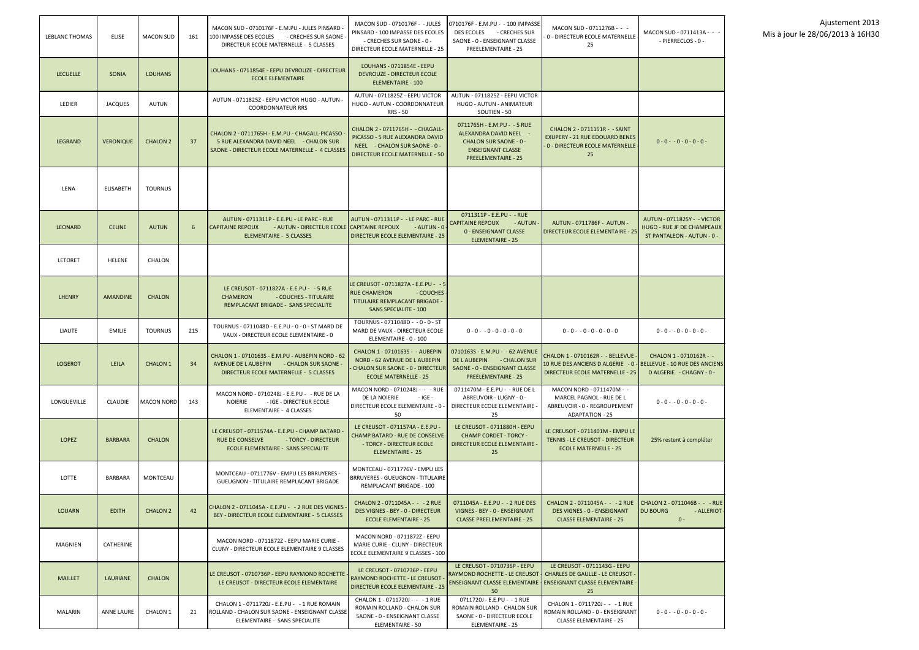

| LEBLANC THOMAS  | <b>ELISE</b>      | <b>MACON SUD</b>  | 161 | MACON SUD - 0710176F - E.M.PU - JULES PINSARD -<br>100 IMPASSE DES ECOLES<br>- CRECHES SUR SAONE<br>DIRECTEUR ECOLE MATERNELLE - 5 CLASSES           | MACON SUD - 0710176F - - JULES<br>PINSARD - 100 IMPASSE DES ECOLES<br>- CRECHES SUR SAONE - 0 -<br>DIRECTEUR ECOLE MATERNELLE - 25             | 0710176F - E.M.PU - - 100 IMPASSE<br>DES ECOLES - CRECHES SUR<br>SAONE - 0 - ENSEIGNANT CLASSE<br>PREELEMENTAIRE - 25                            | MACON SUD - 0711276B - - -<br>0 - DIRECTEUR ECOLE MATERNELLE<br>25                                                                             | MACON SUD - 0711413A - - -<br>- PIERRECLOS - 0 -                                               |
|-----------------|-------------------|-------------------|-----|------------------------------------------------------------------------------------------------------------------------------------------------------|------------------------------------------------------------------------------------------------------------------------------------------------|--------------------------------------------------------------------------------------------------------------------------------------------------|------------------------------------------------------------------------------------------------------------------------------------------------|------------------------------------------------------------------------------------------------|
| <b>LECUELLE</b> | <b>SONIA</b>      | <b>LOUHANS</b>    |     | LOUHANS - 0711854E - EEPU DEVROUZE - DIRECTEUR<br><b>ECOLE ELEMENTAIRE</b>                                                                           | <b>LOUHANS - 0711854E - EEPU</b><br>DEVROUZE - DIRECTEUR ECOLE<br>ELEMENTAIRE - 100                                                            |                                                                                                                                                  |                                                                                                                                                |                                                                                                |
| LEDIER          | <b>JACQUES</b>    | AUTUN             |     | AUTUN - 0711825Z - EEPU VICTOR HUGO - AUTUN -<br><b>COORDONNATEUR RRS</b>                                                                            | AUTUN - 0711825Z - EEPU VICTOR<br>HUGO - AUTUN - COORDONNATEUR<br><b>RRS - 50</b>                                                              | AUTUN - 0711825Z - EEPU VICTOR<br>HUGO - AUTUN - ANIMATEUR<br>SOUTIEN - 50                                                                       |                                                                                                                                                |                                                                                                |
| LEGRAND         | <b>VERONIQUE</b>  | <b>CHALON 2</b>   | 37  | CHALON 2 - 0711765H - E.M.PU - CHAGALL-PICASSO<br>5 RUE ALEXANDRA DAVID NEEL - CHALON SUR<br>SAONE - DIRECTEUR ECOLE MATERNELLE - 4 CLASSES          | CHALON 2 - 0711765H - - CHAGALL-<br>PICASSO - 5 RUE ALEXANDRA DAVID<br>NEEL - CHALON SUR SAONE - 0 -<br><b>DIRECTEUR ECOLE MATERNELLE - 50</b> | 0711765H - E.M.PU - - 5 RUE<br>ALEXANDRA DAVID NEEL -<br><b>CHALON SUR SAONE - 0 -</b><br><b>ENSEIGNANT CLASSE</b><br><b>PREELEMENTAIRE - 25</b> | CHALON 2 - 0711151R - - SAINT<br><b>EXUPERY - 21 RUE EDOUARD BENES</b><br>0 - DIRECTEUR ECOLE MATERNELLE<br>25                                 | $0 - 0 - 0 - 0 - 0 - 0 -$                                                                      |
| LENA            | <b>ELISABETH</b>  | <b>TOURNUS</b>    |     |                                                                                                                                                      |                                                                                                                                                |                                                                                                                                                  |                                                                                                                                                |                                                                                                |
| <b>LEONARD</b>  | <b>CELINE</b>     | AUTUN             | 6   | AUTUN - 0711311P - E.E.PU - LE PARC - RUE<br>- AUTUN - DIRECTEUR ECOLE CAPITAINE REPOUX<br><b>CAPITAINE REPOUX</b><br><b>ELEMENTAIRE - 5 CLASSES</b> | AUTUN - 0711311P - - LE PARC - RUE<br>$-$ AUTUN - $0$<br><b>DIRECTEUR ECOLE ELEMENTAIRE - 25</b>                                               | 0711311P - E.E.PU - - RUE<br><b>CAPITAINE REPOUX</b><br>- AUTUN<br><b>0 - ENSEIGNANT CLASSE</b><br><b>ELEMENTAIRE - 25</b>                       | AUTUN - 0711786F - AUTUN -<br><b>DIRECTEUR ECOLE ELEMENTAIRE - 25</b>                                                                          | <b>AUTUN - 0711825Y - - VICTOR</b><br>HUGO - RUE JF DE CHAMPEAUX<br>ST PANTALEON - AUTUN - 0 - |
| LETORET         | <b>HELENE</b>     | CHALON            |     |                                                                                                                                                      |                                                                                                                                                |                                                                                                                                                  |                                                                                                                                                |                                                                                                |
| <b>LHENRY</b>   | <b>AMANDINE</b>   | <b>CHALON</b>     |     | LE CREUSOT - 0711827A - E.E.PU - - 5 RUE<br><b>CHAMERON</b><br>- COUCHES - TITULAIRE<br>REMPLACANT BRIGADE - SANS SPECIALITE                         | LE CREUSOT - 0711827A - E.E.PU - - 5<br><b>RUE CHAMERON</b><br>- COUCHES<br>TITULAIRE REMPLACANT BRIGADE -<br><b>SANS SPECIALITE - 100</b>     |                                                                                                                                                  |                                                                                                                                                |                                                                                                |
| LIAUTE          | <b>EMILIE</b>     | <b>TOURNUS</b>    | 215 | TOURNUS - 0711048D - E.E.PU - 0 - 0 - ST MARD DE<br>VAUX - DIRECTEUR ECOLE ELEMENTAIRE - 0                                                           | TOURNUS - 0711048D - - 0 - 0 - ST<br>MARD DE VAUX - DIRECTEUR ECOLE<br>ELEMENTAIRE - 0 - 100                                                   | $0 - 0 - 0 - 0 - 0 - 0 - 0$                                                                                                                      | $0 - 0 - 0 - 0 - 0 - 0 - 0$                                                                                                                    | $0 - 0 - 0 - 0 - 0 - 0 -$                                                                      |
| <b>LOGEROT</b>  | LEILA             | <b>CHALON 1</b>   | 34  | CHALON 1 - 0710163S - E.M.PU - AUBEPIN NORD - 62<br>AVENUE DE LAUBEPIN - CHALON SUR SAONE -<br>DIRECTEUR ECOLE MATERNELLE - 5 CLASSES                | CHALON 1 - 0710163S - - AUBEPIN<br>NORD - 62 AVENUE DE LAUBEPIN<br><b>CHALON SUR SAONE - 0 - DIRECTEUR</b><br><b>ECOLE MATERNELLE - 25</b>     | 0710163S - E.M.PU - - 62 AVENUE<br>DE LAUBEPIN - CHALON SUR<br>SAONE - 0 - ENSEIGNANT CLASSE<br><b>PREELEMENTAIRE - 25</b>                       | CHALON 1 - 0710162R - - BELLEVUE<br>10 RUE DES ANCIENS D ALGERIE - 0 - BELLEVUE - 10 RUE DES ANCIENS<br><b>DIRECTEUR ECOLE MATERNELLE - 25</b> | CHALON 1 - 0710162R - -<br>D ALGERIE - CHAGNY - 0 -                                            |
| LONGUEVILLE     | <b>CLAUDIE</b>    | <b>MACON NORD</b> | 143 | MACON NORD - 0710248J - E.E.PU - - RUE DE LA<br><b>NOIERIE</b><br>- IGE - DIRECTEUR ECOLE<br>ELEMENTAIRE - 4 CLASSES                                 | MACON NORD - 0710248J - - - RUE<br>DE LA NOIERIE<br>$-$ IGE $-$<br>DIRECTEUR ECOLE ELEMENTAIRE - 0 -<br>50                                     | 0711470M - E.E.PU - - RUE DE L<br>ABREUVOIR - LUGNY - 0 -<br>DIRECTEUR ECOLE ELEMENTAIRE<br>25                                                   | MACON NORD - 0711470M - -<br>MARCEL PAGNOL - RUE DE L<br>ABREUVOIR - 0 - REGROUPEMENT<br><b>ADAPTATION - 25</b>                                | $0 - 0 - 0 - 0 - 0 - 0 -$                                                                      |
| <b>LOPEZ</b>    | <b>BARBARA</b>    | <b>CHALON</b>     |     | LE CREUSOT - 0711574A - E.E.PU - CHAMP BATARD<br><b>RUE DE CONSELVE</b><br>- TORCY - DIRECTEUR<br>ECOLE ELEMENTAIRE - SANS SPECIALITE                | LE CREUSOT - 0711574A - E.E.PU -<br><b>CHAMP BATARD - RUE DE CONSELVE</b><br>- TORCY - DIRECTEUR ECOLE<br>ELEMENTAIRE - 25                     | LE CREUSOT - 0711880H - EEPU<br><b>CHAMP CORDET - TORCY -</b><br>DIRECTEUR ECOLE ELEMENTAIRE<br>25                                               | LE CREUSOT - 0711401M - EMPU LE<br><b>TENNIS - LE CREUSOT - DIRECTEUR</b><br><b>ECOLE MATERNELLE - 25</b>                                      | 25% restent à compléter                                                                        |
| LOTTE           | <b>BARBARA</b>    | <b>MONTCEAU</b>   |     | MONTCEAU - 0711776V - EMPU LES BRRUYERES -<br><b>GUEUGNON - TITULAIRE REMPLACANT BRIGADE</b>                                                         | MONTCEAU - 0711776V - EMPU LES<br>BRRUYERES - GUEUGNON - TITULAIRE<br>REMPLACANT BRIGADE - 100                                                 |                                                                                                                                                  |                                                                                                                                                |                                                                                                |
| <b>LOUARN</b>   | <b>EDITH</b>      | <b>CHALON 2</b>   | 42  | CHALON 2 - 0711045A - E.E.PU - - 2 RUE DES VIGNES<br>BEY - DIRECTEUR ECOLE ELEMENTAIRE - 5 CLASSES                                                   | CHALON 2 - 0711045A - - - 2 RUE<br><b>DES VIGNES - BEY - 0 - DIRECTEUR</b><br><b>ECOLE ELEMENTAIRE - 25</b>                                    | 0711045A - E.E.PU - - 2 RUE DES<br>VIGNES - BEY - 0 - ENSEIGNANT<br><b>CLASSE PREELEMENTAIRE - 25</b>                                            | CHALON 2 - 0711045A - - - 2 RUE<br><b>DES VIGNES - 0 - ENSEIGNANT</b><br><b>CLASSE ELEMENTAIRE - 25</b>                                        | CHALON 2 - 0711046B - - - RUE<br><b>DU BOURG</b><br>- ALLERIOT<br>$0 -$                        |
| MAGNIEN         | CATHERINE         |                   |     | MACON NORD - 0711872Z - EEPU MARIE CURIE -<br>CLUNY - DIRECTEUR ECOLE ELEMENTAIRE 9 CLASSES                                                          | MACON NORD - 0711872Z - EEPU<br>MARIE CURIE - CLUNY - DIRECTEUR<br>ECOLE ELEMENTAIRE 9 CLASSES - 100                                           |                                                                                                                                                  |                                                                                                                                                |                                                                                                |
| <b>MAILLET</b>  | LAURIANE          | <b>CHALON</b>     |     | LE CREUSOT - 0710736P - EEPU RAYMOND ROCHETTE<br>LE CREUSOT - DIRECTEUR ECOLE ELEMENTAIRE                                                            | LE CREUSOT - 0710736P - EEPU<br>RAYMOND ROCHETTE - LE CREUSOT<br><b>DIRECTEUR ECOLE ELEMENTAIRE - 25</b>                                       | LE CREUSOT - 0710736P - EEPU<br>RAYMOND ROCHETTE - LE CREUSOT<br>ENSEIGNANT CLASSE ELEMENTAIRE<br>50                                             | LE CREUSOT - 0711143G - EEPU<br><b>CHARLES DE GAULLE - LE CREUSOT -</b><br><b>ENSEIGNANT CLASSE ELEMENTAIRE</b><br>25                          |                                                                                                |
| MALARIN         | <b>ANNE LAURE</b> | <b>CHALON 1</b>   | 21  | CHALON 1 - 0711720J - E.E.PU - - 1 RUE ROMAIN<br>ROLLAND - CHALON SUR SAONE - ENSEIGNANT CLASSE<br>ELEMENTAIRE - SANS SPECIALITE                     | CHALON 1 - 0711720J - - - 1 RUE<br>ROMAIN ROLLAND - CHALON SUR<br>SAONE - 0 - ENSEIGNANT CLASSE<br>ELEMENTAIRE - 50                            | 0711720J - E.E.PU - -1 RUE<br>ROMAIN ROLLAND - CHALON SUR<br>SAONE - 0 - DIRECTEUR ECOLE<br><b>ELEMENTAIRE - 25</b>                              | CHALON 1 - 0711720J - - - 1 RUE<br>ROMAIN ROLLAND - 0 - ENSEIGNANT<br><b>CLASSE ELEMENTAIRE - 25</b>                                           | $0 - 0 - 0 - 0 - 0 - 0 -$                                                                      |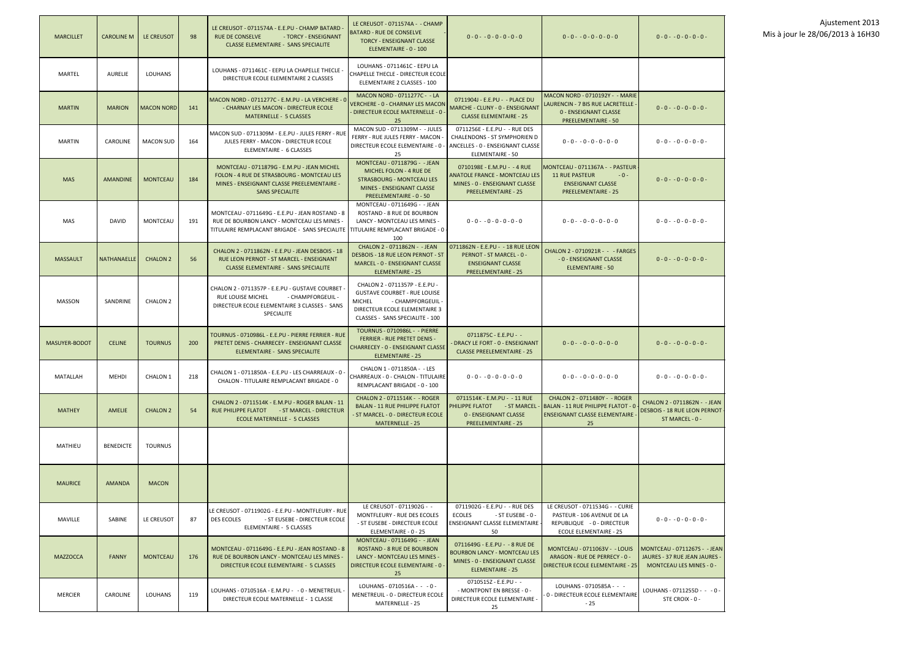| <b>MARCILLET</b> | <b>CAROLINE M</b>  | LE CREUSOT        | 98  | LE CREUSOT - 0711574A - E.E.PU - CHAMP BATARD -<br>RUE DE CONSELVE<br>- TORCY - ENSEIGNANT<br><b>CLASSE ELEMENTAIRE - SANS SPECIALITE</b>                                         | LE CREUSOT - 0711574A - - CHAMP<br><b>BATARD - RUE DE CONSELVE</b><br><b>TORCY - ENSEIGNANT CLASSE</b><br>ELEMENTAIRE - 0 - 100                                                 | $0 - 0 - 0 - 0 - 0 - 0 - 0$                                                                                                       | $0 - 0 - 0 - 0 - 0 - 0 - 0$                                                                                                         | $0 - 0 - 0 - 0 - 0 - 0 -$                                                                        |
|------------------|--------------------|-------------------|-----|-----------------------------------------------------------------------------------------------------------------------------------------------------------------------------------|---------------------------------------------------------------------------------------------------------------------------------------------------------------------------------|-----------------------------------------------------------------------------------------------------------------------------------|-------------------------------------------------------------------------------------------------------------------------------------|--------------------------------------------------------------------------------------------------|
| <b>MARTEL</b>    | <b>AURELIE</b>     | <b>LOUHANS</b>    |     | LOUHANS - 0711461C - EEPU LA CHAPELLE THECLE -<br>DIRECTEUR ECOLE ELEMENTAIRE 2 CLASSES                                                                                           | LOUHANS - 0711461C - EEPU LA<br>CHAPELLE THECLE - DIRECTEUR ECOLE<br>ELEMENTAIRE 2 CLASSES - 100                                                                                |                                                                                                                                   |                                                                                                                                     |                                                                                                  |
| <b>MARTIN</b>    | <b>MARION</b>      | <b>MACON NORD</b> | 141 | MACON NORD - 0711277C - E.M.PU - LA VERCHERE - 0<br>- CHARNAY LES MACON - DIRECTEUR ECOLE<br>MATERNELLE - 5 CLASSES                                                               | MACON NORD - 0711277C - - LA<br>VERCHERE - 0 - CHARNAY LES MACON<br>DIRECTEUR ECOLE MATERNELLE - 0 -<br>25                                                                      | 0711904J - E.E.PU - - PLACE DU<br>MARCHE - CLUNY - 0 - ENSEIGNANT<br><b>CLASSE ELEMENTAIRE - 25</b>                               | <b>MACON NORD - 0710192Y - - MARIE</b><br>LAURENCIN - 7 BIS RUE LACRETELLE -<br>0 - ENSEIGNANT CLASSE<br><b>PREELEMENTAIRE - 50</b> | $0 - 0 - 0 - 0 - 0 - 0 -$                                                                        |
| <b>MARTIN</b>    | <b>CAROLINE</b>    | <b>MACON SUD</b>  | 164 | MACON SUD - 0711309M - E.E.PU - JULES FERRY - RUE<br>JULES FERRY - MACON - DIRECTEUR ECOLE<br>ELEMENTAIRE - 6 CLASSES                                                             | MACON SUD - 0711309M - - JULES<br>FERRY - RUE JULES FERRY - MACON -<br>DIRECTEUR ECOLE ELEMENTAIRE - 0 -<br>25                                                                  | 0711256E - E.E.PU - - RUE DES<br>CHALENDONS - ST SYMPHORIEN D<br>ANCELLES - 0 - ENSEIGNANT CLASSE<br><b>ELEMENTAIRE - 50</b>      | $0 - 0 - 0 - 0 - 0 - 0 - 0$                                                                                                         | $0 - 0 - 0 - 0 - 0 - 0 -$                                                                        |
| <b>MAS</b>       | <b>AMANDINE</b>    | <b>MONTCEAU</b>   | 184 | MONTCEAU - 0711879G - E.M.PU - JEAN MICHEL<br>FOLON - 4 RUE DE STRASBOURG - MONTCEAU LES<br>MINES - ENSEIGNANT CLASSE PREELEMENTAIRE -<br><b>SANS SPECIALITE</b>                  | MONTCEAU - 0711879G - - JEAN<br>MICHEL FOLON - 4 RUE DE<br><b>STRASBOURG - MONTCEAU LES</b><br><b>MINES - ENSEIGNANT CLASSE</b><br>PREELEMENTAIRE - 0 - 50                      | 0710198E - E.M.PU - -4 RUE<br><b>ANATOLE FRANCE - MONTCEAU LES</b><br>MINES - 0 - ENSEIGNANT CLASSE<br><b>PREELEMENTAIRE - 25</b> | MONTCEAU - 0711367A - - PASTEUR<br><b>11 RUE PASTEUR</b><br>$-0-$<br><b>ENSEIGNANT CLASSE</b><br><b>PREELEMENTAIRE - 25</b>         | $0 - 0 - 0 - 0 - 0 - 0 -$                                                                        |
| <b>MAS</b>       | <b>DAVID</b>       | <b>MONTCEAU</b>   | 191 | MONTCEAU - 0711649G - E.E.PU - JEAN ROSTAND - 8<br>RUE DE BOURBON LANCY - MONTCEAU LES MINES -<br>TITULAIRE REMPLACANT BRIGADE - SANS SPECIALITE TITULAIRE REMPLACANT BRIGADE - 0 | MONTCEAU - 0711649G - - JEAN<br>ROSTAND - 8 RUE DE BOURBON<br>LANCY - MONTCEAU LES MINES -<br>100                                                                               | $0 - 0 - 0 - 0 - 0 - 0 - 0$                                                                                                       | $0 - 0 - 0 - 0 - 0 - 0 - 0$                                                                                                         | $0 - 0 - 0 - 0 - 0 - 0 -$                                                                        |
| <b>MASSAULT</b>  | <b>NATHANAELLE</b> | <b>CHALON 2</b>   | 56  | CHALON 2 - 0711862N - E.E.PU - JEAN DESBOIS - 18<br>RUE LEON PERNOT - ST MARCEL - ENSEIGNANT<br><b>CLASSE ELEMENTAIRE - SANS SPECIALITE</b>                                       | CHALON 2 - 0711862N - - JEAN<br><b>DESBOIS - 18 RUE LEON PERNOT - ST</b><br><b>MARCEL - 0 - ENSEIGNANT CLASSE</b><br><b>ELEMENTAIRE - 25</b>                                    | 0711862N - E.E.PU - - 18 RUE LEON<br>PERNOT - ST MARCEL - 0 -<br><b>ENSEIGNANT CLASSE</b><br><b>PREELEMENTAIRE - 25</b>           | CHALON 2 - 0710921R - - - FARGES<br>- 0 - ENSEIGNANT CLASSE<br>ELEMENTAIRE - 50                                                     | $0 - 0 - 0 - 0 - 0 - 0 -$                                                                        |
| MASSON           | SANDRINE           | <b>CHALON 2</b>   |     | CHALON 2 - 0711357P - E.E.PU - GUSTAVE COURBET<br>RUE LOUISE MICHEL<br>- CHAMPFORGEUIL -<br>DIRECTEUR ECOLE ELEMENTAIRE 3 CLASSES - SANS<br>SPECIALITE                            | CHALON 2 - 0711357P - E.E.PU -<br><b>GUSTAVE COURBET - RUE LOUISE</b><br><b>MICHEL</b><br>- CHAMPFORGEUIL -<br>DIRECTEUR ECOLE ELEMENTAIRE 3<br>CLASSES - SANS SPECIALITE - 100 |                                                                                                                                   |                                                                                                                                     |                                                                                                  |
| MASUYER-BODOT    | <b>CELINE</b>      | <b>TOURNUS</b>    | 200 | TOURNUS - 0710986L - E.E.PU - PIERRE FERRIER - RUE<br>PRETET DENIS - CHARRECEY - ENSEIGNANT CLASSE<br>ELEMENTAIRE - SANS SPECIALITE                                               | <b>TOURNUS - 0710986L - - PIERRE</b><br><b>FERRIER - RUE PRETET DENIS -</b><br><b>CHARRECEY - 0 - ENSEIGNANT CLASSE</b><br><b>ELEMENTAIRE - 25</b>                              | 0711875C - E.E.PU - -<br>DRACY LE FORT - 0 - ENSEIGNANT<br><b>CLASSE PREELEMENTAIRE - 25</b>                                      | $0 - 0 - 0 - 0 - 0 - 0 - 0$                                                                                                         | $0 - 0 - 0 - 0 - 0 - 0 -$                                                                        |
| MATALLAH         | <b>MEHDI</b>       | CHALON 1          | 218 | CHALON 1 - 0711850A - E.E.PU - LES CHARREAUX - 0 -<br>CHALON - TITULAIRE REMPLACANT BRIGADE - 0                                                                                   | CHALON 1 - 0711850A - - LES<br>CHARREAUX - 0 - CHALON - TITULAIRE<br>REMPLACANT BRIGADE - 0 - 100                                                                               | $0 - 0 - 0 - 0 - 0 - 0 - 0$                                                                                                       | $0 - 0 - 0 - 0 - 0 - 0 - 0$                                                                                                         | $0 - 0 - 0 - 0 - 0 - 0 -$                                                                        |
| <b>MATHEY</b>    | AMELIE             | <b>CHALON 2</b>   | 54  | CHALON 2 - 0711514K - E.M.PU - ROGER BALAN - 11<br>RUE PHILIPPE FLATOT - ST MARCEL - DIRECTEUR<br><b>ECOLE MATERNELLE - 5 CLASSES</b>                                             | CHALON 2 - 0711514K - - ROGER<br><b>BALAN - 11 RUE PHILIPPE FLATOT</b><br>- ST MARCEL - 0 - DIRECTEUR ECOLE<br>MATERNELLE - 25                                                  | 0711514K - E.M.PU - - 11 RUE<br>PHILIPPE FLATOT - ST MARCEL<br>0 - ENSEIGNANT CLASSE<br><b>PREELEMENTAIRE - 25</b>                | CHALON 2 - 0711480Y - - ROGER<br><b>BALAN - 11 RUE PHILIPPE FLATOT - 0</b><br><b>ENSEIGNANT CLASSE ELEMENTAIRE</b><br>25            | CHALON 2 - 0711862N - - JEAN<br>DESBOIS - 18 RUE LEON PERNOT<br>ST MARCEL - 0 -                  |
| <b>MATHIEU</b>   | <b>BENEDICTE</b>   | <b>TOURNUS</b>    |     |                                                                                                                                                                                   |                                                                                                                                                                                 |                                                                                                                                   |                                                                                                                                     |                                                                                                  |
| <b>MAURICE</b>   | AMANDA             | <b>MACON</b>      |     |                                                                                                                                                                                   |                                                                                                                                                                                 |                                                                                                                                   |                                                                                                                                     |                                                                                                  |
| MAVILLE          | SABINE             | LE CREUSOT        | 87  | LE CREUSOT - 0711902G - E.E.PU - MONTFLEURY - RUE<br><b>DES ECOLES</b><br>- ST EUSEBE - DIRECTEUR ECOLE<br>ELEMENTAIRE - 5 CLASSES                                                | LE CREUSOT - 0711902G - -<br>MONTFLEURY - RUE DES ECOLES<br>- ST EUSEBE - DIRECTEUR ECOLE<br>ELEMENTAIRE - 0 - 25                                                               | 0711902G - E.E.PU - - RUE DES<br><b>ECOLES</b><br>- ST EUSEBE - 0 -<br><b>ENSEIGNANT CLASSE ELEMENTAIRE -</b><br>50               | LE CREUSOT - 0711534G - - CURIE<br>PASTEUR - 106 AVENUE DE LA<br>REPUBLIQUE - 0 - DIRECTEUR<br>ECOLE ELEMENTAIRE - 25               | $0 - 0 - 0 - 0 - 0 - 0 -$                                                                        |
| <b>MAZZOCCA</b>  | <b>FANNY</b>       | <b>MONTCEAU</b>   | 176 | MONTCEAU - 0711649G - E.E.PU - JEAN ROSTAND - 8<br>RUE DE BOURBON LANCY - MONTCEAU LES MINES -<br>DIRECTEUR ECOLE ELEMENTAIRE - 5 CLASSES                                         | MONTCEAU - 0711649G - - JEAN<br><b>ROSTAND - 8 RUE DE BOURBON</b><br>LANCY - MONTCEAU LES MINES -<br>DIRECTEUR ECOLE ELEMENTAIRE - 0 -<br>25                                    | 0711649G - E.E.PU - - 8 RUE DE<br><b>BOURBON LANCY - MONTCEAU LES</b><br>MINES - 0 - ENSEIGNANT CLASSE<br><b>ELEMENTAIRE - 25</b> | MONTCEAU - 0711063V - - LOUIS<br>ARAGON - RUE DE PERRECY - 0 -<br>DIRECTEUR ECOLE ELEMENTAIRE - 25                                  | <b>MONTCEAU - 0711267S - - JEAN</b><br>JAURES - 37 RUE JEAN JAURES -<br>MONTCEAU LES MINES - 0 - |
| <b>MERCIER</b>   | CAROLINE           | <b>LOUHANS</b>    | 119 | LOUHANS - 0710516A - E.M.PU - - 0 - MENETREUIL -<br>DIRECTEUR ECOLE MATERNELLE - 1 CLASSE                                                                                         | LOUHANS - 0710516A - - - 0 -<br>MENETREUIL - 0 - DIRECTEUR ECOLE<br>MATERNELLE - 25                                                                                             | 0710515Z - E.E.PU - -<br>- MONTPONT EN BRESSE - 0 -<br>DIRECTEUR ECOLE ELEMENTAIRE -<br>25                                        | LOUHANS - 0710585A - - -<br>0 - DIRECTEUR ECOLE ELEMENTAIRE<br>- 25                                                                 | LOUHANS - 0711255D - - - 0 -<br>STE CROIX - 0 -                                                  |



#### $5D - - 0$  - $-0 -$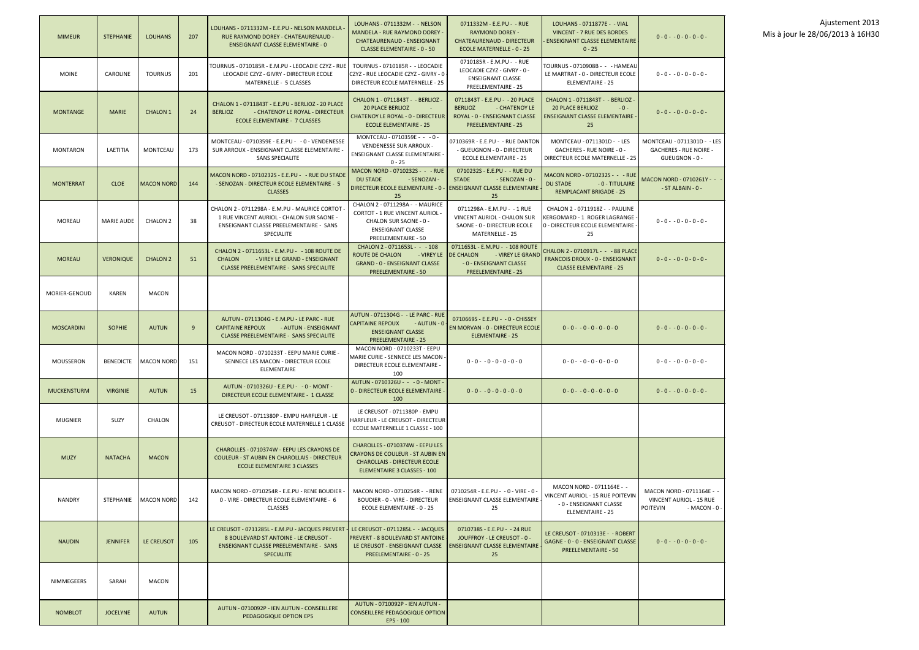| <b>MIMEUR</b>      | <b>STEPHANIE</b>  | <b>LOUHANS</b>               | 207 | LOUHANS - 0711332M - E.E.PU - NELSON MANDELA<br>RUE RAYMOND DOREY - CHATEAURENAUD -<br><b>ENSEIGNANT CLASSE ELEMENTAIRE - 0</b>                                    | LOUHANS - 0711332M - - NELSON<br>MANDELA - RUE RAYMOND DOREY -<br><b>CHATEAURENAUD - ENSEIGNANT</b><br><b>CLASSE ELEMENTAIRE - 0 - 50</b>                     | 0711332M - E.E.PU - - RUE<br><b>RAYMOND DOREY -</b><br><b>CHATEAURENAUD - DIRECTEUR</b><br><b>ECOLE MATERNELLE - 0 - 25</b>      | LOUHANS - 0711877E - - VIAL<br>VINCENT - 7 RUE DES BORDES<br><b>ENSEIGNANT CLASSE ELEMENTAIRE</b><br>$0 - 25$       | $0 - 0 - 0 - 0 - 0 - 0 -$                                                                |
|--------------------|-------------------|------------------------------|-----|--------------------------------------------------------------------------------------------------------------------------------------------------------------------|---------------------------------------------------------------------------------------------------------------------------------------------------------------|----------------------------------------------------------------------------------------------------------------------------------|---------------------------------------------------------------------------------------------------------------------|------------------------------------------------------------------------------------------|
| <b>MOINE</b>       | CAROLINE          | <b>TOURNUS</b>               | 201 | TOURNUS - 0710185R - E.M.PU - LEOCADIE CZYZ - RUE<br>LEOCADIE CZYZ - GIVRY - DIRECTEUR ECOLE<br>MATERNELLE - 5 CLASSES                                             | TOURNUS - 0710185R - - LEOCADIE<br>CZYZ - RUE LEOCADIE CZYZ - GIVRY - 0<br>DIRECTEUR ECOLE MATERNELLE - 25                                                    | 0710185R - E.M.PU - - RUE<br>LEOCADIE CZYZ - GIVRY - 0 -<br><b>ENSEIGNANT CLASSE</b><br><b>PREELEMENTAIRE - 25</b>               | TOURNUS - 0710908B - - - HAMEAU<br>LE MARTRAT - 0 - DIRECTEUR ECOLE<br>ELEMENTAIRE - 25                             | $0 - 0 - 0 - 0 - 0 - 0 -$                                                                |
| <b>MONTANGE</b>    | <b>MARIE</b>      | <b>CHALON 1</b>              | 24  | CHALON 1 - 0711843T - E.E.PU - BERLIOZ - 20 PLACE<br><b>BERLIOZ</b><br>- CHATENOY LE ROYAL - DIRECTEUR<br><b>ECOLE ELEMENTAIRE - 7 CLASSES</b>                     | CHALON 1 - 0711843T - - BERLIOZ -<br><b>20 PLACE BERLIOZ</b><br>$\sim$<br><b>CHATENOY LE ROYAL - 0 - DIRECTEUR</b><br><b>ECOLE ELEMENTAIRE - 25</b>           | 0711843T - E.E.PU - - 20 PLACE<br><b>BERLIOZ</b><br>- CHATENOY LE<br>ROYAL - 0 - ENSEIGNANT CLASSE<br><b>PREELEMENTAIRE - 25</b> | CHALON 1 - 0711843T - - BERLIOZ -<br><b>20 PLACE BERLIOZ</b><br>$-0-$<br><b>ENSEIGNANT CLASSE ELEMENTAIRE</b><br>25 | $0 - 0 - 0 - 0 - 0 - 0 -$                                                                |
| <b>MONTARON</b>    | LAETITIA          | <b>MONTCEAU</b>              | 173 | MONTCEAU - 0710359E - E.E.PU - - 0 - VENDENESSE<br>SUR ARROUX - ENSEIGNANT CLASSE ELEMENTAIRE -<br><b>SANS SPECIALITE</b>                                          | MONTCEAU - 0710359E - - - 0 -<br>VENDENESSE SUR ARROUX -<br>ENSEIGNANT CLASSE ELEMENTAIRE -<br>$0 - 25$                                                       | 0710369R - E.E.PU - - RUE DANTON<br>- GUEUGNON - 0 - DIRECTEUR<br><b>ECOLE ELEMENTAIRE - 25</b>                                  | MONTCEAU - 0711301D - - LES<br>GACHERES - RUE NOIRE - 0 -<br>DIRECTEUR ECOLE MATERNELLE - 25                        | MONTCEAU - 0711301D - - LES<br><b>GACHERES - RUE NOIRE -</b><br>GUEUGNON - 0 -           |
| <b>MONTERRAT</b>   | <b>CLOE</b>       | <b>MACON NORD</b>            | 144 | MACON NORD - 0710232S - E.E.PU - - RUE DU STADE<br>- SENOZAN - DIRECTEUR ECOLE ELEMENTAIRE - 5<br><b>CLASSES</b>                                                   | MACON NORD - 0710232S - - - RUE<br><b>DU STADE</b><br>- SENOZAN -<br>DIRECTEUR ECOLE ELEMENTAIRE - 0<br>25                                                    | 0710232S - E.E.PU - - RUE DU<br><b>STADE</b><br>- SENOZAN - 0 -<br><b>ENSEIGNANT CLASSE ELEMENTAIRE</b><br>25                    | MACON NORD - 0710232S - - - RUE<br><b>DU STADE</b><br>- 0 - TITULAIRE<br><b>REMPLACANT BRIGADE - 25</b>             | MACON NORD - 0710261Y - -<br>- ST ALBAIN - 0 -                                           |
| MOREAU             | <b>MARIE AUDE</b> | <b>CHALON 2</b>              | 38  | CHALON 2 - 0711298A - E.M.PU - MAURICE CORTOT<br>1 RUE VINCENT AURIOL - CHALON SUR SAONE -<br>ENSEIGNANT CLASSE PREELEMENTAIRE - SANS<br><b>SPECIALITE</b>         | CHALON 2 - 0711298A - - MAURICE<br><b>CORTOT - 1 RUE VINCENT AURIOL -</b><br>CHALON SUR SAONE - 0 -<br><b>ENSEIGNANT CLASSE</b><br><b>PREELEMENTAIRE - 50</b> | 0711298A - E.M.PU - - 1 RUE<br>VINCENT AURIOL - CHALON SUR<br>SAONE - 0 - DIRECTEUR ECOLE<br>MATERNELLE - 25                     | CHALON 2 - 0711918Z - - PAULINE<br>KERGOMARD - 1 ROGER LAGRANGE -<br>0 - DIRECTEUR ECOLE ELEMENTAIRE -<br>25        | $0 - 0 - 0 - 0 - 0 - 0 -$                                                                |
| <b>MOREAU</b>      | <b>VERONIQUE</b>  | <b>CHALON 2</b>              | 51  | CHALON 2 - 0711653L - E.M.PU - - 108 ROUTE DE<br><b>CHALON</b><br>- VIREY LE GRAND - ENSEIGNANT<br><b>CLASSE PREELEMENTAIRE - SANS SPECIALITE</b>                  | CHALON 2 - 0711653L - - - 108<br><b>ROUTE DE CHALON</b><br>- VIREY LE<br><b>GRAND - 0 - ENSEIGNANT CLASSE</b><br><b>PREELEMENTAIRE - 50</b>                   | 0711653L - E.M.PU - - 108 ROUTE<br>DE CHALON<br>- VIREY LE GRAND<br>- 0 - ENSEIGNANT CLASSE<br><b>PREELEMENTAIRE - 25</b>        | CHALON 2 - 0710917L - - - 88 PLACE<br><b>FRANCOIS DROUX - 0 - ENSEIGNANT</b><br><b>CLASSE ELEMENTAIRE - 25</b>      | $0 - 0 - 0 - 0 - 0 - 0 -$                                                                |
| MORIER-GENOUD      | <b>KAREN</b>      | <b>MACON</b>                 |     |                                                                                                                                                                    |                                                                                                                                                               |                                                                                                                                  |                                                                                                                     |                                                                                          |
| <b>MOSCARDINI</b>  | <b>SOPHIE</b>     | <b>AUTUN</b>                 | 9   | AUTUN - 0711304G - E.M.PU - LE PARC - RUE<br><b>CAPITAINE REPOUX</b><br>- AUTUN - ENSEIGNANT<br><b>CLASSE PREELEMENTAIRE - SANS SPECIALITE</b>                     | AUTUN - 0711304G - - LE PARC - RUE<br><b>CAPITAINE REPOUX</b><br>- AUTUN - 0<br><b>ENSEIGNANT CLASSE</b><br><b>PREELEMENTAIRE - 25</b>                        | 0710669S - E.E.PU - - 0 - CHISSEY<br><b>EN MORVAN - 0 - DIRECTEUR ECOLE</b><br><b>ELEMENTAIRE - 25</b>                           | $0 - 0 - 0 - 0 - 0 - 0 - 0$                                                                                         | $0 - 0 - 0 - 0 - 0 - 0 -$                                                                |
| MOUSSERON          |                   | BENEDICTE   MACON NORD   151 |     | MACON NORD - 0710233T - EEPU MARIE CURIE -<br>SENNECE LES MACON - DIRECTEUR ECOLE<br>ELEMENTAIRE                                                                   | MACON NORD - 0710233T - EEPU<br>MARIE CURIE - SENNECE LES MACON<br><b>DIRECTEUR ECOLE ELEMENTAIRE -</b><br>100                                                | $0 - 0 - 0 - 0 - 0 - 0 - 0$                                                                                                      | $0 - 0 - 0 - 0 - 0 - 0 - 0$                                                                                         | $0 - 0 - 0 - 0 - 0 - 0 -$                                                                |
| <b>MUCKENSTURM</b> | <b>VIRGINIE</b>   | <b>AUTUN</b>                 | 15  | AUTUN - 0710326U - E.E.PU - - 0 - MONT -<br>DIRECTEUR ECOLE ELEMENTAIRE - 1 CLASSE                                                                                 | AUTUN - 0710326U - - - 0 - MONT -<br>0 - DIRECTEUR ECOLE ELEMENTAIRE -<br>100                                                                                 | $0 - 0 - 0 - 0 - 0 - 0 - 0$                                                                                                      | $0 - 0 - 0 - 0 - 0 - 0 - 0$                                                                                         | $0 - 0 - 0 - 0 - 0 - 0 -$                                                                |
| <b>MUGNIER</b>     | SUZY              | CHALON                       |     | LE CREUSOT - 0711380P - EMPU HARFLEUR - LE<br>CREUSOT - DIRECTEUR ECOLE MATERNELLE 1 CLASSE                                                                        | LE CREUSOT - 0711380P - EMPU<br>HARFLEUR - LE CREUSOT - DIRECTEUR<br>ECOLE MATERNELLE 1 CLASSE - 100                                                          |                                                                                                                                  |                                                                                                                     |                                                                                          |
| <b>MUZY</b>        | <b>NATACHA</b>    | <b>MACON</b>                 |     | CHAROLLES - 0710374W - EEPU LES CRAYONS DE<br><b>COULEUR - ST AUBIN EN CHAROLLAIS - DIRECTEUR</b><br><b>ECOLE ELEMENTAIRE 3 CLASSES</b>                            | CHAROLLES - 0710374W - EEPU LES<br><b>CRAYONS DE COULEUR - ST AUBIN EN</b><br><b>CHAROLLAIS - DIRECTEUR ECOLE</b><br>ELEMENTAIRE 3 CLASSES - 100              |                                                                                                                                  |                                                                                                                     |                                                                                          |
| <b>NANDRY</b>      |                   | STEPHANIE   MACON NORD       | 142 | MACON NORD - 0710254R - E.E.PU - RENE BOUDIER -<br>0 - VIRE - DIRECTEUR ECOLE ELEMENTAIRE - 6<br><b>CLASSES</b>                                                    | MACON NORD - 0710254R - - RENE<br>BOUDIER - 0 - VIRE - DIRECTEUR<br>ECOLE ELEMENTAIRE - 0 - 25                                                                | 0710254R - E.E.PU - - 0 - VIRE - 0 -<br><b>ENSEIGNANT CLASSE ELEMENTAIRE</b><br>25                                               | MACON NORD - 0711164E - -<br>VINCENT AURIOL - 15 RUE POITEVIN<br>- 0 - ENSEIGNANT CLASSE<br>ELEMENTAIRE - 25        | MACON NORD - 0711164E - -<br><b>VINCENT AURIOL - 15 RUE</b><br>POITEVIN<br>- MACON - 0 - |
| <b>NAUDIN</b>      | <b>JENNIFER</b>   | LE CREUSOT                   | 105 | LE CREUSOT - 0711285L - E.M.PU - JACQUES PREVERT -<br>8 BOULEVARD ST ANTOINE - LE CREUSOT -<br><b>ENSEIGNANT CLASSE PREELEMENTAIRE - SANS</b><br><b>SPECIALITE</b> | LE CREUSOT - 0711285L - - JACQUES<br><b>PREVERT - 8 BOULEVARD ST ANTOINE</b><br>LE CREUSOT - ENSEIGNANT CLASSE<br>PREELEMENTAIRE - 0 - 25                     | 0710738S - E.E.PU - - 24 RUE<br>JOUFFROY - LE CREUSOT - 0 -<br><b>ENSEIGNANT CLASSE ELEMENTAIRE</b><br>25                        | LE CREUSOT - 0710313E - - ROBERT<br>GAGNE - 0 - 0 - ENSEIGNANT CLASSE<br><b>PREELEMENTAIRE - 50</b>                 | $0 - 0 - 0 - 0 - 0 - 0 -$                                                                |
| NIMMEGEERS         | SARAH             | <b>MACON</b>                 |     |                                                                                                                                                                    |                                                                                                                                                               |                                                                                                                                  |                                                                                                                     |                                                                                          |
| <b>NOMBLOT</b>     | <b>JOCELYNE</b>   | <b>AUTUN</b>                 |     | AUTUN - 0710092P - IEN AUTUN - CONSEILLERE<br>PEDAGOGIQUE OPTION EPS                                                                                               | AUTUN - 0710092P - IEN AUTUN -<br><b>CONSEILLERE PEDAGOGIQUE OPTION</b><br>EPS - 100                                                                          |                                                                                                                                  |                                                                                                                     |                                                                                          |

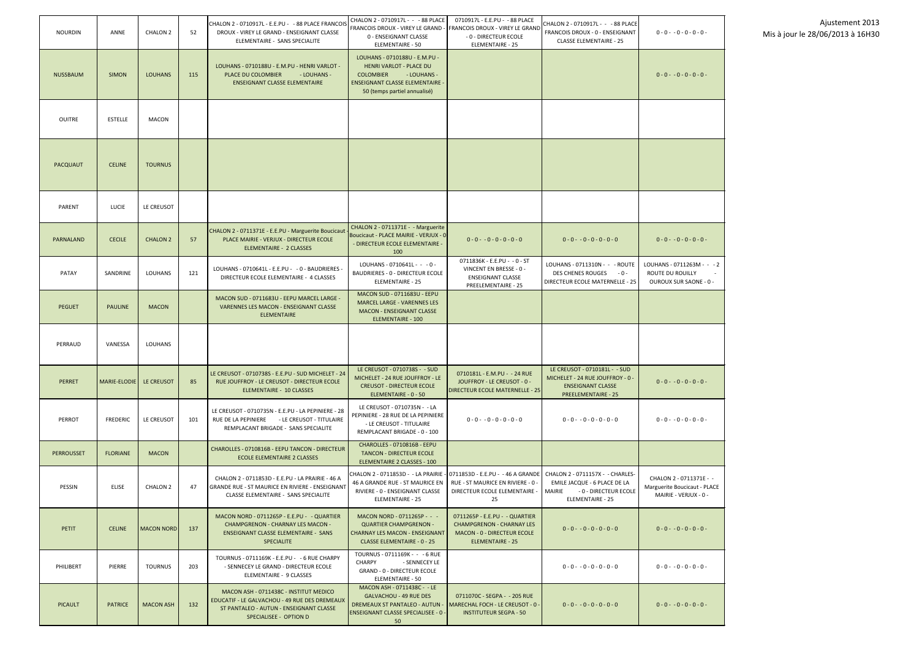| <b>NOURDIN</b>    | ANNE            | CHALON 2          | 52  | CHALON 2 - 0710917L - E.E.PU - - 88 PLACE FRANCOIS<br>DROUX - VIREY LE GRAND - ENSEIGNANT CLASSE<br>ELEMENTAIRE - SANS SPECIALITE                            | CHALON 2 - 0710917L - - - 88 PLACE<br>FRANCOIS DROUX - VIREY LE GRAND<br>0 - ENSEIGNANT CLASSE<br>ELEMENTAIRE - 50                                                         | 0710917L - E.E.PU - - 88 PLACE<br><b>FRANCOIS DROUX - VIREY LE GRAND</b><br>- 0 - DIRECTEUR ECOLE<br><b>ELEMENTAIRE - 25</b>        | CHALON 2 - 0710917L - - - 88 PLACE<br>FRANCOIS DROUX - 0 - ENSEIGNANT<br><b>CLASSE ELEMENTAIRE - 25</b>                        | $0 - 0 - 0 - 0 - 0 - 0 -$                                                        |
|-------------------|-----------------|-------------------|-----|--------------------------------------------------------------------------------------------------------------------------------------------------------------|----------------------------------------------------------------------------------------------------------------------------------------------------------------------------|-------------------------------------------------------------------------------------------------------------------------------------|--------------------------------------------------------------------------------------------------------------------------------|----------------------------------------------------------------------------------|
| <b>NUSSBAUM</b>   | <b>SIMON</b>    | <b>LOUHANS</b>    | 115 | LOUHANS - 0710188U - E.M.PU - HENRI VARLOT -<br>- LOUHANS -<br>PLACE DU COLOMBIER<br><b>ENSEIGNANT CLASSE ELEMENTAIRE</b>                                    | LOUHANS - 0710188U - E.M.PU -<br><b>HENRI VARLOT - PLACE DU</b><br><b>COLOMBIER</b><br>- LOUHANS -<br><b>ENSEIGNANT CLASSE ELEMENTAIRE</b><br>50 (temps partiel annualisé) |                                                                                                                                     |                                                                                                                                | $0 - 0 - 0 - 0 - 0 - 0 -$                                                        |
| <b>OUITRE</b>     | <b>ESTELLE</b>  | <b>MACON</b>      |     |                                                                                                                                                              |                                                                                                                                                                            |                                                                                                                                     |                                                                                                                                |                                                                                  |
| PACQUAUT          | <b>CELINE</b>   | <b>TOURNUS</b>    |     |                                                                                                                                                              |                                                                                                                                                                            |                                                                                                                                     |                                                                                                                                |                                                                                  |
| PARENT            | LUCIE           | LE CREUSOT        |     |                                                                                                                                                              |                                                                                                                                                                            |                                                                                                                                     |                                                                                                                                |                                                                                  |
| PARNALAND         | <b>CECILE</b>   | <b>CHALON 2</b>   | 57  | CHALON 2 - 0711371E - E.E.PU - Marguerite Boucicaut<br>PLACE MAIRIE - VERJUX - DIRECTEUR ECOLE<br><b>ELEMENTAIRE - 2 CLASSES</b>                             | CHALON 2 - 0711371E - - Marguerite<br>Boucicaut - PLACE MAIRIE - VERJUX - 0<br>- DIRECTEUR ECOLE ELEMENTAIRE -<br>100                                                      | $0 - 0 - 0 - 0 - 0 - 0 - 0$                                                                                                         | $0 - 0 - 0 - 0 - 0 - 0 - 0$                                                                                                    | $0 - 0 - 0 - 0 - 0 - 0 -$                                                        |
| PATAY             | SANDRINE        | <b>LOUHANS</b>    | 121 | LOUHANS - 0710641L - E.E.PU - - 0 - BAUDRIERES -<br>DIRECTEUR ECOLE ELEMENTAIRE - 4 CLASSES                                                                  | LOUHANS - 0710641L - - - 0 -<br><b>BAUDRIERES - 0 - DIRECTEUR ECOLE</b><br>ELEMENTAIRE - 25                                                                                | 0711836K - E.E.PU - - 0 - ST<br>VINCENT EN BRESSE - 0 -<br><b>ENSEIGNANT CLASSE</b><br><b>PREELEMENTAIRE - 25</b>                   | LOUHANS - 0711310N - - - ROUTE<br>DES CHENES ROUGES<br>$-0-$<br>DIRECTEUR ECOLE MATERNELLE - 25                                | LOUHANS - 0711263M - - - 2<br>ROUTE DU ROUILLY<br>OUROUX SUR SAONE - 0 -         |
| <b>PEGUET</b>     | <b>PAULINE</b>  | <b>MACON</b>      |     | MACON SUD - 0711683U - EEPU MARCEL LARGE -<br><b>VARENNES LES MACON - ENSEIGNANT CLASSE</b><br><b>ELEMENTAIRE</b>                                            | <b>MACON SUD - 0711683U - EEPU</b><br><b>MARCEL LARGE - VARENNES LES</b><br><b>MACON - ENSEIGNANT CLASSE</b><br><b>ELEMENTAIRE - 100</b>                                   |                                                                                                                                     |                                                                                                                                |                                                                                  |
| PERRAUD           | VANESSA         | LOUHANS           |     |                                                                                                                                                              |                                                                                                                                                                            |                                                                                                                                     |                                                                                                                                |                                                                                  |
| <b>PERRET</b>     | MARIE-ELODIE    | LE CREUSOT        | 85  | LE CREUSOT - 0710738S - E.E.PU - SUD MICHELET - 24<br>RUE JOUFFROY - LE CREUSOT - DIRECTEUR ECOLE<br>ELEMENTAIRE - 10 CLASSES                                | LE CREUSOT - 0710738S - - SUD<br>MICHELET - 24 RUE JOUFFROY - LE<br><b>CREUSOT - DIRECTEUR ECOLE</b><br>ELEMENTAIRE - 0 - 50                                               | 0710181L - E.M.PU - - 24 RUE<br>JOUFFROY - LE CREUSOT - 0 -<br><b>DIRECTEUR ECOLE MATERNELLE - 25</b>                               | LE CREUSOT - 0710181L - - SUD<br>MICHELET - 24 RUE JOUFFROY - 0 -<br><b>ENSEIGNANT CLASSE</b><br><b>PREELEMENTAIRE - 25</b>    | $0 - 0 - 0 - 0 - 0 - 0 -$                                                        |
| PERROT            | <b>FREDERIC</b> | LE CREUSOT        | 101 | LE CREUSOT - 0710735N - E.E.PU - LA PEPINIERE - 28<br>RUE DE LA PEPINIERE<br>- LE CREUSOT - TITULAIRE<br>REMPLACANT BRIGADE - SANS SPECIALITE                | LE CREUSOT - 0710735N - - LA<br>PEPINIERE - 28 RUE DE LA PEPINIERE<br>- LE CREUSOT - TITULAIRE<br>REMPLACANT BRIGADE - 0 - 100                                             | $0 - 0 - 0 - 0 - 0 - 0 - 0$                                                                                                         | $0 - 0 - 0 - 0 - 0 - 0 - 0$                                                                                                    | $0 - 0 - 0 - 0 - 0 - 0 -$                                                        |
| <b>PERROUSSET</b> | <b>FLORIANE</b> | <b>MACON</b>      |     | CHAROLLES - 0710816B - EEPU TANCON - DIRECTEUR<br>ECOLE ELEMENTAIRE 2 CLASSES                                                                                | CHAROLLES - 0710816B - EEPU<br><b>TANCON - DIRECTEUR ECOLE</b><br>ELEMENTAIRE 2 CLASSES - 100                                                                              |                                                                                                                                     |                                                                                                                                |                                                                                  |
| PESSIN            | <b>ELISE</b>    | <b>CHALON 2</b>   | 47  | CHALON 2 - 0711853D - E.E.PU - LA PRAIRIE - 46 A<br><b>GRANDE RUE - ST MAURICE EN RIVIERE - ENSEIGNANT</b><br>CLASSE ELEMENTAIRE - SANS SPECIALITE           | CHALON 2 - 0711853D - - LA PRAIRIE<br>46 A GRANDE RUE - ST MAURICE EN<br>RIVIERE - 0 - ENSEIGNANT CLASSE<br><b>ELEMENTAIRE - 25</b>                                        | 0711853D - E.E.PU - -46 A GRANDE<br>RUE - ST MAURICE EN RIVIERE - 0 -<br>DIRECTEUR ECOLE ELEMENTAIRE -<br>25                        | CHALON 2 - 0711157X - - CHARLES-<br>EMILE JACQUE - 6 PLACE DE LA<br>MAIRIE<br>- 0 - DIRECTEUR ECOLE<br><b>ELEMENTAIRE - 25</b> | CHALON 2 - 0711371E - -<br>Marguerite Boucicaut - PLACE<br>MAIRIE - VERJUX - 0 - |
| PETIT             | <b>CELINE</b>   | <b>MACON NORD</b> | 137 | MACON NORD - 0711265P - E.E.PU - - QUARTIER<br><b>CHAMPGRENON - CHARNAY LES MACON -</b><br><b>ENSEIGNANT CLASSE ELEMENTAIRE - SANS</b><br><b>SPECIALITE</b>  | MACON NORD - 0711265P - - -<br><b>QUARTIER CHAMPGRENON -</b><br><b>CHARNAY LES MACON - ENSEIGNANT</b><br><b>CLASSE ELEMENTAIRE - 0 - 25</b>                                | 0711265P - E.E.PU - - QUARTIER<br><b>CHAMPGRENON - CHARNAY LES</b><br><b>MACON - 0 - DIRECTEUR ECOLE</b><br><b>ELEMENTAIRE - 25</b> | $0 - 0 - 0 - 0 - 0 - 0 - 0$                                                                                                    | $0 - 0 - 0 - 0 - 0 - 0 -$                                                        |
| PHILIBERT         | <b>PIERRE</b>   | <b>TOURNUS</b>    | 203 | TOURNUS - 0711169K - E.E.PU - - 6 RUE CHARPY<br>- SENNECEY LE GRAND - DIRECTEUR ECOLE<br>ELEMENTAIRE - 9 CLASSES                                             | TOURNUS - 0711169K - - - 6 RUE<br><b>CHARPY</b><br>- SENNECEY LE<br>GRAND - 0 - DIRECTEUR ECOLE<br>ELEMENTAIRE - 50                                                        |                                                                                                                                     | $0 - 0 - 0 - 0 - 0 - 0 - 0$                                                                                                    | $0 - 0 - 0 - 0 - 0 - 0 -$                                                        |
| <b>PICAULT</b>    | <b>PATRICE</b>  | <b>MACON ASH</b>  | 132 | MACON ASH - 0711438C - INSTITUT MEDICO<br>EDUCATIF - LE GALVACHOU - 49 RUE DES DREMEAUX<br>ST PANTALEO - AUTUN - ENSEIGNANT CLASSE<br>SPECIALISEE - OPTION D | MACON ASH - 0711438C - - LE<br><b>GALVACHOU - 49 RUE DES</b><br><b>DREMEAUX ST PANTALEO - AUTUN -</b><br><b>ENSEIGNANT CLASSE SPECIALISEE - 0 -</b><br>50                  | 0711070C - SEGPA - - 205 RUE<br><b>MARECHAL FOCH - LE CREUSOT - 0 -</b><br><b>INSTITUTEUR SEGPA - 50</b>                            | $0 - 0 - 0 - 0 - 0 - 0 - 0$                                                                                                    | $0 - 0 - 0 - 0 - 0 - 0 -$                                                        |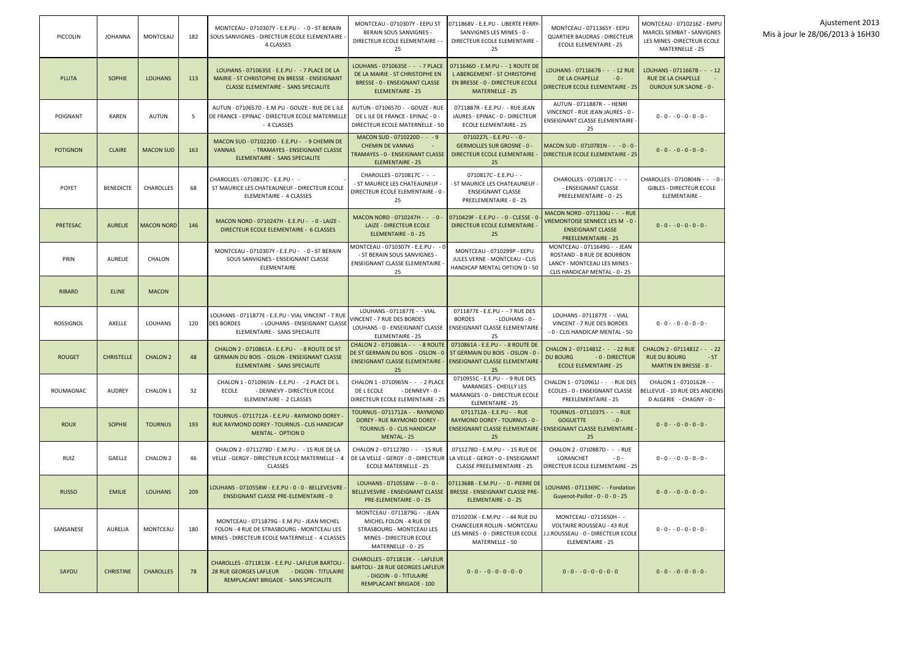| PICCOLIN         | <b>JOHANNA</b>    | <b>MONTCEAU</b>   | 182 | MONTCEAU - 0710307Y - E.E.PU - - 0 - ST BERAIN<br>SOUS SANVIGNES - DIRECTEUR ECOLE ELEMENTAIRE<br><b>4 CLASSES</b>                               | MONTCEAU - 0710307Y - EEPU ST<br>BERAIN SOUS SANVIGNES -<br>DIRECTEUR ECOLE ELEMENTAIRE -<br>25                                                                                                                          | 0711868V - E.E.PU - LIBERTE FERRY-<br>SANVIGNES LES MINES - 0 -<br>DIRECTEUR ECOLE ELEMENTAIRE -<br>25                               | MONTCEAU - 0711365Y - EEPU<br><b>QUARTIER BAUDRAS - DIRECTEUR</b><br>ECOLE ELEMENTAIRE - 25                                       | MONTCEAU - 0710216Z - EMPU<br>MARCEL SEMBAT - SANVIGNES<br>LES MINES - DIRECTEUR ECOLE<br>MATERNELLE - 25 |
|------------------|-------------------|-------------------|-----|--------------------------------------------------------------------------------------------------------------------------------------------------|--------------------------------------------------------------------------------------------------------------------------------------------------------------------------------------------------------------------------|--------------------------------------------------------------------------------------------------------------------------------------|-----------------------------------------------------------------------------------------------------------------------------------|-----------------------------------------------------------------------------------------------------------|
| <b>PLUTA</b>     | <b>SOPHIE</b>     | <b>LOUHANS</b>    | 113 | LOUHANS - 0710635E - E.E.PU - - 7 PLACE DE LA<br>MAIRIE - ST CHRISTOPHE EN BRESSE - ENSEIGNANT<br><b>CLASSE ELEMENTAIRE - SANS SPECIALITE</b>    | LOUHANS - 0710635E - - - 7 PLACE<br>DE LA MAIRIE - ST CHRISTOPHE EN<br><b>BRESSE - 0 - ENSEIGNANT CLASSE</b><br>ELEMENTAIRE - 25                                                                                         | 0711646D - E.M.PU - - 1 ROUTE DE<br>L ABERGEMENT - ST CHRISTOPHE<br><b>EN BRESSE - 0 - DIRECTEUR ECOLE</b><br><b>MATERNELLE - 25</b> | LOUHANS - 0711667B - - - 12 RUE<br>DE LA CHAPELLE<br>$-0-$<br><b>DIRECTEUR ECOLE ELEMENTAIRE - 25</b>                             | LOUHANS - 0711667B - - - 12<br><b>RUE DE LA CHAPELLE</b><br><b>OUROUX SUR SAONE - 0 -</b>                 |
| POIGNANT         | <b>KAREN</b>      | <b>AUTUN</b>      | 5   | AUTUN - 0710657D - E.M.PU - GOUZE - RUE DE LILE<br>DE FRANCE - EPINAC - DIRECTEUR ECOLE MATERNELLE<br>- 4 CLASSES                                | AUTUN - 0710657D - - GOUZE - RUE<br>DE LILE DE FRANCE - EPINAC - 0 -<br>DIRECTEUR ECOLE MATERNELLE - 50                                                                                                                  | 0711887R - E.E.PU - - RUE JEAN<br>JAURES - EPINAC - 0 - DIRECTEUR<br><b>ECOLE ELEMENTAIRE - 25</b>                                   | AUTUN - 0711887R - - HENRI<br>VINCENOT - RUE JEAN JAURES - 0 -<br><b>ENSEIGNANT CLASSE ELEMENTAIRE</b><br>25                      | $0 - 0 - 0 - 0 - 0 - 0 -$                                                                                 |
| <b>POTIGNON</b>  | <b>CLAIRE</b>     | <b>MACON SUD</b>  | 163 | MACON SUD - 0710220D - E.E.PU - -9 CHEMIN DE<br><b>VANNAS</b><br>- TRAMAYES - ENSEIGNANT CLASSE<br>ELEMENTAIRE - SANS SPECIALITE                 | MACON SUD - 0710220D - - - 9<br><b>CHEMIN DE VANNAS</b><br>TRAMAYES - 0 - ENSEIGNANT CLASSE<br><b>ELEMENTAIRE - 25</b>                                                                                                   | $0710227L - E.E.PU - -0 -$<br><b>GERMOLLES SUR GROSNE - 0 -</b><br>DIRECTEUR ECOLE ELEMENTAIRE<br>25                                 | MACON SUD - 0710781N - - - 0 - 0 -<br><b>DIRECTEUR ECOLE ELEMENTAIRE - 25</b>                                                     | $0 - 0 - 0 - 0 - 0 - 0 -$                                                                                 |
| <b>POYET</b>     | <b>BENEDICTE</b>  | <b>CHAROLLES</b>  | 68  | CHAROLLES - 0710817C - E.E.PU - -<br>ST MAURICE LES CHATEAUNEUF - DIRECTEUR ECOLE<br>ELEMENTAIRE - 4 CLASSES                                     | CHAROLLES - 0710817C - - -<br>- ST MAURICE LES CHATEAUNEUF<br>DIRECTEUR ECOLE ELEMENTAIRE - 0<br>25                                                                                                                      | 0710817C - E.E.PU - -<br>- ST MAURICE LES CHATEAUNEUF -<br><b>ENSEIGNANT CLASSE</b><br>PREELEMENTAIRE - 0 - 25                       | CHAROLLES - 0710817C - - -<br>- ENSEIGNANT CLASSE<br>PREELEMENTAIRE - 0 - 25                                                      | CHAROLLES - 0710804N - - - 0 -<br><b>GIBLES - DIRECTEUR ECOLE</b><br><b>ELEMENTAIRE -</b>                 |
| PRETESAC         | <b>AURELIE</b>    | <b>MACON NORD</b> | 146 | MACON NORD - 0710247H - E.E.PU - - 0 - LAIZE -<br>DIRECTEUR ECOLE ELEMENTAIRE - 6 CLASSES                                                        | MACON NORD - 0710247H - - - 0 -<br>LAIZE - DIRECTEUR ECOLE<br>ELEMENTAIRE - 0 - 25                                                                                                                                       | 0710429F - E.E.PU - - 0 - CLESSE - 0<br>DIRECTEUR ECOLE ELEMENTAIRE -<br>25                                                          | MACON NORD - 0711306J - - - RUE<br>VREMONTOISE SENNECE LES M - 0 -<br><b>ENSEIGNANT CLASSE</b><br><b>PREELEMENTAIRE - 25</b>      | $0 - 0 - 0 - 0 - 0 - 0 -$                                                                                 |
| PRIN             | <b>AURELIE</b>    | CHALON            |     | MONTCEAU - 0710307Y - E.E.PU - - 0 - ST BERAIN<br>SOUS SANVIGNES - ENSEIGNANT CLASSE<br>ELEMENTAIRE                                              | MONTCEAU - 0710307Y - E.E.PU - - 0<br>- ST BERAIN SOUS SANVIGNES -<br>ENSEIGNANT CLASSE ELEMENTAIRE<br>25                                                                                                                | MONTCEAU - 0710299P - EEPU<br>JULES VERNE - MONTCEAU - CLIS<br>HANDICAP MENTAL OPTION D - 50                                         | MONTCEAU - 0711649G - - JEAN<br>ROSTAND - 8 RUE DE BOURBON<br>LANCY - MONTCEAU LES MINES -<br>CLIS HANDICAP MENTAL - 0 - 25       |                                                                                                           |
| <b>RIBARD</b>    | <b>ELINE</b>      | <b>MACON</b>      |     |                                                                                                                                                  |                                                                                                                                                                                                                          |                                                                                                                                      |                                                                                                                                   |                                                                                                           |
| <b>ROSSIGNOL</b> | AXELLE            | <b>LOUHANS</b>    | 120 | LOUHANS - 0711877E - E.E.PU - VIAL VINCENT - 7 RUE<br><b>DES BORDES</b><br>- LOUHANS - ENSEIGNANT CLASSE<br>ELEMENTAIRE - SANS SPECIALITE        | LOUHANS - 0711877E - - VIAL<br>VINCENT - 7 RUE DES BORDES<br>LOUHANS - 0 - ENSEIGNANT CLASSE<br><b>ELEMENTAIRE - 25</b>                                                                                                  | 0711877E - E.E.PU - - 7 RUE DES<br><b>BORDES</b><br>- LOUHANS - 0 -<br>ENSEIGNANT CLASSE ELEMENTAIRE<br>25                           | LOUHANS - 0711877E - - VIAL<br>VINCENT - 7 RUE DES BORDES<br>- 0 - CLIS HANDICAP MENTAL - 50                                      | $0 - 0 - 0 - 0 - 0 - 0 -$                                                                                 |
| <b>ROUGET</b>    | <b>CHRISTELLE</b> | <b>CHALON 2</b>   | 48  | CHALON 2 - 0710861A - E.E.PU - - 8 ROUTE DE ST<br><b>GERMAIN DU BOIS - OSLON - ENSEIGNANT CLASSE</b><br>ELEMENTAIRE - SANS SPECIALITE            | CHALON 2 - 0710861A - - - 8 ROUTE   0710861A - E.E.PU - - 8 ROUTE DE<br>DE ST GERMAIN DU BOIS - OSLON - 0   ST GERMAIN DU BOIS - OSLON - 0<br><b>ENSEIGNANT CLASSE ELEMENTAIRE - ENSEIGNANT CLASSE ELEMENTAIRE</b><br>25 | 25                                                                                                                                   | CHALON 2 - 0711481Z - - - 22 RUE<br><b>DU BOURG</b><br>- 0 - DIRECTEUR<br><b>ECOLE ELEMENTAIRE - 25</b>                           | CHALON 2 - 0711481Z - - - 22<br><b>RUE DU BOURG</b><br>$-ST$<br><b>MARTIN EN BRESSE - 0 -</b>             |
| ROUMAGNAC        | <b>AUDREY</b>     | <b>CHALON 1</b>   | 32  | CHALON 1 - 0710965N - E.E.PU - - 2 PLACE DE L<br>ECOLE<br>- DENNEVY - DIRECTEUR ECOLE<br>ELEMENTAIRE - 2 CLASSES                                 | CHALON 1 - 0710965N - - - 2 PLACE<br>DE L ECOLE<br>- DENNEVY - 0 -<br>DIRECTEUR ECOLE ELEMENTAIRE - 25                                                                                                                   | 0710955C - E.E.PU - - 9 RUE DES<br><b>MARANGES - CHEILLY LES</b><br><b>MARANGES - 0 - DIRECTEUR ECOLE</b><br><b>ELEMENTAIRE - 25</b> | CHALON 1 - 0710961J - - - RUE DES<br>ECOLES - 0 - ENSEIGNANT CLASSE<br>PREELEMENTAIRE - 25                                        | CHALON 1 - 0710162R - -<br>BELLEVUE - 10 RUE DES ANCIENS<br>D ALGERIE - CHAGNY - 0 -                      |
| <b>ROUX</b>      | <b>SOPHIE</b>     | <b>TOURNUS</b>    | 193 | TOURNUS - 0711712A - E.E.PU - RAYMOND DOREY -<br>RUE RAYMOND DOREY - TOURNUS - CLIS HANDICAP<br><b>MENTAL - OPTION D</b>                         | TOURNUS - 0711712A - - RAYMOND<br>DOREY - RUE RAYMOND DOREY -<br>TOURNUS - 0 - CLIS HANDICAP<br>MENTAL - 25                                                                                                              | 0711712A - E.E.PU - - RUE<br><b>RAYMOND DOREY - TOURNUS - 0 -</b><br>25                                                              | TOURNUS - 0711037S - - - RUE<br><b>GOGUETTE</b><br>$-0-$<br>ENSEIGNANT CLASSE ELEMENTAIRE   ENSEIGNANT CLASSE ELEMENTAIRE -<br>25 | $0 - 0 - 0 - 0 - 0 - 0 -$                                                                                 |
| RUIZ             | GAELLE            | <b>CHALON 2</b>   | 46  | CHALON 2 - 0711278D - E.M.PU - - 15 RUE DE LA<br>VELLE - GERGY - DIRECTEUR ECOLE MATERNELLE - 4<br><b>CLASSES</b>                                | CHALON 2 - 0711278D - - - 15 RUE<br>DE LA VELLE - GERGY - 0 - DIRECTEUR   LA VELLE - GERGY - 0 - ENSEIGNANT<br><b>ECOLE MATERNELLE - 25</b>                                                                              | 0711278D - E.M.PU - -15 RUE DE<br><b>CLASSE PREELEMENTAIRE - 25</b>                                                                  | CHALON 2 - 0710887D - - - RUE<br>LORANCHET<br>$-0-$<br>DIRECTEUR ECOLE ELEMENTAIRE - 25                                           | $0 - 0 - 0 - 0 - 0 - 0 -$                                                                                 |
| <b>RUSSO</b>     | <b>EMILIE</b>     | <b>LOUHANS</b>    | 209 | LOUHANS - 0710558W - E.E.PU - 0 - 0 - BELLEVESVRE -<br><b>ENSEIGNANT CLASSE PRE-ELEMENTAIRE - 0</b>                                              | LOUHANS - 0710558W - - 0 - 0 -<br>BELLEVESVRE - ENSEIGNANT CLASSE<br>PRE-ELEMENTAIRE - 0 - 25                                                                                                                            | 0711368B - E.M.PU - - 0 - PIERRE DE<br><b>BRESSE - ENSEIGNANT CLASSE PRE-</b><br>ELEMENTAIRE - 0 - 25                                | LOUHANS - 0711369C - - Fondation<br>Guyenot-Paillot - 0 - 0 - 0 - 25                                                              | $0 - 0 - 0 - 0 - 0 - 0 -$                                                                                 |
| SANSANESE        | AURELIA           | MONTCEAU          | 180 | MONTCEAU - 0711879G - E.M.PU - JEAN MICHEL<br>FOLON - 4 RUE DE STRASBOURG - MONTCEAU LES<br>MINES - DIRECTEUR ECOLE MATERNELLE - 4 CLASSES       | MONTCEAU - 0711879G - - JEAN<br>MICHEL FOLON - 4 RUE DE<br>STRASBOURG - MONTCEAU LES<br>MINES - DIRECTEUR ECOLE<br>MATERNELLE - 0 - 25                                                                                   | 0710203K - E.M.PU - -44 RUE DU<br>CHANCELIER ROLLIN - MONTCEAU<br>LES MINES - 0 - DIRECTEUR ECOLE<br>MATERNELLE - 50                 | MONTCEAU - 0711650H - -<br><b>VOLTAIRE ROUSSEAU - 43 RUE</b><br>I.J.ROUSSEAU - 0 - DIRECTEUR ECOLE<br>ELEMENTAIRE - 25            | $0 - 0 - 0 - 0 - 0 - 0 -$                                                                                 |
| SAYOU            | <b>CHRISTINE</b>  | <b>CHAROLLES</b>  | 78  | CHAROLLES - 0711813K - E.E.PU - LAFLEUR BARTOLI<br><b>28 RUE GEORGES LAFLEUR</b><br>- DIGOIN - TITULAIRE<br>REMPLACANT BRIGADE - SANS SPECIALITE | CHAROLLES - 0711813K - - LAFLEUR<br><b>BARTOLI - 28 RUE GEORGES LAFLEUR</b><br>- DIGOIN - 0 - TITULAIRE<br><b>REMPLACANT BRIGADE - 100</b>                                                                               | $0 - 0 - 0 - 0 - 0 - 0 - 0$                                                                                                          | $0 - 0 - 0 - 0 - 0 - 0 - 0$                                                                                                       | $0 - 0 - 0 - 0 - 0 - 0 -$                                                                                 |

| 16Z - EMPU<br>ANVIGNES<br>UR ECOLE<br>$-25$              |  |
|----------------------------------------------------------|--|
| $B -$<br>12<br>LE.<br>$DE - 0 -$                         |  |
| $0 - 0$                                                  |  |
| ) - 0 -                                                  |  |
| 4N -<br>0<br>l,<br><b>RECOLE</b><br>٤Ē.                  |  |
| $0 - 0 -$                                                |  |
|                                                          |  |
|                                                          |  |
| 0 - 0 (                                                  |  |
| $\overline{z}$ .<br>$-22$<br>r,<br><b>ST</b><br>$SE - 0$ |  |
| $162R -$<br>ES ANCIENS<br>$GNY - 0$                      |  |
| $0 - 0 -$                                                |  |
| $0 - 0$                                                  |  |
| . (<br>- 0                                               |  |
| ) - 0                                                    |  |
|                                                          |  |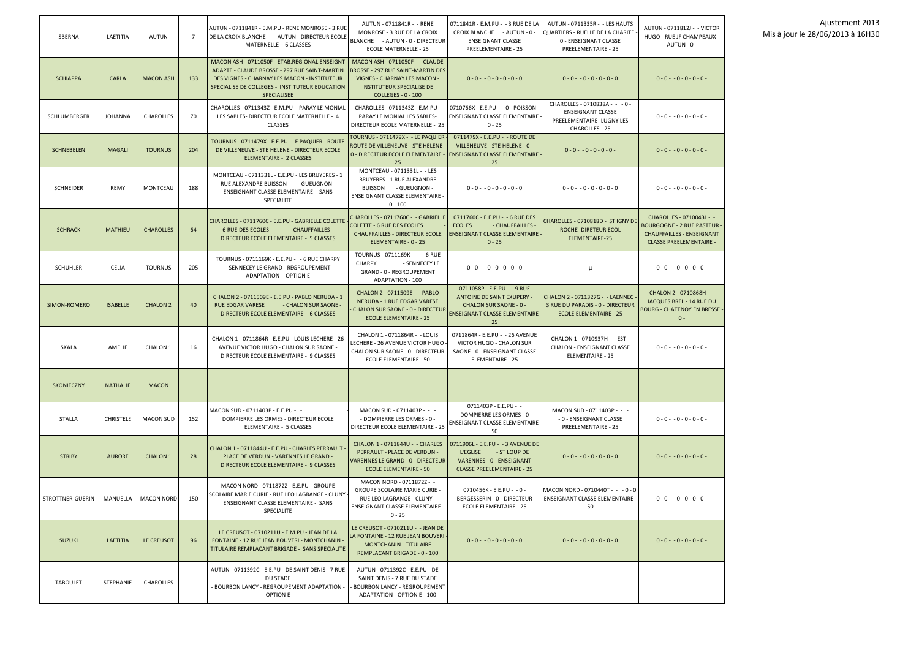| SBERNA              | LAETITIA         | <b>AUTUN</b>        | $\overline{7}$ | AUTUN - 0711841R - E.M.PU - RENE MONROSE - 3 RUE<br>DE LA CROIX BLANCHE - AUTUN - DIRECTEUR ECOLE<br>MATERNELLE - 6 CLASSES                                                                                            | AUTUN - 0711841R - - RENE<br>MONROSE - 3 RUE DE LA CROIX<br>BLANCHE - AUTUN - 0 - DIRECTEUR<br><b>ECOLE MATERNELLE - 25</b>                                           | 0711841R - E.M.PU - -3 RUE DE LA<br>CROIX BLANCHE - AUTUN - 0 -<br><b>ENSEIGNANT CLASSE</b><br>PREELEMENTAIRE - 25                        | AUTUN - 0711335R - - LES HAUTS<br>QUARTIERS - RUELLE DE LA CHARITE<br>0 - ENSEIGNANT CLASSE<br>PREELEMENTAIRE - 25 | AUTUN - 0711812J - - VICTOR<br>HUGO - RUE JF CHAMPEAUX -<br>AUTUN - 0 -                                                            |
|---------------------|------------------|---------------------|----------------|------------------------------------------------------------------------------------------------------------------------------------------------------------------------------------------------------------------------|-----------------------------------------------------------------------------------------------------------------------------------------------------------------------|-------------------------------------------------------------------------------------------------------------------------------------------|--------------------------------------------------------------------------------------------------------------------|------------------------------------------------------------------------------------------------------------------------------------|
| <b>SCHIAPPA</b>     | <b>CARLA</b>     | <b>MACON ASH</b>    | 133            | MACON ASH - 0711050F - ETAB.REGIONAL ENSEIGNT<br>ADAPTE - CLAUDE BROSSE - 297 RUE SAINT-MARTIN<br>DES VIGNES - CHARNAY LES MACON - INSTITUTEUR<br>SPECIALISE DE COLLEGES - INSTITUTEUR EDUCATION<br><b>SPECIALISEE</b> | MACON ASH - 0711050F - - CLAUDE<br><b>BROSSE - 297 RUE SAINT-MARTIN DES</b><br>VIGNES - CHARNAY LES MACON -<br><b>INSTITUTEUR SPECIALISE DE</b><br>COLLEGES - 0 - 100 | $0 - 0 - 0 - 0 - 0 - 0 - 0$                                                                                                               | $0 - 0 - 0 - 0 - 0 - 0 - 0$                                                                                        | $0 - 0 - 0 - 0 - 0 - 0 -$                                                                                                          |
| <b>SCHLUMBERGER</b> | <b>JOHANNA</b>   | <b>CHAROLLES</b>    | 70             | CHAROLLES - 0711343Z - E.M.PU - PARAY LE MONIAL<br>LES SABLES- DIRECTEUR ECOLE MATERNELLE - 4<br><b>CLASSES</b>                                                                                                        | CHAROLLES - 0711343Z - E.M.PU -<br>PARAY LE MONIAL LES SABLES-<br>DIRECTEUR ECOLE MATERNELLE - 25                                                                     | 0710766X - E.E.PU - - 0 - POISSON -<br><b>ENSEIGNANT CLASSE ELEMENTAIRE</b><br>$0 - 25$                                                   | CHAROLLES - 0710838A - - - 0 -<br><b>ENSEIGNANT CLASSE</b><br>PREELEMENTAIRE - LUGNY LES<br>CHAROLLES - 25         | $0 - 0 - 0 - 0 - 0 - 0 -$                                                                                                          |
| <b>SCHNEBELEN</b>   | <b>MAGALI</b>    | <b>TOURNUS</b>      | 204            | TOURNUS - 0711479X - E.E.PU - LE PAQUIER - ROUTE<br>DE VILLENEUVE - STE HELENE - DIRECTEUR ECOLE<br>ELEMENTAIRE - 2 CLASSES                                                                                            | TOURNUS - 0711479X - - LE PAQUIER<br>ROUTE DE VILLENEUVE - STE HELENE<br>0 - DIRECTEUR ECOLE ELEMENTAIRE -<br>25                                                      | 0711479X - E.E.PU - - ROUTE DE<br>VILLENEUVE - STE HELENE - 0 -<br><b>ENSEIGNANT CLASSE ELEMENTAIRE</b><br>25                             | $0 - 0 - 0 - 0 - 0 - 0 -$                                                                                          | $0 - 0 - 0 - 0 - 0 - 0 -$                                                                                                          |
| <b>SCHNEIDER</b>    | <b>REMY</b>      | <b>MONTCEAU</b>     | 188            | MONTCEAU - 0711331L - E.E.PU - LES BRUYERES - 1<br>RUE ALEXANDRE BUISSON - GUEUGNON -<br><b>ENSEIGNANT CLASSE ELEMENTAIRE - SANS</b><br>SPECIALITE                                                                     | MONTCEAU - 0711331L - - LES<br>BRUYERES - 1 RUE ALEXANDRE<br>BUISSON - GUEUGNON -<br>ENSEIGNANT CLASSE ELEMENTAIRE<br>$0 - 100$                                       | $0 - 0 - 0 - 0 - 0 - 0 - 0$                                                                                                               | $0 - 0 - 0 - 0 - 0 - 0 - 0$                                                                                        | $0 - 0 - 0 - 0 - 0 - 0 -$                                                                                                          |
| <b>SCHRACK</b>      | <b>MATHIEU</b>   | <b>CHAROLLES</b>    | 64             | CHAROLLES - 0711760C - E.E.PU - GABRIELLE COLETTE<br><b>6 RUE DES ECOLES</b><br>- CHAUFFAILLES -<br>DIRECTEUR ECOLE ELEMENTAIRE - 5 CLASSES                                                                            | CHAROLLES - 0711760C - - GABRIELLE<br><b>COLETTE - 6 RUE DES ECOLES</b><br><b>CHAUFFAILLES - DIRECTEUR ECOLE</b><br>ELEMENTAIRE - 0 - 25                              | 0711760C - E.E.PU - - 6 RUE DES<br><b>ECOLES</b><br>- CHAUFFAILLES -<br><b>ENSEIGNANT CLASSE ELEMENTAIRE</b><br>$0 - 25$                  | CHAROLLES - 0710818D - ST IGNY DE<br>ROCHE- DIRETEUR ECOL<br>ELEMENTAIRE-25                                        | CHAROLLES - 0710043L - -<br><b>BOURGOGNE - 2 RUE PASTEUR</b><br><b>CHAUFFAILLES - ENSEIGNANT</b><br><b>CLASSE PREELEMENTAIRE -</b> |
| <b>SCHUHLER</b>     | <b>CELIA</b>     | <b>TOURNUS</b>      | 205            | TOURNUS - 0711169K - E.E.PU - - 6 RUE CHARPY<br>- SENNECEY LE GRAND - REGROUPEMENT<br>ADAPTATION - OPTION E                                                                                                            | TOURNUS - 0711169K - - - 6 RUE<br><b>CHARPY</b><br>- SENNECEY LE<br>GRAND - 0 - REGROUPEMENT<br><b>ADAPTATION - 100</b>                                               | $0 - 0 - 0 - 0 - 0 - 0 - 0$                                                                                                               | $\mu$                                                                                                              | $0 - 0 - 0 - 0 - 0 - 0 -$                                                                                                          |
| SIMON-ROMERO        | <b>ISABELLE</b>  | <b>CHALON 2</b>     | 40             | CHALON 2 - 0711509E - E.E.PU - PABLO NERUDA - 1<br><b>RUE EDGAR VARESE</b><br>- CHALON SUR SAONE -<br>DIRECTEUR ECOLE ELEMENTAIRE - 6 CLASSES                                                                          | CHALON 2 - 0711509E - - PABLO<br><b>NERUDA - 1 RUE EDGAR VARESE</b><br><b>CHALON SUR SAONE - 0 - DIRECTEUR</b><br><b>ECOLE ELEMENTAIRE - 25</b>                       | 0711058P - E.E.PU - -9 RUE<br><b>ANTOINE DE SAINT EXUPERY -</b><br><b>CHALON SUR SAONE - 0 -</b><br>ENSEIGNANT CLASSE ELEMENTAIRE -<br>25 | CHALON 2 - 0711327G - - LAENNEC -<br>3 RUE DU PARADIS - 0 - DIRECTEUR<br><b>ECOLE ELEMENTAIRE - 25</b>             | CHALON 2 - 0710868H - -<br>JACQUES BREL - 14 RUE DU<br><b>BOURG - CHATENOY EN BRESSE</b><br>$0 -$                                  |
| <b>SKALA</b>        | AMELIE           | CHALON <sub>1</sub> | 16             | CHALON 1 - 0711864R - E.E.PU - LOUIS LECHERE - 26<br>AVENUE VICTOR HUGO - CHALON SUR SAONE -<br>DIRECTEUR ECOLE ELEMENTAIRE - 9 CLASSES                                                                                | CHALON 1 - 0711864R - - LOUIS<br>LECHERE - 26 AVENUE VICTOR HUGO<br>CHALON SUR SAONE - 0 - DIRECTEUR<br><b>ECOLE ELEMENTAIRE - 50</b>                                 | 0711864R - E.E.PU - - 26 AVENUE<br>VICTOR HUGO - CHALON SUR<br>SAONE - 0 - ENSEIGNANT CLASSE<br><b>ELEMENTAIRE - 25</b>                   | CHALON 1 - 0710937H - - EST -<br><b>CHALON - ENSEIGNANT CLASSE</b><br><b>ELEMENTAIRE - 25</b>                      | $0 - 0 - 0 - 0 - 0 - 0 -$                                                                                                          |
| <b>SKONIECZNY</b>   | <b>NATHALIE</b>  | <b>MACON</b>        |                |                                                                                                                                                                                                                        |                                                                                                                                                                       |                                                                                                                                           |                                                                                                                    |                                                                                                                                    |
| STALLA              | <b>CHRISTELE</b> | <b>MACON SUD</b>    | 152            | MACON SUD - 0711403P - E.E.PU - -<br>DOMPIERRE LES ORMES - DIRECTEUR ECOLE<br>ELEMENTAIRE - 5 CLASSES                                                                                                                  | MACON SUD - 0711403P - - -<br>- DOMPIERRE LES ORMES - 0 -<br>DIRECTEUR ECOLE ELEMENTAIRE - 25                                                                         | 0711403P - E.E.PU - -<br>- DOMPIERRE LES ORMES - 0 -<br>$ENSEIGNANT CLASSE ELEMENTAIRE \rightarrow$<br>50                                 | MACON SUD - 0711403P - - -<br>- 0 - ENSEIGNANT CLASSE<br>PREELEMENTAIRE - 25                                       | $0 - 0 - 0 - 0 - 0 - 0 -$                                                                                                          |
| <b>STRIBY</b>       | <b>AURORE</b>    | <b>CHALON 1</b>     | 28             | CHALON 1 - 0711844U - E.E.PU - CHARLES PERRAULT<br>PLACE DE VERDUN - VARENNES LE GRAND -<br>DIRECTEUR ECOLE ELEMENTAIRE - 9 CLASSES                                                                                    | CHALON 1 - 0711844U - - CHARLES<br>PERRAULT - PLACE DE VERDUN -<br>VARENNES LE GRAND - 0 - DIRECTEUR<br><b>ECOLE ELEMENTAIRE - 50</b>                                 | 0711906L - E.E.PU - - 3 AVENUE DE<br>L'EGLISE<br>- ST LOUP DE<br>VARENNES - 0 - ENSEIGNANT<br><b>CLASSE PREELEMENTAIRE - 25</b>           | $0 - 0 - 0 - 0 - 0 - 0 - 0$                                                                                        | $0 - 0 - 0 - 0 - 0 - 0 -$                                                                                                          |
| STROTTNER-GUERIN    | MANUELLA         | <b>MACON NORD</b>   | 150            | MACON NORD - 0711872Z - E.E.PU - GROUPE<br>SCOLAIRE MARIE CURIE - RUE LEO LAGRANGE - CLUNY<br>ENSEIGNANT CLASSE ELEMENTAIRE - SANS<br>SPECIALITE                                                                       | MACON NORD - 0711872Z - -<br><b>GROUPE SCOLAIRE MARIE CURIE -</b><br>RUE LEO LAGRANGE - CLUNY -<br>ENSEIGNANT CLASSE ELEMENTAIRE -<br>$0 - 25$                        | 0710456K - E.E.PU - - 0 -<br>BERGESSERIN - 0 - DIRECTEUR<br>ECOLE ELEMENTAIRE - 25                                                        | MACON NORD - 0710440T - $-$ - 0 - 0 -<br><b>ENSEIGNANT CLASSE ELEMENTAIRE -</b><br>50                              | $0 - 0 - 0 - 0 - 0 - 0 -$                                                                                                          |
| <b>SUZUKI</b>       | LAETITIA         | LE CREUSOT          | 96             | LE CREUSOT - 0710211U - E.M.PU - JEAN DE LA<br><b>FONTAINE - 12 RUE JEAN BOUVERI - MONTCHANIN -</b><br>TITULAIRE REMPLACANT BRIGADE - SANS SPECIALITE                                                                  | LE CREUSOT - 0710211U - - JEAN DE<br>LA FONTAINE - 12 RUE JEAN BOUVERI<br><b>MONTCHANIN - TITULAIRE</b><br>REMPLACANT BRIGADE - 0 - 100                               | $0 - 0 - 0 - 0 - 0 - 0 - 0$                                                                                                               | $0 - 0 - 0 - 0 - 0 - 0 - 0$                                                                                        | $0 - 0 - 0 - 0 - 0 - 0 -$                                                                                                          |
| <b>TABOULET</b>     | STEPHANIE        | <b>CHAROLLES</b>    |                | AUTUN - 0711392C - E.E.PU - DE SAINT DENIS - 7 RUE<br>DU STADE<br>- BOURBON LANCY - REGROUPEMENT ADAPTATION -<br>OPTION E                                                                                              | AUTUN - 0711392C - E.E.PU - DE<br>SAINT DENIS - 7 RUE DU STADE<br><b>BOURBON LANCY - REGROUPEMENT</b><br>ADAPTATION - OPTION E - 100                                  |                                                                                                                                           |                                                                                                                    |                                                                                                                                    |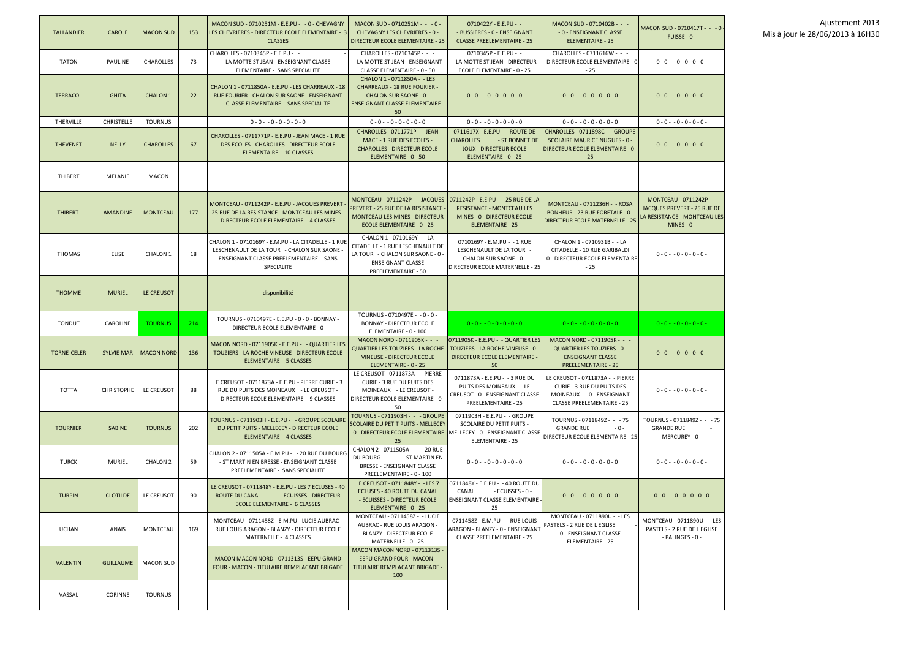| <b>TALLANDIER</b>  | <b>CAROLE</b>     | <b>MACON SUD</b>        | 153 | MACON SUD - 0710251M - E.E.PU - - 0 - CHEVAGNY<br>LES CHEVRIERES - DIRECTEUR ECOLE ELEMENTAIRE - 3<br><b>CLASSES</b>                                        | MACON SUD - 0710251M - - - 0 -<br><b>CHEVAGNY LES CHEVRIERES - 0 -</b><br><b>DIRECTEUR ECOLE ELEMENTAIRE - 25</b>                                                                         | 0710422Y - E.E.PU - -<br>- BUSSIERES - 0 - ENSEIGNANT<br><b>CLASSE PREELEMENTAIRE - 25</b>                                    | MACON SUD - 0710402B - - -<br>- 0 - ENSEIGNANT CLASSE<br><b>ELEMENTAIRE - 25</b>                                                 | MACON SUD - 0710417T - - - 0 -<br>$FUISSE - 0 -$                                                        |
|--------------------|-------------------|-------------------------|-----|-------------------------------------------------------------------------------------------------------------------------------------------------------------|-------------------------------------------------------------------------------------------------------------------------------------------------------------------------------------------|-------------------------------------------------------------------------------------------------------------------------------|----------------------------------------------------------------------------------------------------------------------------------|---------------------------------------------------------------------------------------------------------|
| TATON              | PAULINE           | <b>CHAROLLES</b>        | 73  | CHAROLLES - 0710345P - E.E.PU - -<br>LA MOTTE ST JEAN - ENSEIGNANT CLASSE<br>ELEMENTAIRE - SANS SPECIALITE                                                  | CHAROLLES - 0710345P - - -<br>- LA MOTTE ST JEAN - ENSEIGNANT<br>CLASSE ELEMENTAIRE - 0 - 50                                                                                              | 0710345P - E.E.PU - -<br>- LA MOTTE ST JEAN - DIRECTEUR<br>ECOLE ELEMENTAIRE - 0 - 25                                         | CHAROLLES - 0711616W - - -<br>DIRECTEUR ECOLE ELEMENTAIRE - 0<br>$-25$                                                           | $0 - 0 - 0 - 0 - 0 - 0 -$                                                                               |
| <b>TERRACOL</b>    | <b>GHITA</b>      | <b>CHALON 1</b>         | 22  | CHALON 1 - 0711850A - E.E.PU - LES CHARREAUX - 18<br>RUE FOURIER - CHALON SUR SAONE - ENSEIGNANT<br><b>CLASSE ELEMENTAIRE - SANS SPECIALITE</b>             | CHALON 1 - 0711850A - - LES<br><b>CHARREAUX - 18 RUE FOURIER -</b><br><b>CHALON SUR SAONE - 0 -</b><br><b>ENSEIGNANT CLASSE ELEMENTAIRE -</b><br>50                                       | $0 - 0 - 0 - 0 - 0 - 0 - 0$                                                                                                   | $0 - 0 - 0 - 0 - 0 - 0 - 0$                                                                                                      | $0 - 0 - 0 - 0 - 0 - 0 -$                                                                               |
| <b>THERVILLE</b>   | <b>CHRISTELLE</b> | <b>TOURNUS</b>          |     | $0 - 0 - 0 - 0 - 0 - 0 - 0$                                                                                                                                 | $0 - 0 - 0 - 0 - 0 - 0 - 0$                                                                                                                                                               | $0 - 0 - 0 - 0 - 0 - 0 - 0$                                                                                                   | $0 - 0 - 0 - 0 - 0 - 0 - 0$                                                                                                      | $0 - 0 - 0 - 0 - 0 - 0 -$                                                                               |
| <b>THEVENET</b>    | <b>NELLY</b>      | <b>CHAROLLES</b>        | 67  | CHAROLLES - 0711771P - E.E.PU - JEAN MACE - 1 RUE<br>DES ECOLES - CHAROLLES - DIRECTEUR ECOLE<br>ELEMENTAIRE - 10 CLASSES                                   | CHAROLLES - 0711771P - - JEAN<br>MACE - 1 RUE DES ECOLES -<br><b>CHAROLLES - DIRECTEUR ECOLE</b><br>ELEMENTAIRE - 0 - 50                                                                  | 0711617X - E.E.PU - - ROUTE DE<br><b>CHAROLLES</b><br>- ST BONNET DE<br><b>JOUX - DIRECTEUR ECOLE</b><br>ELEMENTAIRE - 0 - 25 | CHAROLLES - 0711898C - - GROUPE<br><b>SCOLAIRE MAURICE NUGUES - 0 -</b><br>DIRECTEUR ECOLE ELEMENTAIRE - 0<br>25                 | $0 - 0 - 0 - 0 - 0 - 0 -$                                                                               |
| <b>THIBERT</b>     | <b>MELANIE</b>    | <b>MACON</b>            |     |                                                                                                                                                             |                                                                                                                                                                                           |                                                                                                                               |                                                                                                                                  |                                                                                                         |
| <b>THIBERT</b>     | <b>AMANDINE</b>   | <b>MONTCEAU</b>         | 177 | MONTCEAU - 0711242P - E.E.PU - JACQUES PREVERT<br>25 RUE DE LA RESISTANCE - MONTCEAU LES MINES<br>DIRECTEUR ECOLE ELEMENTAIRE - 4 CLASSES                   | MONTCEAU - 0711242P - - JACQUES   0711242P - E.E.PU - - 25 RUE DE LA<br>PREVERT - 25 RUE DE LA RESISTANCE ·<br><b>MONTCEAU LES MINES - DIRECTEUR</b><br><b>ECOLE ELEMENTAIRE - 0 - 25</b> | <b>RESISTANCE - MONTCEAU LES</b><br><b>MINES - 0 - DIRECTEUR ECOLE</b><br><b>ELEMENTAIRE - 25</b>                             | MONTCEAU - 0711236H - - ROSA<br>BONHEUR - 23 RUE FORETALE - 0 -<br><b>DIRECTEUR ECOLE MATERNELLE - 25</b>                        | MONTCEAU - 0711242P - -<br>JACQUES PREVERT - 25 RUE DE<br>LA RESISTANCE - MONTCEAU LES<br>$MINES - 0 -$ |
| <b>THOMAS</b>      | <b>ELISE</b>      | CHALON <sub>1</sub>     | 18  | CHALON 1 - 0710169Y - E.M.PU - LA CITADELLE - 1 RUE<br>LESCHENAULT DE LA TOUR - CHALON SUR SAONE -<br>ENSEIGNANT CLASSE PREELEMENTAIRE - SANS<br>SPECIALITE | CHALON 1 - 0710169Y - - LA<br>CITADELLE - 1 RUE LESCHENAULT DE<br>LA TOUR - CHALON SUR SAONE - 0 -<br><b>ENSEIGNANT CLASSE</b><br><b>PREELEMENTAIRE - 50</b>                              | 0710169Y - E.M.PU - - 1 RUE<br>LESCHENAULT DE LA TOUR -<br>CHALON SUR SAONE - 0 -<br>DIRECTEUR ECOLE MATERNELLE - 25          | CHALON 1 - 0710931B - - LA<br>CITADELLE - 10 RUE GARIBALDI<br>0 - DIRECTEUR ECOLE ELEMENTAIRE<br>$-25$                           | $0 - 0 - 0 - 0 - 0 - 0 -$                                                                               |
| <b>THOMME</b>      | <b>MURIEL</b>     | LE CREUSOT              |     | disponibilité                                                                                                                                               |                                                                                                                                                                                           |                                                                                                                               |                                                                                                                                  |                                                                                                         |
| <b>TONDUT</b>      | CAROLINE          | <b>TOURNUS</b>          | 214 | TOURNUS - 0710497E - E.E.PU - 0 - 0 - BONNAY -<br>DIRECTEUR ECOLE ELEMENTAIRE - 0                                                                           | TOURNUS - 0710497E - - 0 - 0 -<br><b>BONNAY - DIRECTEUR ECOLE</b><br>ELEMENTAIRE - 0 - 100                                                                                                | $0 - 0 - 0 - 0 - 0 - 0 - 0$                                                                                                   | $0 - 0 - 0 - 0 - 0 - 0 - 0$                                                                                                      | $0 - 0 - 0 - 0 - 0 - 0 -$                                                                               |
| <b>TORNE-CELER</b> |                   | SYLVIE MAR   MACON NORD | 136 | MACON NORD - 0711905K - E.E.PU - - QUARTIER LES<br>TOUZIERS - LA ROCHE VINEUSE - DIRECTEUR ECOLE<br>ELEMENTAIRE - 5 CLASSES                                 | MACON NORD - 0711905K - - -<br><b>QUARTIER LES TOUZIERS - LA ROCHE</b><br><b>VINEUSE - DIRECTEUR ECOLE</b><br>ELEMENTAIRE - 0 - 25                                                        | 0711905K - E.E.PU - - QUARTIER LES<br>TOUZIERS - LA ROCHE VINEUSE - 0 -<br><b>DIRECTEUR ECOLE ELEMENTAIRE -</b><br>50         | MACON NORD - 0711905K - - -<br><b>QUARTIER LES TOUZIERS - 0 -</b><br><b>ENSEIGNANT CLASSE</b><br><b>PREELEMENTAIRE - 25</b>      | $0 - 0 - 0 - 0 - 0 - 0 -$                                                                               |
| TOTTA              | <b>CHRISTOPHE</b> | LE CREUSOT              | 88  | LE CREUSOT - 0711873A - E.E.PU - PIERRE CURIE - 3<br>RUE DU PUITS DES MOINEAUX - LE CREUSOT -<br>DIRECTEUR ECOLE ELEMENTAIRE - 9 CLASSES                    | LE CREUSOT - 0711873A - - PIERRE<br>CURIE - 3 RUE DU PUITS DES<br>MOINEAUX - LE CREUSOT -<br>DIRECTEUR ECOLE ELEMENTAIRE - 0 -<br>50                                                      | 0711873A - E.E.PU - - 3 RUE DU<br>PUITS DES MOINEAUX - LE<br>CREUSOT - 0 - ENSEIGNANT CLASSE<br>PREELEMENTAIRE - 25           | LE CREUSOT - 0711873A - - PIERRE<br>CURIE - 3 RUE DU PUITS DES<br>MOINEAUX - 0 - ENSEIGNANT<br><b>CLASSE PREELEMENTAIRE - 25</b> | $0 - 0 - 0 - 0 - 0 - 0 -$                                                                               |
| <b>TOURNIER</b>    | <b>SABINE</b>     | <b>TOURNUS</b>          | 202 | TOURNUS - 0711903H - E.E.PU - - GROUPE SCOLAIRE<br>DU PETIT PUITS - MELLECEY - DIRECTEUR ECOLE<br>ELEMENTAIRE - 4 CLASSES                                   | TOURNUS - 0711903H - - - GROUPE<br><b>SCOLAIRE DU PETIT PUITS - MELLECEY</b><br>0 - DIRECTEUR ECOLE ELEMENTAIRE - MELLECEY - 0 - ENSEIGNANT CLASSE<br>25                                  | 0711903H - E.E.PU - - GROUPE<br><b>SCOLAIRE DU PETIT PUITS -</b><br>ELEMENTAIRE - 25                                          | TOURNUS - 0711849Z - - - 75<br><b>GRANDE RUE</b><br>$-0-$<br>DIRECTEUR ECOLE ELEMENTAIRE - 25                                    | TOURNUS - 0711849Z - - -75<br><b>GRANDE RUE</b><br>MERCUREY - 0 -                                       |
| TURCK              | MURIEL            | CHALON 2                | 59  | CHALON 2 - 0711505A - E.M.PU - - 20 RUE DU BOURG<br>- ST MARTIN EN BRESSE - ENSEIGNANT CLASSE<br>PREELEMENTAIRE - SANS SPECIALITE                           | CHALON 2 - 0711505A - - - 20 RUE<br>DU BOURG<br>- ST MARTIN EN<br><b>BRESSE - ENSEIGNANT CLASSE</b><br>PREELEMENTAIRE - 0 - 100                                                           | $0 - 0 - 0 - 0 - 0 - 0 - 0$                                                                                                   | $0 - 0 - 0 - 0 - 0 - 0 - 0$                                                                                                      | $0 - 0 - 0 - 0 - 0 - 0 -$                                                                               |
| <b>TURPIN</b>      | <b>CLOTILDE</b>   | LE CREUSOT              | 90  | LE CREUSOT - 0711848Y - E.E.PU - LES 7 ECLUSES - 40<br>ROUTE DU CANAL<br>- ECUISSES - DIRECTEUR<br><b>ECOLE ELEMENTAIRE - 6 CLASSES</b>                     | LE CREUSOT - 0711848Y - - LES 7<br><b>ECLUSES - 40 ROUTE DU CANAL</b><br>- ECUISSES - DIRECTEUR ECOLE<br>ELEMENTAIRE - 0 - 25                                                             | 0711848Y - E.E.PU - -40 ROUTE DU<br>CANAL<br>- ECUISSES - 0 -<br><b>ENSEIGNANT CLASSE ELEMENTAIRE -</b><br>25                 | $0 - 0 - 0 - 0 - 0 - 0 - 0$                                                                                                      | $0 - 0 - 0 - 0 - 0 - 0 - 0$                                                                             |
| UCHAN              | ANAIS             | <b>MONTCEAU</b>         | 169 | MONTCEAU - 0711458Z - E.M.PU - LUCIE AUBRAC -<br>RUE LOUIS ARAGON - BLANZY - DIRECTEUR ECOLE<br>MATERNELLE - 4 CLASSES                                      | MONTCEAU - 0711458Z - - LUCIE<br>AUBRAC - RUE LOUIS ARAGON -<br><b>BLANZY - DIRECTEUR ECOLE</b><br>MATERNELLE - 0 - 25                                                                    | 0711458Z - E.M.PU - - RUE LOUIS<br>ARAGON - BLANZY - 0 - ENSEIGNANT<br><b>CLASSE PREELEMENTAIRE - 25</b>                      | MONTCEAU - 0711890U - - LES<br>PASTELS - 2 RUE DE L EGLISE<br>0 - ENSEIGNANT CLASSE<br><b>ELEMENTAIRE - 25</b>                   | MONTCEAU - 0711890U - - LES<br>PASTELS - 2 RUE DE L EGLISE<br>- PALINGES - 0 -                          |
| <b>VALENTIN</b>    | <b>GUILLAUME</b>  | <b>MACON SUD</b>        |     | MACON MACON NORD - 0711313S - EEPU GRAND<br><b>FOUR - MACON - TITULAIRE REMPLACANT BRIGADE</b>                                                              | MACON MACON NORD - 0711313S -<br>EEPU GRAND FOUR - MACON -<br>TITULAIRE REMPLACANT BRIGADE -<br>100                                                                                       |                                                                                                                               |                                                                                                                                  |                                                                                                         |
| VASSAL             | <b>CORINNE</b>    | <b>TOURNUS</b>          |     |                                                                                                                                                             |                                                                                                                                                                                           |                                                                                                                               |                                                                                                                                  |                                                                                                         |